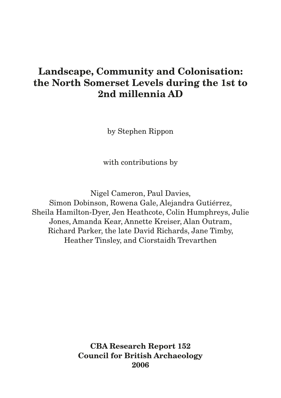# **Landscape, Community and Colonisation: the North Somerset Levels during the 1st to 2nd millennia AD**

by Stephen Rippon

with contributions by

Nigel Cameron, Paul Davies, Simon Dobinson, Rowena Gale, Alejandra Gutiérrez, Sheila Hamilton-Dyer, Jen Heathcote, Colin Humphreys, Julie Jones, Amanda Kear, Annette Kreiser, Alan Outram, Richard Parker, the late David Richards, Jane Timby, Heather Tinsley, and Ciorstaidh Trevarthen

> **CBA Research Report 152 Council for British Archaeology 2006**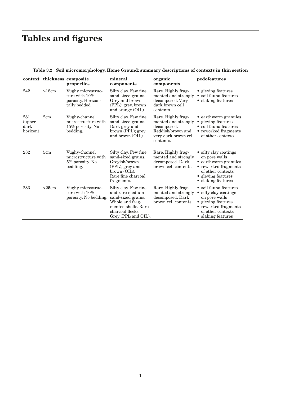# **Tables and figures**

|                                   |       | context thickness composite<br>properties                                    | mineral<br>components                                                                                                                              | organic<br>components                                                                                              | pedofeatures                                                                                                                                                        |
|-----------------------------------|-------|------------------------------------------------------------------------------|----------------------------------------------------------------------------------------------------------------------------------------------------|--------------------------------------------------------------------------------------------------------------------|---------------------------------------------------------------------------------------------------------------------------------------------------------------------|
| 242                               | >18cm | Vughy microstruc-<br>ture with $10\%$<br>porosity. Horizon-<br>tally bedded. | Silty clay. Few fine<br>sand-sized grains.<br>Grey and brown<br>(PPL); grey, brown<br>and orange (OIL).                                            | Rare. Highly frag-<br>mented and strongly<br>decomposed. Very<br>dark brown cell<br>contents.                      | • gleying features<br>soil fauna features<br>• slaking features                                                                                                     |
| 281<br>(upper<br>dark<br>horizon) | 2cm   | Vughy-channel<br>microstructure with<br>$15\%$ porosity. No<br>bedding.      | Silty clay. Few fine<br>sand-sized grains.<br>Dark grey and<br>brown (PPL); grey<br>and brown (OIL).                                               | Rare. Highly frag-<br>mented and strongly<br>decomposed.<br>Reddish/brown and<br>very dark brown cell<br>contents. | • earthworm granules<br>gleying features<br>$\bullet$<br>· soil fauna features<br>• reworked fragments<br>of other contexts                                         |
| 282                               | 5cm   | Vughy-channel<br>microstructure with<br>5% porosity. No<br>bedding.          | Silty clay. Few fine<br>sand-sized grains.<br>Greyish/brown<br>(PPL); grey and<br>brown (OIL).<br>Rare fine charcoal<br>fragments.                 | Rare. Highly frag-<br>mented and strongly<br>decomposed. Dark<br>brown cell contents.                              | • silty clay coatings<br>on pore walls<br>• earthworm granules<br>• reworked fragments<br>of other contexts<br>• gleying features<br>• slaking features             |
| 283                               | >25cm | Vughy microstruc-<br>ture with 10%<br>porosity. No bedding.                  | Silty clay. Few fine<br>and rare medium<br>sand-sized grains.<br>Whole and frag-<br>mented shells. Rare<br>charcoal flecks.<br>Grey (PPL and OIL). | Rare. Highly frag-<br>mented and strongly<br>decomposed. Dark<br>brown cell contents.                              | • soil fauna features<br>silty clay coatings<br>$\bullet$<br>on pore walls<br>• gleying features<br>• reworked fragments<br>of other contexts<br>• slaking features |

**Table 3.2 Soil micromorphology, Home Ground: summary descriptions of contexts in thin section**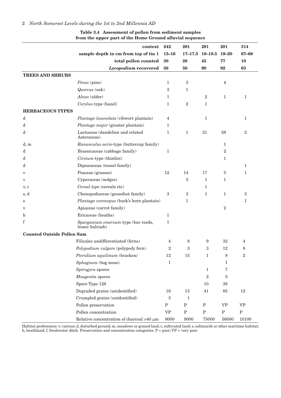|                                   | context                                                | 242                               | 281          | 281              | 281            | 314              |
|-----------------------------------|--------------------------------------------------------|-----------------------------------|--------------|------------------|----------------|------------------|
|                                   | sample depth in cm from top of tin 1                   | $15 - 16$                         | $17 - 17.5$  | 18-18.5          | $19 - 20$      | 67-68            |
|                                   | total pollen counted                                   | 30                                | 28           | 45               | 77             | <b>10</b>        |
|                                   | Lycopodium recovered                                   | 56                                | 50           | 90               | 92             | 63               |
| <b>TREES AND SHRUBS</b>           |                                                        |                                   |              |                  |                |                  |
|                                   | Pinus (pine)                                           | $\mathbf{1}$                      | $\,3$        |                  | $\overline{4}$ |                  |
|                                   | Quercus (oak)                                          | $\boldsymbol{3}$                  | $\mathbf{1}$ |                  |                |                  |
|                                   | Alnus (alder)                                          | $\mathbf{1}$                      |              | $\boldsymbol{2}$ | $\mathbf{1}$   | $\mathbf{1}$     |
|                                   | Corylus-type (hazel)                                   | $\mathbf{1}$                      | $\sqrt{2}$   | $\mathbf{1}$     |                |                  |
| <b>HERBACEOUS TYPES</b>           |                                                        |                                   |              |                  |                |                  |
| d                                 | Plantago lanceolata (ribwort plantain)                 | $\overline{\mathbf{4}}$           |              | $\,1\,$          |                | $\mathbf{1}$     |
| d                                 | Plantago major (greater plantain)                      | 1                                 |              |                  |                |                  |
| d                                 | Lactuceae (dandelion and related<br>Asteraceae)        | $\mathbf{1}$                      | $\mathbf{1}$ | 21               | 58             | $\overline{2}$   |
| d, m                              | Ranunculus acris-type (buttercup family)               |                                   |              |                  | $\mathbf{1}$   |                  |
| d                                 | Brassicaceae (cabbage family)                          | $1\,$                             |              |                  | $\overline{2}$ |                  |
| d                                 | Cirsium-type (thistles)                                |                                   |              |                  | $\mathbf{1}$   |                  |
| d                                 | Dipsacaceae (teasel family)                            |                                   |              |                  |                | 1                |
| V                                 | Poaceae (grasses)                                      | 12                                | 14           | 17               | $\bf 5$        | 1                |
| $\boldsymbol{\mathrm{V}}$         | Cyperaceae (sedges)                                    |                                   | 3            | $\mathbf{1}$     | $\mathbf{1}$   |                  |
| v, c                              | Cereal-type (cereals etc)                              |                                   |              | $\mathbf{1}$     |                |                  |
| s, d                              | Chenopodiaceae (goosefoot family)                      | 3                                 | $\,3$        | $\mathbf{1}$     | $\mathbf{1}$   | $\boldsymbol{3}$ |
| $\rm s$                           | Plantago coronopus (buck's horn plantain)              |                                   | $\mathbf{1}$ |                  |                | $\mathbf{1}$     |
| $\mathbf v$                       | Apiaceae (carrot family)                               |                                   |              |                  | $\sqrt{2}$     |                  |
| $\mathbf h$                       | Ericaceae (heaths)                                     | $\mathbf{1}$                      |              |                  |                |                  |
| f                                 | Sparganium emersum-type (bur reeds,<br>lesser bulrush) | $\mathbf{1}$                      |              |                  |                |                  |
| <b>Counted Outside Pollen Sum</b> |                                                        |                                   |              |                  |                |                  |
|                                   | Filicales undifferentiated (ferns)                     | 4                                 | 8            | 9                | 32             | 4                |
|                                   | Polypodium vulgare (polypody fern)                     | $\overline{2}$                    | 3            | 3                | 12             | 8                |
|                                   | Pteridium aquilinum (bracken)                          | $12\,$                            | 15           | 1                | 8              | $\boldsymbol{2}$ |
|                                   | Sphagnum (bog moss)                                    | $\mathbf{1}$                      |              |                  | 1              |                  |
|                                   | Spirogyra spores                                       |                                   |              | $\mathbf{1}$     | 7              |                  |
|                                   | Mougeotia spores                                       |                                   |              | $\sqrt{2}$       | 5              |                  |
|                                   | Spore Type 128                                         |                                   |              | 10               | 38             |                  |
|                                   | Degraded grains (unidentified)                         | 16                                | 13           | 41               | 85             | 12               |
|                                   | Crumpled grains (unidentified)                         | $\boldsymbol{3}$                  | $\mathbf{1}$ |                  |                |                  |
|                                   | Pollen preservation                                    | ${\bf P}$                         | ${\bf P}$    | ${\bf P}$        | <b>VP</b>      | <b>VP</b>        |
|                                   | Pollen concentration                                   | $\ensuremath{\mathsf{VP}}\xspace$ | ${\bf P}$    | ${\bf P}$        | ${\bf P}$      | ${\bf P}$        |
|                                   | Relative concentration of charcoal $>40 \mu m$         | 8000                              | 9000         | 75000            | 56000          | 10100            |

#### **Table 3.4 Assessment of pollen from sediment samples from the upper part of the Home Ground alluvial sequence**

Habitat preferences: v, various; d, disturbed ground; m, meadows or grazed land; c, cultivated land; s, saltmarsh or other maritime habitat; h, heathland; f, freshwater ditch. Preservation and concentration categories: P = poor; VP = very poor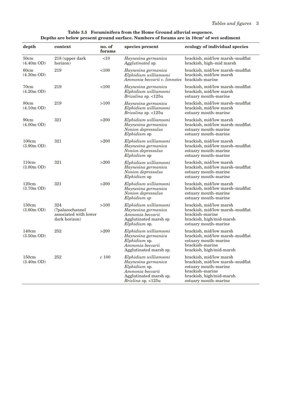#### **Table 3.5 Foraminifera from the Home Ground alluvial sequence. Depths are below present ground surface. Numbers of forams are in 10cm3 of wet sediment**

| depth                 | context                                                          | no. of<br>forams | species present                                                                                                                          | ecology of individual species                                                                                                                             |
|-----------------------|------------------------------------------------------------------|------------------|------------------------------------------------------------------------------------------------------------------------------------------|-----------------------------------------------------------------------------------------------------------------------------------------------------------|
| 50cm<br>$(4.40m$ OD)  | 218 (upper dark<br>horizon)                                      | $<$ 10           | Haynesina germanica<br>Agglutinated sp.                                                                                                  | brackish, mid/low marsh-mudflat<br>brackish, high-mid marsh                                                                                               |
| 60cm<br>$(4.30m$ OD)  | 219                                                              | <100             | Haynesina germanica<br>Elphidium williamsoni<br>Ammonia beccarii v. limnetes                                                             | brackish, mid/low marsh-mudflat<br>brackish, mid/low marsh<br>brackish-marine                                                                             |
| 70cm<br>$(4.20m$ OD)  | 219                                                              | <100             | Haynesina germanica<br>Elphidium williamsoni<br><i>Brizalina</i> sp. <125u                                                               | brackish, mid/low marsh-mudflat<br>brackish, mid/low marsh<br>estuary mouth-marine                                                                        |
| 80cm<br>$(4.10m$ OD)  | 219                                                              | >100             | Haynesina germanica<br>Elphidium williamsoni<br><i>Brizalina</i> sp. <125u                                                               | brackish, mid/low marsh-mudflat<br>brackish, mid/low marsh<br>estuary mouth-marine                                                                        |
| 90cm<br>$(4.00m$ OD)  | 321                                                              | >200             | Elphidium williamsoni<br>Haynesina germanica<br>Nonion depressulus<br><i>Elphidium</i> sp                                                | brackish, mid/low marsh<br>brackish, mid/low marsh-mudflat<br>estuary mouth-marine<br>estuary mouth-marine                                                |
| 100cm<br>$(3.90m$ OD) | 321                                                              | >200             | Elphidium williamsoni<br>Haynesina germanica<br>Nonion depressulus<br><i>Elphidium</i> sp                                                | brackish, mid/low marsh<br>brackish, mid/low marsh-mudflat<br>estuary mouth-marine<br>estuary mouth-marine                                                |
| 110cm<br>$(3.80m$ OD) | 321                                                              | >200             | Elphidium williamsoni<br>Haynesina germanica<br>Nonion depressulus<br><i>Elphidium</i> sp                                                | brackish, mid/low marsh<br>brackish, mid/low marsh-mudflat<br>estuary mouth-marine<br>estuary mouth-marine                                                |
| 120cm<br>$(3.70m$ OD) | 321                                                              | >200             | Elphidium williamsoni<br>Haynesina germanica<br>Nonion depressulus<br>Elphidium sp                                                       | brackish, mid/low marsh<br>brackish, mid/low marsh-mudflat<br>estuary mouth-marine<br>estuary mouth-marine                                                |
| 130cm<br>$(3.60m$ OD) | 324<br>(?palaeochannel<br>associated with lower<br>dark horizon) | >100             | Elphidium williamsoni<br>Haynesina germanica<br>Ammonia beccarii<br>Agglutinated marsh sp<br><i>Elphidium</i> sp.                        | brackish, mid/low marsh<br>brackish, mid/low marsh-mudflat<br>brackish-marine<br>brackish, high/mid-marsh<br>estuary mouth-marine                         |
| 140cm<br>$(3.50m$ OD) | 252                                                              | >200             | Elphidium williamsoni<br>Haynesina germanica<br><i>Elphidium</i> sp.<br>Ammonia beccarii<br>Agglutinated marsh sp.                       | brackish, mid/low marsh<br>brackish, mid/low marsh-mudflat<br>estuary mouth-marine<br>brackish-marine<br>brackish, high/mid-marsh                         |
| 150cm<br>$(3.40m$ OD) | 252                                                              | $c$ 100          | Elphidium williamsoni<br>Haynesina germanica<br>Elphidium sp.<br>Ammonia beccarii<br>Agglutinated marsh sp.<br><i>Brizlina</i> sp. <125u | brackish, mid/low marsh<br>brackish, mid/low marsh-mudflat<br>estuary mouth-marine<br>brackish-marine<br>brackish, high/mid-marsh<br>estuary mouth-marine |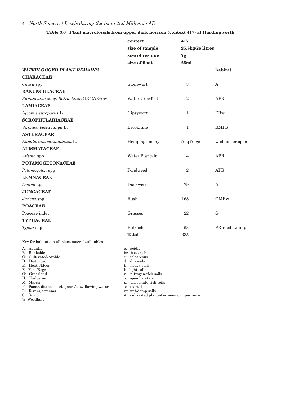|                                         | context          | 417              |                 |
|-----------------------------------------|------------------|------------------|-----------------|
|                                         | size of sample   | 25.8kg/26 litres |                 |
|                                         | size of residue  | 7g               |                 |
|                                         | size of float    | 25ml             |                 |
| <b>WATERLOGGED PLANT REMAINS</b>        |                  |                  | habitat         |
| <b>CHARACEAE</b>                        |                  |                  |                 |
| Chara spp                               | Stonewort        | $\sqrt{3}$       | $\mathsf{A}$    |
| <b>RANUNCULACEAE</b>                    |                  |                  |                 |
| Ranunculus subg. Batrachium (DC.)A.Gray | Water Crowfoot   | $\boldsymbol{2}$ | <b>APR</b>      |
| <b>LAMIACEAE</b>                        |                  |                  |                 |
| Lycopus europaeus L.                    | Gipsywort        | $\mathbf{1}$     | FRw             |
| <b>SCROPHULARIACEAE</b>                 |                  |                  |                 |
| Veronica beccabunga L.                  | <b>Brooklime</b> | $\mathbf{1}$     | <b>BMPR</b>     |
| <b>ASTERACEAE</b>                       |                  |                  |                 |
| Eupatorium cannabinum L.                | Hemp-agrimony    | freq frags       | w-shade or open |
| <b>ALISMATACEAE</b>                     |                  |                  |                 |
| Alisma spp                              | Water Plantain   | $\overline{4}$   | <b>APR</b>      |
| <b>POTAMOGETONACEAE</b>                 |                  |                  |                 |
| Potamogeton spp                         | Pondweed         | $\overline{2}$   | <b>APR</b>      |
| <b>LEMNACEAE</b>                        |                  |                  |                 |
| Lemna spp                               | Duckweed         | 79               | $\mathbf{A}$    |
| <b>JUNCACEAE</b>                        |                  |                  |                 |
| Juncus spp                              | Rush             | 168              | <b>GMRw</b>     |
| <b>POACEAE</b>                          |                  |                  |                 |
| Poaceae indet                           | Grasses          | 22               | ${\bf G}$       |
| <b>TYPHACEAE</b>                        |                  |                  |                 |
| Typha spp                               | <b>Bulrush</b>   | 53               | PR-reed swamp   |
|                                         | <b>Total</b>     | 335              |                 |
|                                         |                  |                  |                 |

#### **Table 3.6 Plant macrofossils from upper dark horizon (context 417) at Hardingworth**

Key for habitats in all plant macrofossil tables

A: Aquatic a: acidic

B. Bankside br: base rich

B. Bankside br: base rich C: Cultivated/Arable br: base rich c: calcareous D: Disturbed and C: calcareous d: dry soils

P: Ponds, ditches  $-$  stagnant/slow-flowing water  $\overline{s}$ : coastal  $\overline{R}$ : Rivers, streams w: wet/damp soils

R: Rivers, streams

W: Woodland

D: Disturbed d: dry soils<br>
E: Heath/Moor d: dry soils<br>
F. Fens/Bogs d: l: light soils<br>
1: light soils E: Heath/Moor h: heavy soils

F. Fens/Bogs l: light soils

n: nitrogen-rich soils

H: Hedgerow 0: open habitats<br>
M: Marsh p: phosphate-ric

p: phosphate-rich soils<br>s: coastal

S: Scrub  $\qquad \qquad \qquad \qquad$  cultivated plant/of economic importance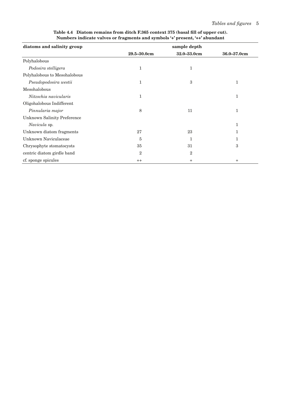| diatoms and salinity group         | sample depth   |                |             |  |  |  |  |
|------------------------------------|----------------|----------------|-------------|--|--|--|--|
|                                    | 29.5-30.0cm    | 32.0-33.0cm    | 36.0-37.0cm |  |  |  |  |
| Polyhalobous                       |                |                |             |  |  |  |  |
| Podosira stelligera                | $\mathbf{1}$   | $\mathbf{1}$   |             |  |  |  |  |
| Polyhalobous to Mesohalobous       |                |                |             |  |  |  |  |
| Pseudopodosira westii              | $\mathbf{1}$   | 3              | 1           |  |  |  |  |
| Mesohalobous                       |                |                |             |  |  |  |  |
| Nitzschia navicularis              | $\mathbf{1}$   |                | 1           |  |  |  |  |
| Oligohalobous Indifferent          |                |                |             |  |  |  |  |
| Pinnularia major                   | 8              | 11             | 1           |  |  |  |  |
| <b>Unknown Salinity Preference</b> |                |                |             |  |  |  |  |
| Navicula sp.                       |                |                | 1           |  |  |  |  |
| Unknown diatom fragments           | 27             | 23             |             |  |  |  |  |
| Unknown Naviculaceae               | 5              | 1              | 1           |  |  |  |  |
| Chrysophyte stomatocysts           | 35             | 31             | 3           |  |  |  |  |
| centric diatom girdle band         | $\overline{2}$ | $\overline{2}$ |             |  |  |  |  |
| cf. sponge spicules                | $^{++}$        | $\ddot{}$      | $\ddot{}$   |  |  |  |  |

**Table 4.4 Diatom remains from ditch F.365 context 375 (basal fill of upper cut). Numbers indicate valves or fragments and symbols '+' present, '++' abundant**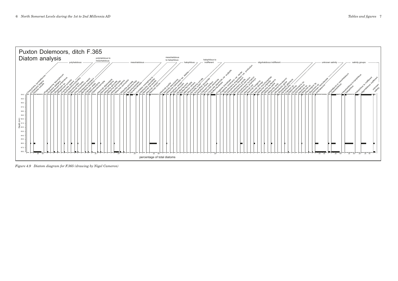

*Figure 4.9 Diatom diagram for F.365 (drawing by Nigel Cameron)*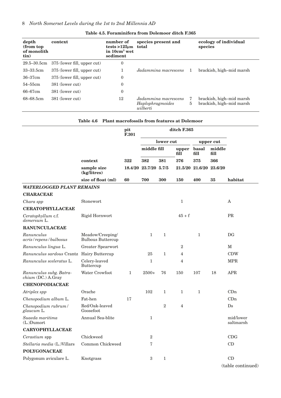| depth<br>(from top)<br>of monolith<br>tin) | context                     | number of<br>tests > $125\mu$ m<br>in 10cm <sup>3</sup> wet<br>sediment | species present and<br>total                         |   | ecology of individual<br>species                     |
|--------------------------------------------|-----------------------------|-------------------------------------------------------------------------|------------------------------------------------------|---|------------------------------------------------------|
| $29.5 - 30.5$ cm                           | 375 (lower fill, upper cut) | $\overline{0}$                                                          |                                                      |   |                                                      |
| 33–33.5cm                                  | 375 (lower fill, upper cut) |                                                                         | Jadammina macrescens                                 | 1 | brackish, high-mid marsh                             |
| $36 - 37$ cm                               | 375 (lower fill, upper cut) | $\theta$                                                                |                                                      |   |                                                      |
| $54 - 55$ cm                               | 381 (lower cut)             | $\overline{0}$                                                          |                                                      |   |                                                      |
| 66–67cm                                    | 381 (lower cut)             | $\overline{0}$                                                          |                                                      |   |                                                      |
| 68–68.5cm                                  | 381 (lower cut)             | 12                                                                      | Jadammina macrescens<br>Haplophragmoides<br>wilberti | 5 | brackish, high-mid marsh<br>brackish, high-mid marsh |

#### **Table 4.5. Foraminifera from Dolemoor ditch F.365**

|                                                    |                                              | pit<br>F.301 |                       |                |                |               |                         |                        |
|----------------------------------------------------|----------------------------------------------|--------------|-----------------------|----------------|----------------|---------------|-------------------------|------------------------|
|                                                    |                                              |              | lower cut             |                |                | upper cut     |                         |                        |
|                                                    |                                              |              | middle fill           |                | upper<br>fill  | basal<br>fill | middle<br>fill          |                        |
|                                                    | context                                      | 322          | 382                   | 381            | 376            | 375           | 366                     |                        |
|                                                    | sample size<br>(kg/litres)                   |              | 18.4/20 23.7/20 5.7/5 |                |                |               | 21.5/20 21.6/20 23.6/20 |                        |
|                                                    | size of float (ml)                           | 60           | 700                   | 300            | 150            | 400           | 35                      | habitat                |
| <b>WATERLOGGED PLANT REMAINS</b>                   |                                              |              |                       |                |                |               |                         |                        |
| <b>CHARACEAE</b>                                   |                                              |              |                       |                |                |               |                         |                        |
| Chara spp                                          | Stonewort                                    |              |                       |                | $\mathbf{1}$   |               |                         | A                      |
| <b>CERATOPHYLLACEAE</b>                            |                                              |              |                       |                |                |               |                         |                        |
| Ceratophyllum c.f.<br>demersum L.                  | Rigid Hornwort                               |              |                       |                | $45 + f$       |               |                         | <b>PR</b>              |
| <b>RANUNCULACEAE</b>                               |                                              |              |                       |                |                |               |                         |                        |
| Ranunculus<br>acris/repens/bulbosus                | Meadow/Creeping/<br><b>Bulbous Buttercup</b> |              | $\mathbf{1}$          | $\mathbf{1}$   |                | $\mathbf{1}$  |                         | DG                     |
| Ranunculus lingua L.                               | Greater Spearwort                            |              |                       |                | $\overline{2}$ |               |                         | $\mathbf M$            |
| Ranunculus sardous Crantz                          | Hairy Buttercup                              |              | 25                    | $\mathbf{1}$   | $\overline{4}$ |               |                         | <b>CDW</b>             |
| Ranunculus sceleratus L.                           | Celery-leaved<br>Buttercup                   |              | $\mathbf{1}$          |                | $\overline{4}$ |               |                         | <b>MPR</b>             |
| Ranunculus subg. Batra-<br>chium (DC.) A.Gray      | Water Crowfoot                               | $\mathbf{1}$ | $2500+$               | 76             | 150            | 107           | 18                      | <b>APR</b>             |
| <b>CHENOPODIACEAE</b>                              |                                              |              |                       |                |                |               |                         |                        |
| Atriplex spp                                       | Orache                                       |              | 102                   | $\mathbf{1}$   | $\mathbf{1}$   | $\mathbf{1}$  |                         | CDn                    |
| Chenopodium album L.                               | Fat-hen                                      | 17           |                       |                |                |               |                         | CDn                    |
| Chenopodium rubrum/<br>glaucum L.                  | Red/Oak-leaved<br>Goosefoot                  |              |                       | $\overline{2}$ | $\overline{4}$ |               |                         | Ds                     |
| Suaeda maritima<br>$(L)$ Dumort                    | Annual Sea-blite                             |              | $\mathbf{1}$          |                |                |               |                         | mid/lower<br>saltmarsh |
| <b>CARYOPHYLLACEAE</b>                             |                                              |              |                       |                |                |               |                         |                        |
| Cerastium spp                                      | Chickweed                                    |              | $\overline{2}$        |                |                |               |                         | CDG                    |
| Stellaria media (L.)Villars<br><b>POLYGONACEAE</b> | Common Chickweed                             |              | 7                     |                |                |               |                         | CD                     |
| Polygonum aviculare L.                             | Knotgrass                                    |              | 3                     | $\mathbf{1}$   |                |               |                         | CD                     |
|                                                    |                                              |              |                       |                |                |               |                         |                        |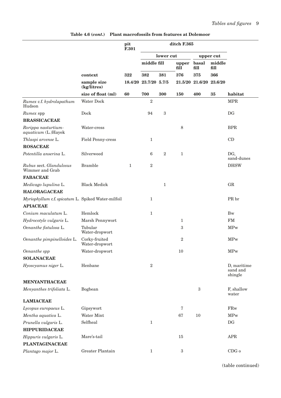|                                                    |                                 | pit<br>F.301 |                | ditch F.365  |                |                 |                |                                    |  |
|----------------------------------------------------|---------------------------------|--------------|----------------|--------------|----------------|-----------------|----------------|------------------------------------|--|
|                                                    |                                 |              | lower cut      |              |                |                 | upper cut      |                                    |  |
|                                                    |                                 |              | middle fill    |              | upper<br>fill  | basal<br>fill   | middle<br>fill |                                    |  |
|                                                    | context                         | 322          | 382            | 381          |                | 375             | 366            |                                    |  |
|                                                    | sample size<br>(kg/litres)      | 18.4/20      | 23.7/20 5.7/5  |              | 21.5/20        | 21.6/20 23.6/20 |                |                                    |  |
|                                                    | size of float (ml)              | 60           | 700            | 300          | 150            | 400             | 35             | habitat                            |  |
| Rumex c.f. hydrolapathum<br>Hudson                 | Water Dock                      |              | $\overline{2}$ |              |                |                 |                | <b>MPR</b>                         |  |
| <i>Rumex</i> spp                                   | Dock                            |              | 94             | $\sqrt{3}$   |                |                 |                | DG                                 |  |
| <b>BRASSICACEAE</b>                                |                                 |              |                |              |                |                 |                |                                    |  |
| Rorippa nasturtium-<br>aquaticum (L.)Hayek         | Water-cress                     |              |                |              | 8              |                 |                | <b>BPR</b>                         |  |
| Thlaspi arvense L.                                 | <b>Field Penny-cress</b>        |              | $\mathbf{1}$   |              |                |                 |                | CD                                 |  |
| <b>ROSACEAE</b>                                    |                                 |              |                |              |                |                 |                |                                    |  |
| Potentilla anserina L.                             | Silverweed                      |              | 6              | $\mathbf{2}$ | $\mathbf{1}$   |                 |                | DG,<br>sand-dunes                  |  |
| Rubus sect. Glandulosus<br>Wimmer and Grab         | <b>Bramble</b>                  | $\mathbf{1}$ | $\overline{2}$ |              |                |                 |                | <b>DHSW</b>                        |  |
| <b>FABACEAE</b>                                    |                                 |              |                |              |                |                 |                |                                    |  |
| Medicago lupulina L.                               | <b>Black Medick</b>             |              |                | $\mathbf{1}$ |                |                 |                | ${\rm GR}$                         |  |
| <b>HALORAGACEAE</b>                                |                                 |              |                |              |                |                 |                |                                    |  |
| Myriophyllum c.f. spicatum L. Spiked Water-milfoil |                                 |              | $\mathbf{1}$   |              |                |                 |                | PR br                              |  |
| <b>APIACEAE</b>                                    |                                 |              |                |              |                |                 |                |                                    |  |
| Conium maculatum L.                                | Hemlock                         |              | $\mathbf{1}$   |              |                |                 |                | <b>Bw</b>                          |  |
| Hydrocotyle vulgaris L.                            | Marsh Pennywort                 |              |                |              | 1              |                 |                | FM                                 |  |
| Oenanthe fistulosa L.                              | Tubular<br>Water-dropwort       |              |                |              | 3              |                 |                | <b>MPw</b>                         |  |
| Oenanthe pimpinelloides L.                         | Corky-fruited<br>Water-dropwort |              |                |              | $\overline{2}$ |                 |                | <b>MPw</b>                         |  |
| Oenanthe spp                                       | Water-dropwort                  |              |                |              | 10             |                 |                | <b>MPw</b>                         |  |
| <b>SOLANACEAE</b>                                  |                                 |              |                |              |                |                 |                |                                    |  |
| Hyoscyamus niger L.                                | Henbane                         |              | $\overline{2}$ |              |                |                 |                | D, maritime<br>sand and<br>shingle |  |
| <b>MENYANTHACEAE</b>                               |                                 |              |                |              |                |                 |                |                                    |  |
| Menyanthes trifoliata L.                           | Bogbean                         |              |                |              |                | 3               |                | F, shallow<br>water                |  |
| <b>LAMIACEAE</b>                                   |                                 |              |                |              |                |                 |                |                                    |  |
| Lycopus europaeus L.                               | Gipsywort                       |              |                |              | 7              |                 |                | $\mathop{\rm FRw}\nolimits$        |  |
| Mentha aquatica L.                                 | Water Mint                      |              |                |              | 67             | 10              |                | <b>MPw</b>                         |  |
| Prunella vulgaris L.                               | Selfheal                        |              | $\mathbf{1}$   |              |                |                 |                | DG                                 |  |
| <b>HIPPURIDACEAE</b>                               |                                 |              |                |              |                |                 |                |                                    |  |
| Hippuris vulgaris L.                               | Mare's-tail                     |              |                |              | 15             |                 |                | APR                                |  |
| <b>PLANTAGINACEAE</b>                              |                                 |              |                |              |                |                 |                |                                    |  |
| Plantago major L.                                  | Greater Plantain                |              | $\mathbf 1$    |              | $\,3$          |                 |                | $CDG_0$                            |  |

**Table 4.6 (***cont***.) Plant macrofossils from features at Dolemoor**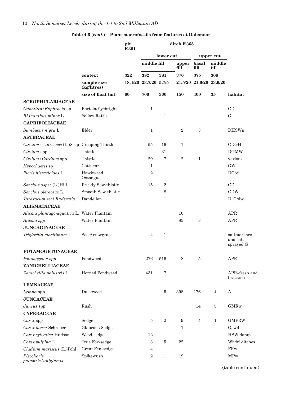|                                                |                            | pit<br>F.301 | ditch F.365           |                  |                  |                         |                |                                      |
|------------------------------------------------|----------------------------|--------------|-----------------------|------------------|------------------|-------------------------|----------------|--------------------------------------|
|                                                |                            |              |                       | lower cut        |                  |                         | upper cut      |                                      |
|                                                |                            |              | middle fill           |                  | upper<br>fill    | basal<br>fill           | middle<br>fill |                                      |
|                                                | context                    | 322          | 382                   | 381              | 376              | 375                     | 366            |                                      |
|                                                | sample size<br>(kg/litres) |              | 18.4/20 23.7/20 5.7/5 |                  |                  | 21.5/20 21.6/20 23.6/20 |                |                                      |
|                                                | size of float (ml)         | 60           | 700                   | 300              | 150              | 400                     | 35             | habitat                              |
| <b>SCROPHULARIACEAE</b>                        |                            |              |                       |                  |                  |                         |                |                                      |
| Odontites/Euphrasia sp                         | Bartsia/Eyebright          |              | $\mathbf{1}$          |                  |                  |                         |                | CD                                   |
| Rhinanthus minor L.                            | <b>Yellow Rattle</b>       |              |                       | 1                |                  |                         |                | G                                    |
| <b>CAPRIFOLIACEAE</b>                          |                            |              |                       |                  |                  |                         |                |                                      |
| Sambucus nigra L.                              | Elder                      |              | $\mathbf{1}$          |                  | $\overline{2}$   | $\sqrt{3}$              |                | <b>DHSWn</b>                         |
| <b>ASTERACEAE</b>                              |                            |              |                       |                  |                  |                         |                |                                      |
| Cirsium c.f. arvense (L.)Scop Creeping Thistle |                            |              | 55                    | 16               | 1                |                         |                | CDGH                                 |
| Cirsium spp                                    | Thistle                    |              |                       | 31               |                  |                         |                | <b>DGMW</b>                          |
| Cirsium / Carduus spp                          | Thistle                    |              | 29                    | 7                | $\boldsymbol{2}$ | $\mathbf{1}$            |                | various                              |
| Hypochaeris sp                                 | Cat's-ear                  |              | 1                     |                  |                  |                         |                | $\mathrm{GW}$                        |
| Picris hieracioides L.                         | Hawkweed<br>Oxtongue       |              | $\overline{2}$        |                  |                  |                         |                | <b>DGoc</b>                          |
| Sonchus asper (L.)Hill                         | Prickly Sow-thistle        |              | 15                    | $\overline{2}$   |                  |                         |                | CD                                   |
| Sonchus oleraceus L.                           | Smooth Sow-thistle         |              |                       | 8                |                  |                         |                | <b>CDW</b>                           |
| Taraxacum sect Ruderalia                       | Dandelion                  |              |                       | 1                |                  |                         |                | D, G/dw                              |
| <b>ALISMATACEAE</b>                            |                            |              |                       |                  |                  |                         |                |                                      |
| Alisma plantago-aquatica L. Water Plantain     |                            |              |                       |                  | 10               |                         |                | <b>APR</b>                           |
| Alisma spp                                     | Water Plantain             |              |                       |                  | 85               | $\boldsymbol{3}$        |                | APR                                  |
| <b>JUNCAGINACEAE</b>                           |                            |              |                       |                  |                  |                         |                |                                      |
| Triglochin maritimum L.                        | Sea Arrowgrass             |              | 4                     | $\mathbf{1}$     |                  |                         |                | saltmarshes<br>and salt<br>sprayed G |
| <b>POTAMOGETONACEAE</b>                        |                            |              |                       |                  |                  |                         |                |                                      |
| Potamogeton spp                                | Pondweed                   |              | 276                   | 516              | 8                | 5                       |                | APR                                  |
| ZANICHELLIACEAE                                |                            |              |                       |                  |                  |                         |                |                                      |
| Zanichellia palustris L.                       | <b>Horned Pondweed</b>     |              | 431                   | 7                |                  |                         |                | APR-fresh and<br>brackish            |
| <b>LEMNACEAE</b>                               |                            |              |                       |                  |                  |                         |                |                                      |
| Lemna spp                                      | Duckweed                   |              |                       | 5                | 398              | 176                     | $\overline{4}$ | A                                    |
| <b>JUNCACEAE</b>                               |                            |              |                       |                  |                  |                         |                |                                      |
| Juncus spp                                     | Rush                       |              |                       |                  |                  | 14                      | 5              | <b>GMRw</b>                          |
| <b>CYPERACEAE</b>                              |                            |              |                       |                  |                  |                         |                |                                      |
| Carex spp                                      | Sedge                      |              | 5                     | $\boldsymbol{2}$ | $\boldsymbol{9}$ | $\overline{4}$          | $\mathbf{1}$   | <b>GMPRW</b>                         |
| Carex flacca Schreber                          | Glaucous Sedge             |              |                       |                  | 1                |                         |                | G, wd                                |
| Carex sylvatica Hudson                         | Wood-sedge                 |              | 12                    |                  |                  |                         |                | HSW damp                             |
| Carex vulpina L.                               | True Fox-sedge             |              | 3                     | 5                | 22               |                         |                | Wh/M ditches                         |
| Cladium mariscus (L.)Pohl                      | Great Fen-sedge            |              | 4                     |                  |                  |                         |                | $\rm FRw$                            |
| Eleocharis<br>palustris/uniglumis              | Spike-rush                 |              | $\overline{2}$        | 1                | 19               |                         |                | <b>MPw</b>                           |

**Table 4.6 (***cont***.) Plant macrofossils from features at Dolemoor**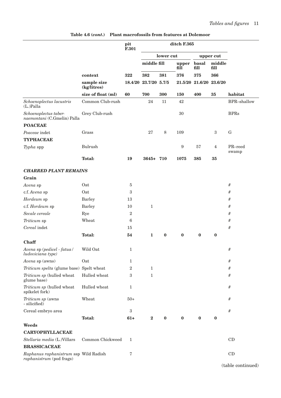|                                                                   |                            | pit<br>F.301     |                       |           | ditch F.365   |                         |                |                  |
|-------------------------------------------------------------------|----------------------------|------------------|-----------------------|-----------|---------------|-------------------------|----------------|------------------|
|                                                                   |                            |                  |                       | lower cut |               |                         | upper cut      |                  |
|                                                                   |                            |                  | middle fill           |           | upper<br>fill | basal<br>fill           | middle<br>fill |                  |
|                                                                   | context                    | 322              | 382                   | 381       | 376           | 375                     | 366            |                  |
|                                                                   | sample size<br>(kg/litres) |                  | 18.4/20 23.7/20 5.7/5 |           |               | 21.5/20 21.6/20 23.6/20 |                |                  |
|                                                                   | size of float (ml)         | 60               | 700                   | 300       | 150           | 400                     | 35             | habitat          |
| Schoenoplectus lacustris<br>$(L.)$ Palla                          | Common Club-rush           |                  | 24                    | 11        | 42            |                         |                | BPR-shallow      |
| Schoenoplectus taber-<br>naemontani (C.Gmelin) Palla              | Grey Club-rush             |                  |                       |           | 30            |                         |                | <b>BPRs</b>      |
| <b>POACEAE</b>                                                    |                            |                  |                       |           |               |                         |                |                  |
| Poaceae indet                                                     | Grass                      |                  | 27                    | 8         | 109           |                         | 3              | G                |
| <b>TYPHACEAE</b>                                                  |                            |                  |                       |           |               |                         |                |                  |
| Typha spp                                                         | <b>Bulrush</b>             |                  |                       |           | 9             | 57                      | $\overline{4}$ | PR-reed<br>swamp |
|                                                                   | <b>Total:</b>              | 19               | 3645+ 710             |           | 1075          | 385                     | 35             |                  |
| <b>CHARRED PLANT REMAINS</b>                                      |                            |                  |                       |           |               |                         |                |                  |
| Grain                                                             |                            |                  |                       |           |               |                         |                |                  |
| Avena sp                                                          | Oat                        | 5                |                       |           |               |                         |                | #                |
| c.f. Avena sp                                                     | Oat                        | $\,3$            |                       |           |               |                         |                | #                |
| Hordeum sp                                                        | <b>Barley</b>              | 13               |                       |           |               |                         |                | #                |
| c.f. Hordeum sp                                                   | <b>Barley</b>              | 10               | $\mathbf{1}$          |           |               |                         |                | #                |
| Secale cereale                                                    | Rye                        | $\overline{2}$   |                       |           |               |                         |                | #                |
| Triticum sp                                                       | Wheat                      | 6                |                       |           |               |                         |                | #                |
| Cereal indet                                                      |                            | 15               |                       |           |               |                         |                | #                |
|                                                                   | <b>Total:</b>              | 54               | $\mathbf{1}$          | $\bf{0}$  | $\bf{0}$      | $\bf{0}$                | $\bf{0}$       |                  |
| <b>Chaff</b>                                                      |                            |                  |                       |           |               |                         |                |                  |
| Avena sp (pedicel - fatua /<br>ludoviciana type)                  | Wild Oat                   | $\mathbf{1}$     |                       |           |               |                         |                | #                |
| Avena sp (awns)                                                   | Oat                        | 1                |                       |           |               |                         |                | #                |
| Triticum spelta (glume base) Spelt wheat                          |                            | $\overline{2}$   | $\mathbf{1}$          |           |               |                         |                | #                |
| Triticum sp (hulled wheat<br>glume base)                          | Hulled wheat               | 3                | 1                     |           |               |                         |                | #                |
| Triticum sp (hulled wheat<br>spikelet fork)                       | Hulled wheat               | 1                |                       |           |               |                         |                | #                |
| Triticum sp (awns<br>- silicified)                                | Wheat                      | $50+$            |                       |           |               |                         |                | #                |
| Cereal embryo area                                                |                            | $\boldsymbol{3}$ |                       |           |               |                         |                | #                |
|                                                                   | <b>Total:</b>              | $61+$            | $\mathbf{2}$          | $\bf{0}$  | $\bf{0}$      | $\bf{0}$                | $\bf{0}$       |                  |
| Weeds                                                             |                            |                  |                       |           |               |                         |                |                  |
| CARYOPHYLLACEAE                                                   |                            |                  |                       |           |               |                         |                |                  |
| Stellaria media (L.)Villars                                       | Common Chickweed           | 1                |                       |           |               |                         |                | CD               |
| <b>BRASSICACEAE</b>                                               |                            |                  |                       |           |               |                         |                |                  |
| Raphanus raphanistrum ssp Wild Radish<br>raphanistrum (pod frags) |                            | 7                |                       |           |               |                         |                | CD               |
|                                                                   |                            |                  |                       |           |               |                         |                | $(t_0, t_0)$     |

**Table 4.6 (***cont***.) Plant macrofossils from features at Dolemoor**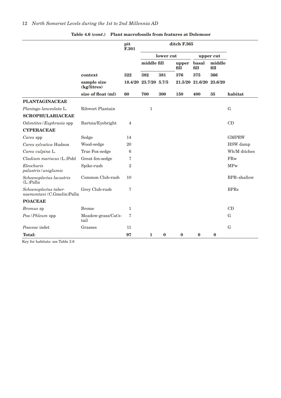|                                                     | pit<br>F.301                |                |               |              | ditch F.365   |                         |                |              |
|-----------------------------------------------------|-----------------------------|----------------|---------------|--------------|---------------|-------------------------|----------------|--------------|
|                                                     |                             |                | lower cut     |              | upper cut     |                         |                |              |
|                                                     |                             |                | middle fill   |              | upper<br>fill | basal<br>fill           | middle<br>fill |              |
|                                                     | context                     | 322            | 382           | 381          | 376           | 375                     | 366            |              |
|                                                     | sample size<br>(kg/litres)  | 18.4/20        | 23.7/20 5.7/5 |              |               | 21.5/20 21.6/20 23.6/20 |                |              |
|                                                     | size of float (ml)          | 60             | 700           | 300          | 150           | 400                     | 35             | habitat      |
| <b>PLANTAGINACEAE</b>                               |                             |                |               |              |               |                         |                |              |
| Plantago lanceolata L.                              | Ribwort Plantain            |                | $\mathbf{1}$  |              |               |                         |                | G            |
| <b>SCROPHULARIACEAE</b>                             |                             |                |               |              |               |                         |                |              |
| Odontites/Euphrasia spp                             | Bartsia/Eyebright           | 4              |               |              |               |                         |                | CD           |
| <b>CYPERACEAE</b>                                   |                             |                |               |              |               |                         |                |              |
| Carex spp                                           | Sedge                       | 14             |               |              |               |                         |                | <b>GMPRW</b> |
| Carex sylvatica Hudson                              | Wood-sedge                  | 20             |               |              |               |                         |                | HSW damp     |
| Carex vulpina L.                                    | True Fox-sedge              | 6              |               |              |               |                         |                | Wh/M ditches |
| Cladium mariscus (L.)Pohl                           | Great fen-sedge             | 7              |               |              |               |                         |                | FRw          |
| Eleocharis<br>palustris/uniglumis                   | Spike-rush                  | $\overline{2}$ |               |              |               |                         |                | <b>MPw</b>   |
| Schoenoplectus lacustris<br>$(L)$ Palla             | Common Club-rush            | 10             |               |              |               |                         |                | BPR-shallow  |
| Schoenoplectus taber-<br>naemontani (C.Gmelin)Palla | Grey Club-rush              | 7              |               |              |               |                         |                | <b>BPRs</b>  |
| <b>POACEAE</b>                                      |                             |                |               |              |               |                         |                |              |
| Bromus sp                                           | <b>Brome</b>                | $\mathbf{1}$   |               |              |               |                         |                | CD           |
| Poa/Phleum spp                                      | Meadow-grass/Cat's-<br>tail | 7              |               |              |               |                         |                | G            |
| Poaceae indet                                       | Grasses                     | 11             |               |              |               |                         |                | $\mathbf G$  |
| <b>Total:</b>                                       |                             | 97             | $\mathbf{1}$  | $\mathbf{0}$ | $\bf{0}$      | $\bf{0}$                | $\mathbf{0}$   |              |

**Table 4.6 (***cont***.) Plant macrofossils from features at Dolemoor**

Key for habitats: see Table 3.6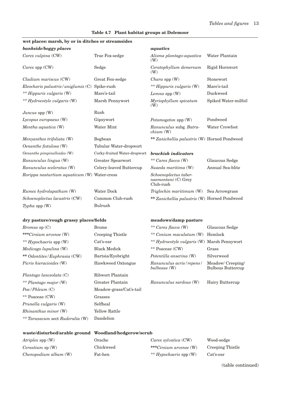| wet places: marsh, by or in ditches or streamsides    |                              |                                                           |                                               |
|-------------------------------------------------------|------------------------------|-----------------------------------------------------------|-----------------------------------------------|
| bankside/boggy places                                 |                              | aquatics                                                  |                                               |
| Carex vulpina (CW)                                    | True Fox-sedge               | Alisma plantago-aquatica<br>(W)                           | Water Plantain                                |
| Carex spp (CW)                                        | Sedge                        | Ceratophyllum demersum<br>(W)                             | Rigid Hornwort                                |
| Cladium mariscus (CW)                                 | Great Fen-sedge              | $Chara$ spp $(W)$                                         | Stonewort                                     |
| Eleocharis palustris/uniglumis (C) Spike-rush         |                              | ** Hippuris vulgaris (W)                                  | Mare's-tail                                   |
| ** Hippuris vulgaris (W)                              | Mare's-tail                  | Lemna spp (W)                                             | Duckweed                                      |
| ** Hydrocotyle vulgaris (W)                           | Marsh Pennywort              | Myriophyllum spicatum<br>(W)                              | Spiked Water-milfoil                          |
| $Juncus$ spp $(W)$                                    | Rush                         |                                                           |                                               |
| Lycopus europaeus (W)                                 | Gipsywort                    | Potamogeton spp (W)                                       | Pondweed                                      |
| Mentha aquatica (W)                                   | Water Mint                   | Ranunculus subg. Batra-<br>chium(W)                       | Water Crowfoot                                |
| Menyanthes trifoliata (W)                             | Bogbean                      | ** Zanichellia palustris (W) Horned Pondweed              |                                               |
| Oenanthe fistulosa (W)                                | Tubular Water-dropwort       |                                                           |                                               |
| Oenanthe pimpinelloides (W)                           | Corky-fruited Water-dropwort | <b>brackish</b> indicators                                |                                               |
| Ranunculus lingua (W)                                 | Greater Spearwort            | ** Carex flacca (W)                                       | Glaucous Sedge                                |
| Ranunculus sceleratus (W)                             | Celery-leaved Buttercup      | Suaeda maritima (W)                                       | Annual Sea-blite                              |
| Rorippa nasturtium aquaticum (W) Water-cress          |                              | Schoenoplectus taber-<br>naemontani (C) Grey<br>Club-rush |                                               |
| Rumex hydrolapathum (W)                               | Water Dock                   | Triglochin maritimum (W) Sea Arrowgrass                   |                                               |
| Schoenoplectus lacustris (CW)                         | Common Club-rush             | ** Zanichellia palustris (W) Horned Pondweed              |                                               |
| $\mathit{Typha}$ spp $(W)$                            | Bulrush                      |                                                           |                                               |
| dry pasture/rough grassy places/fields                |                              | meadows/damp pasture                                      |                                               |
| $Bromus$ sp $(C)$                                     | <b>Brome</b>                 | ** Carex flacca (W)                                       | Glaucous Sedge                                |
| ***Cirsium arvense (W)                                | Creeping Thistle             | ** Conium maculatum (W) Hemlock                           |                                               |
| ** Hypochaeris spp (W)                                | Cat's-ear                    | ** Hydrocotyle vulgaris (W) Marsh Pennywort               |                                               |
| Medicago lupulina (W)                                 | <b>Black Medick</b>          | ** Poaceae (CW)                                           | Grass                                         |
| ** Odontites/Euphrasia (CW)                           | Bartsia/Eyebright            | Potentilla anserina (W)                                   | Silverweed                                    |
| Picris hieracioides (W)                               | Hawkweed Oxtongue            | Ranunculus acris/repens/<br>bulbosus (W)                  | Meadow/ Creeping/<br><b>Bulbous Buttercup</b> |
| Plantago lanceolata (C)                               | Ribwort Plantain             |                                                           |                                               |
| ** Plantago major (W)                                 | Greater Plantain             | Ranunculus sardous (W)                                    | Hairy Buttercup                               |
| Poa/Phleum (C)                                        | Meadow-grass/Cat's-tail      |                                                           |                                               |
| ** Poaceae (CW)                                       | Grasses                      |                                                           |                                               |
| Prunella vulgaris (W)                                 | Selfheal                     |                                                           |                                               |
| Rhinanthus minor (W)                                  | Yellow Rattle                |                                                           |                                               |
| ** Taraxacum sect Ruderalia (W)                       | Dandelion                    |                                                           |                                               |
| waste/disturbed/arable ground Woodland/hedgerow/scrub |                              |                                                           |                                               |
| Atriplex spp (W)                                      | Orache                       | Carex sylvatica (CW)                                      | Wood-sedge                                    |
| Cerastium sp (W)                                      | Chickweed                    | ***Cirsium arvense (W)                                    | Creeping Thistle                              |

*Chenopodium album* (W) Fat-hen *\*\* Hypochaeris* spp (W) Cat's-ear

### **Table 4.7 Plant habitat groups at Dolemoor**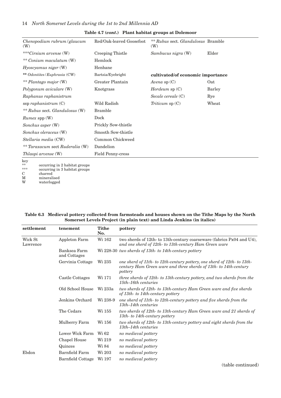| $Chenopodium\ rubrum/glaucum$<br>(W) | Red/Oak-leaved Goosefoot   | ** Rubus sect. Glandulosus Bramble<br>(W) |        |
|--------------------------------------|----------------------------|-------------------------------------------|--------|
| ***Cirsium arvense (W)               | Creeping Thistle           | Sambucus nigra (W)                        | Elder  |
| ** Conium maculatum (W)              | Hemlock                    |                                           |        |
| Hyoscyamus niger(W)                  | Henbane                    |                                           |        |
| ** Odontites/Euphrasia (CW)          | Bartsia/Eyebright          | cultivated/of economic importance         |        |
| ** Plantago major (W)                | Greater Plantain           | Avena sp $(C)$                            | Oat    |
| Polygonum aviculare (W)              | Knotgrass                  | $H$ ordeum sp $(C)$                       | Barley |
| Raphanus raphanistrum                |                            | Secale cereale (C)                        | Rye    |
| ssp raphanistrum $(C)$               | Wild Radish                | Triticum $sp(C)$                          | Wheat  |
| ** Rubus sect. Glandulosus $(W)$     | <b>Bramble</b>             |                                           |        |
| <i>Rumex</i> spp (W)                 | Dock                       |                                           |        |
| Sonchus asper (W)                    | <b>Prickly Sow-thistle</b> |                                           |        |
| Sonchus oleraceus (W)                | Smooth Sow-thistle         |                                           |        |
| Stellaria media (CW)                 | Common Chickweed           |                                           |        |
| ** Taraxacum sect Ruderalia (W)      | Dandelion                  |                                           |        |
| Thlaspi arvense (W)                  | <b>Field Penny-cress</b>   |                                           |        |
| key                                  |                            |                                           |        |

#### **Table 4.7 (***cont***.) Plant habitat groups at Dolemoor**

 $k$ \*\* occurring in 2 habitat groups \*\*\* occurring in 3 habitat groups C charred<br>M minerali M mineralised<br>W waterlogged waterlogged

#### **Table 6.3 Medieval pottery collected from farmsteads and houses shown on the Tithe Maps by the North Somerset Levels Project (in plain text) and Linda Jenkins (in italics)**

| settlement          | tenement                     | <b>Tithe</b><br>No. | pottery                                                                                                                                                |
|---------------------|------------------------------|---------------------|--------------------------------------------------------------------------------------------------------------------------------------------------------|
| Wick St<br>Lawrence | Appleton Farm                | Wi 162              | two sherds of 12th- to 13th-century coarseware (fabrics Px04 and U4),<br>and one sherd of 12th- to 13th-century Ham Green ware                         |
|                     | Banksea Farm<br>and Cottages |                     | Wi 228-30 two sherds of 13th- to 14th-century pottery                                                                                                  |
|                     | Gervinia Cottage             | Wi 235              | one sherd of 11th- to 12th-century pottery, one sherd of 12th- to 13th-<br>century Ham Green ware and three sherds of 13th- to 14th-century<br>pottery |
|                     | Castle Cottages              | Wi 171              | three sherds of 12th- to 13th-century pottery, and two sherds from the<br>$15th-16th$ centuries                                                        |
|                     | Old School House             | Wi 233a             | two sherds of 12th- to 13th-century Ham Green ware and five sherds<br>of 13th- to 14th-century pottery                                                 |
|                     | Jenkins Orchard              | Wi 238-9            | one sherd of 11th- to 12th-century pottery and five sherds from the<br>$13th-14th$ centuries                                                           |
|                     | The Cedars                   | Wi 155              | two sherds of 12th- to 13th-century Ham Green ware and 21 sherds of<br>13th-to 14th-century pottery                                                    |
|                     | Mulberry Farm                | Wi 156              | two sherds of 12th- to 13th-century pottery and eight sherds from the<br>$13th-14th$ centuries                                                         |
|                     | Lower Wick Farm              | Wi 62               | no medieval pottery                                                                                                                                    |
|                     | Chapel House                 | Wi 219              | no medieval pottery                                                                                                                                    |
|                     | Quinces                      | Wi 84               | no medieval pottery                                                                                                                                    |
| Ebdon               | Barnfield Farm               | Wi 203              | no medieval pottery                                                                                                                                    |
|                     | Barnfield Cottage            | Wi 197              | no medieval pottery                                                                                                                                    |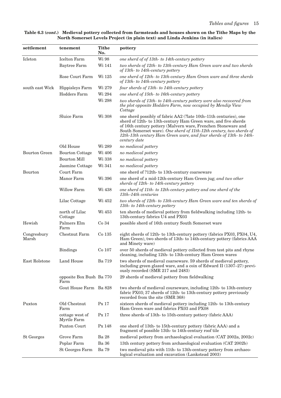#### **Table 6.3 (***cont***.) Medieval pottery collected from farmsteads and houses shown on the Tithe Maps by the North Somerset Levels Project (in plain text) and Linda Jenkins (in italics)**

| settlement           | tenement                         | <b>Tithe</b><br>No. | pottery                                                                                                                                                                                                                                                                                                                                                            |
|----------------------|----------------------------------|---------------------|--------------------------------------------------------------------------------------------------------------------------------------------------------------------------------------------------------------------------------------------------------------------------------------------------------------------------------------------------------------------|
| Icleton              | <b>Icelton Farm</b>              | Wi 98               | one sherd of of 13th- to 14th-century pottery                                                                                                                                                                                                                                                                                                                      |
|                      | Baytree Farm                     | Wi 141              | two sherds of 12th- to 13th-century Ham Green ware and two sherds<br>of 13th- to 14th-century pottery                                                                                                                                                                                                                                                              |
|                      | Rose Court Farm                  | Wi 125              | one sherd of 12th- to 13th-century Ham Green ware and three sherds<br>of 13th- to 14th-century pottery                                                                                                                                                                                                                                                             |
| south east Wick      | Hippisleys Farm                  | Wi 279              | four sherds of 13th- to 14th-century pottery                                                                                                                                                                                                                                                                                                                       |
|                      | <b>Hodders Farm</b>              | Wi 294              | one sherd of 15th- to 16th-century pottery                                                                                                                                                                                                                                                                                                                         |
|                      |                                  | Wi 298              | two sherds of 13th- to 14th-century pottery were also recovered from<br>the plot opposite Hodders Farm, now occupied by Mendip View<br>Cottage                                                                                                                                                                                                                     |
|                      | Sluice Farm                      | Wi 308              | one sherd possibly of fabric AA2 (?late 10th-11th centuries), one<br>sherd of 12th- to 13th-century Ham Green ware, and five sherds<br>of 16th century pottery (Malvern ware, Frenchen Stoneware and<br>South Somerset ware). One sherd of 11th-12th century, two sherds of<br>12th-13th century Ham Green ware, and four sherds of 13th- to 14th-<br>century date |
|                      | Old House                        | Wi 289              | no medieval pottery                                                                                                                                                                                                                                                                                                                                                |
| <b>Bourton Green</b> | <b>Bourton Cottage</b>           | Wi 406              | no medieval pottery                                                                                                                                                                                                                                                                                                                                                |
|                      | <b>Bourton Mill</b>              | Wi 338              | no medieval pottery                                                                                                                                                                                                                                                                                                                                                |
|                      | Jasmine Cottage                  | Wi 341              | no medieval pottery                                                                                                                                                                                                                                                                                                                                                |
| Bourton              | Court Farm                       |                     | one sherd of ?12th- to 13th-century coarseware                                                                                                                                                                                                                                                                                                                     |
|                      | Manor Farm                       | Wi 396              | one sherd of a mid-12th-century Ham Green jug; and two other<br>sherds of 12th- to 14th-century pottery                                                                                                                                                                                                                                                            |
|                      | <b>Willow Farm</b>               | Wi 438              | one sherd of 11th- to 12th-century pottery and one sherd of the<br>$13th-14th$ centuries                                                                                                                                                                                                                                                                           |
|                      | Lilac Cottage                    | Wi 452              | two sherds of 12th- to 13th-century Ham Green ware and ten sherds of<br>13th- to 14th-century pottery                                                                                                                                                                                                                                                              |
|                      | north of Lilac<br>Cottage        | Wi 453              | ten sherds of medieval pottery from fieldwalking including 12th-to<br>13th-century fabrics U4 and PX03                                                                                                                                                                                                                                                             |
| Hewish               | Palmers Elm<br>Farm              | Co <sub>34</sub>    | possible sherd of 16th century South Somerset ware                                                                                                                                                                                                                                                                                                                 |
| Congresbury<br>Marsh | Chestnut Farm                    | Co 135              | eight sherds of 12th- to 13th-century pottery (fabrics PX03, PX04, U4,<br>Ham Green), two sherds of 13th- to 14th-century pottery (fabrics AAA<br>and Minety ware)                                                                                                                                                                                                 |
|                      | <b>Bindings</b>                  | Co 107              | over 50 sherds of medieval pottery collected from test pits and rhyne<br>cleaning, including 12th- to 13th-century Ham Green wares                                                                                                                                                                                                                                 |
| East Rolstone        | Land House                       | Ba 719              | two sherds of medieval coarseware. 59 sherds of medieval pottery,<br>including green glazed ware, and a coin of Edward II (1307-27) previ-<br>ously recorded (SMR 217 and 2483)                                                                                                                                                                                    |
|                      | opposite Box Bush Ba 770<br>Farm |                     | 29 sherds of medieval pottery from fieldwalking                                                                                                                                                                                                                                                                                                                    |
|                      | Gout House Farm Ba 828           |                     | two sherds of medieval courseware, including 12th- to 13th-century<br>fabric PX03; 37 sherds of 12th- to 13th-century pottery previously<br>recorded from the site (SMR 368)                                                                                                                                                                                       |
| Puxton               | Old Chestnut<br>Farm             | Px 17               | sixteen sherds of medieval pottery including 12th- to 13th-century<br>Ham Green ware and fabrics PX03 and PX08                                                                                                                                                                                                                                                     |
|                      | cottage west of<br>Myrtle Farm   | Px 17               | three sherds of 13th- to 15th-century pottery (fabric AAA)                                                                                                                                                                                                                                                                                                         |
|                      | Puxton Court                     | Px 148              | one sherd of 13th- to 15th-century pottery (fabric AAA) and a<br>fragment of possible 13th- to 14th-century roof tile                                                                                                                                                                                                                                              |
| <b>St Georges</b>    | Grove Farm                       | <b>Ba</b> 28        | medieval pottery from archaeological evaluation (CAT 2002a, 2002c)                                                                                                                                                                                                                                                                                                 |
|                      | Poplar Farm                      | Ba 36               | 13th century pottery from archaeological evaluation (CAT 2002b)                                                                                                                                                                                                                                                                                                    |
|                      | St Georges Farm                  | Ba 79               | two medieval pits with 11th- to 13th-century pottery from archaeo-<br>logical evaluation and excavation (Lankstead 2003)                                                                                                                                                                                                                                           |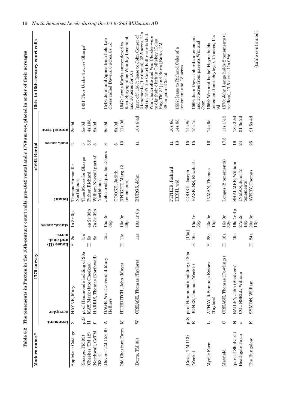| Modern name*                   |                          | 1770 survey                           |                                                                                                                                                                                                                        |                   | <1642 Rental                          |               |                       | 15th-to 16th-century court rolls                                                                                                                                                                                                                                         |
|--------------------------------|--------------------------|---------------------------------------|------------------------------------------------------------------------------------------------------------------------------------------------------------------------------------------------------------------------|-------------------|---------------------------------------|---------------|-----------------------|--------------------------------------------------------------------------------------------------------------------------------------------------------------------------------------------------------------------------------------------------------------------------|
|                                | tenement                 | occupier                              | acres<br>${\bf \begin{tabular}{l} \bf \bf \it + 15\end{tabular}} \begin{tabular}{l} \bf \it + 18\end{tabular} \begin{tabular}{l} \bf \it + 19\end{tabular} \end{tabular} \begin{tabular}{l} \bf \it + 19\end{tabular}$ | səлər :1n1e1s     | tenant                                | cust. acres   | annal rent            |                                                                                                                                                                                                                                                                          |
| Appletree Cottage              | X                        | HAYNE, Mary                           | 2a<br>$\mathbb H$                                                                                                                                                                                                      | 1a 3r 0p          | Thomas Hamon for<br>Northhouse        | $\mathcal{Q}$ | $2s$ Od               |                                                                                                                                                                                                                                                                          |
| (Sharps, TM 93)                | $\operatorname{pt} S$    | pt of Hammond's holding of 20a        | [5a]                                                                                                                                                                                                                   |                   | Thos Moors for Sharps                 | 5             | $5s$ Od               | 1491 Thos Urche 4 acres 'Sharps'                                                                                                                                                                                                                                         |
| (Cheekes, TM 12)               | $\mathbb H$              | MAY, Mark (late Cheekes)              | ьã<br>Η                                                                                                                                                                                                                | 4a 2r 35p         | Pither, Richard                       | 5.5           | 4s 10d                |                                                                                                                                                                                                                                                                          |
| (Northwall, CoTM<br>$793 - 4)$ | $\overline{f}$           | HARRIS, Thomas (Northwall)            | 8a                                                                                                                                                                                                                     | 7a 3r 32p         | William Norvall part of<br>Northhouse | $\infty$      | 8s0d                  |                                                                                                                                                                                                                                                                          |
| (Dovers, TM 158-9)             | $\blacktriangleleft$     | GAGE, Wm (Dovers) lt Mary<br>Helliers | 15a                                                                                                                                                                                                                    | 15a3r<br>36p      | John Irish jun. for Dobers            | $\infty$      | 8s0d                  | 1548: John and Agnes Irish hold two<br>closes called Dovers, 8 acres, 8s 1d                                                                                                                                                                                              |
|                                |                          |                                       |                                                                                                                                                                                                                        |                   | COOKE, Judith                         | 8             | $8s$ 0d               |                                                                                                                                                                                                                                                                          |
| Old Chestnut Farm              | $\mathbb N$              | HURDITCH, John (Mays)                 | 11a<br>Η                                                                                                                                                                                                               | $10a\ 0r$<br>29p  | KNIGHT, Marg. (2<br>tenements)        | 10            | 11s0d                 | Rich. Spryng alias Whatley tenement<br>1547: Lewis Marks surrendered to<br>and 10 acres for 10s                                                                                                                                                                          |
| (Butts, TM 38)                 | $\triangleright$         | CREASE, Thomas (Taylors)              | 11a                                                                                                                                                                                                                    | $10a$ $1r$ $8p$   | BURGS, John                           | $\Box$        | 10s64d                | 2 tenements (1 ruinous), 22.5 acres, 21s<br>6d (in 1547 the Court Roll records that<br>[part of:] 1567: lease to John Comer of<br>Wm Chalcrofte and Wm Clercke were<br>to dig their ditch in Collishey [Coles<br>Hay, TM 31] and Burts [Butts, TM<br>38]on pain of 3s 4d |
|                                |                          |                                       |                                                                                                                                                                                                                        |                   | PITHER, Richard                       | $\Box$        | $10s$ 6d              |                                                                                                                                                                                                                                                                          |
|                                |                          |                                       |                                                                                                                                                                                                                        |                   | IRISH, wid                            | 13            | 14s0d                 | 1557: lease to Richard Coke of a<br>tenement and 13 acres                                                                                                                                                                                                                |
| (Csces, TM 113)                | $_{\rm ptS}$             | pt of Hammond's holding of 20a        | $[15a]$                                                                                                                                                                                                                |                   | COOKE, Joseph                         | 15            | 14s 8d                |                                                                                                                                                                                                                                                                          |
| (Weeks)                        | $\boxed{\mathbf{r}}$     | JONES, Thomas (Week's)                | 16a<br>Ξ                                                                                                                                                                                                               | 15a1r<br>35p      | HASKINS, Elizabeth                    | 15            | 15s1d                 | 1569: Joan Down inherits a tenement<br>and 15 acres from parents Wm and<br>$J$ oan                                                                                                                                                                                       |
| Myrtle Farm                    | $\overline{\phantom{0}}$ | ATHAY, It Samuels Extors<br>(Taylors) | 28a<br>Η                                                                                                                                                                                                               | 23a0r<br>15p      | INMAN, Thomas                         | 16            | 14s 9d                | tenement (once Seyleys), 15 acres, 14s<br>1566: Wm and Isabel Hayne holds<br>9d                                                                                                                                                                                          |
| Mayfield                       | $\circlearrowright$      | CREASE, Thomas (Dowlings)             | 18a<br>Η                                                                                                                                                                                                               | $16a$ $0r$<br>32p | Longes (2 tenements)                  | 17.5          | $11s$ $1\frac{1}{2}d$ | 1570: John Lange holds 2 tenements (1<br>roofless), 17.5 acres, 11s 01/2d                                                                                                                                                                                                |
| (part of Shalvers)             | $\simeq$                 | BAILEY, John (Shalvers)               | 19a                                                                                                                                                                                                                    | 16a 1r 4p         | SHALMER, William                      | 19            | 18s 21/2d             |                                                                                                                                                                                                                                                                          |
| Heathgate Farm                 | $\circ$                  | COUNSELL, William                     |                                                                                                                                                                                                                        | $27a$ $2r$<br>14p | INMAN, John (2<br>tenements)          | 24            | £13s2d                |                                                                                                                                                                                                                                                                          |
| The Bungalow                   | K                        | SYMON, William                        | 24a<br>Ξ                                                                                                                                                                                                               | 20a3r<br>13p      | AVERY, Thomas                         | 25            | £15s4d                | (table continued)                                                                                                                                                                                                                                                        |

Table 8.2 The tenements in Puxton in the 16th-century court rolls, pre-1642 rental and c 1770 survey, placed in order of their acreages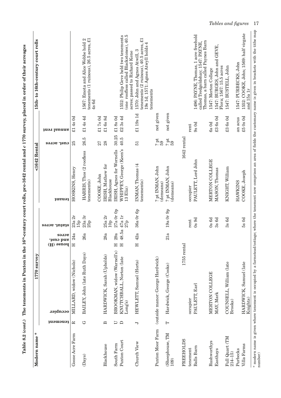| Modern name*                 |                          | 1770 survey                        |                                 |                          | <1642 Rental                               |                 |               | 15th-to 16th-century court rolls                                                                                                                                                        |
|------------------------------|--------------------------|------------------------------------|---------------------------------|--------------------------|--------------------------------------------|-----------------|---------------|-----------------------------------------------------------------------------------------------------------------------------------------------------------------------------------------|
|                              | tenement                 | occupier                           | acres<br>and cust.<br>Alons (H) | səлər :1n1e1s            | tenant                                     | cust. acres     | annal Islam   |                                                                                                                                                                                         |
| Goose Acre Farm              | 戸                        | MILLARD, widow (Nichols)           | 24a<br>$\mathbb{H}$             | 23a 2r<br>15p            | HOSKINS, Henry                             | 25              | 4s0d<br>$\Xi$ |                                                                                                                                                                                         |
| $(\mathbf{Days})$            | G                        | BAILEY, John (late Ruth Days)      | 26a                             | $23a\ 3r$<br>25p         | HARRIS, Thos (2 roofless<br>tenements)     | 26.5            | £14s4d        | tenements (1 ruinous), 26.5 acres, £1<br>1567: Emota and Alice Webbe hold 2<br>4s 6d                                                                                                    |
|                              |                          |                                    |                                 |                          | COOKE, John                                | 27              | £17s0d        |                                                                                                                                                                                         |
| Blackhouse                   | $\mathbf{\underline{m}}$ | HARDWICK, Sarah (Upholds)          | 38a<br>C/                       | 25a2r<br>10 <sub>p</sub> | IRISH, Mathew for<br>Blackhouse            | 28              | £16s8d        |                                                                                                                                                                                         |
| South Farm                   | J                        | BROOKMAN, widow (Warnell's)        | 29а<br>Η                        | 27a 0r 0p                | IRISH, Agnes for Wornells                  | 30.25           | £18s0d        |                                                                                                                                                                                         |
| Puxton Court                 | $\Box$                   | KNUTCHBALL, Norton (late<br>Long's | 18.5a<br>Η                      | 47a1r<br>27p             | WHIPPEY, George (Keen's<br>$13$ $E$ $iz$ ) | 40.5            | 3s4d<br>E2    | 1552: Philip Geve held two tenements<br>(one roofless called Blackstones), 40.5<br>acres; passed to Richard Kene                                                                        |
| Church View                  | $\overline{\phantom{a}}$ | HEWLETT, Samuel (Horts)            | 2a<br>Ξ                         | 36a Or 6p                | INMAN, Thomas (4<br>tenements)             | $\overline{51}$ | £1 19s 1d     | tenements ( $2$ ruinous), $40.5$ acres, $\pounds1$<br>19s 1d; 1571: Agnes Atwyll holds 4<br>1570: John and Agnes Atwill, 3<br>tenements                                                 |
| Puxton Moor Farm             |                          | (outside manor: George Hardwick)   |                                 |                          | ? pt INMAN, John<br>(demeans)              | ? pt<br>59      | not given     |                                                                                                                                                                                         |
| (Sheephouse, TM<br>109       | $\vdash$                 | Hardwick, George (Cooks)           | 21a                             | 19a Or 9p                | ? pt INMAN, John<br>(demeans)              | ? pt<br>59      | not given     |                                                                                                                                                                                         |
| <b>FREEHOLDS</b>             |                          | 1755 rental                        |                                 |                          | 1642 rental                                |                 |               |                                                                                                                                                                                         |
| tenement                     |                          | occupier                           |                                 | rent                     | occupier                                   |                 | rent          |                                                                                                                                                                                         |
| Balls Barn                   |                          | PAULETT, Earl                      |                                 | $0s$ 9d                  | PAULETT, Lord John                         |                 | $9s$ Od       | 1496: PAYNE, Thomas, 1 acre freehold<br>Thomas, a barn called Paynes Barn<br>called Tredgoldshay; 1547: PAYNE,                                                                          |
| Rushworthys                  |                          | MERTON COLLEGE                     |                                 | $0s$ 6d                  | MERTON COLLEGE                             |                 | $6s$ Od       | 1547: Merton College                                                                                                                                                                    |
| Easthays                     |                          | MAY, Mark                          |                                 | 3s 6d                    | MASON, Thomas                              |                 | $£3$ 6s 0d    | 1547: BURGES, John and GEVE,<br>Flora; 1567: 15.5 acres                                                                                                                                 |
| Full Quart (TM<br>$214 - 15$ |                          | COUNSELL, William (late<br>Brooks) |                                 | $3s$ $6d$                | KNIGHT, William                            |                 | $£3$ 6s 0d    | 1547: BUSTELL, John                                                                                                                                                                     |
| Purbecks                     |                          |                                    |                                 |                          | HAWKINS                                    |                 | an acus       | 1547: PURBECKS, John                                                                                                                                                                    |
| Villa Farms                  |                          | HARDWICK, Samuel (late<br>Knights) |                                 | 5s0d                     | COOKE, Joseph                              |                 | \$50s0d       | 1552: COOKE, John; 1569: half virgate<br>and 15a 1r                                                                                                                                     |
| number)                      |                          |                                    |                                 |                          |                                            |                 |               | * modern name is given where tenement is occupied by a farmstead/cottage; where the tenement now comprises an area of fields the customary name is given in brackets with the tithe map |

Table 8.2 (cont.) The tenements in Puxton in the 16<sup>th</sup>-century court rolls, pre-1642 rental and c 1770 survey, placed in order of their acreages **Table 8.2 (***cont***.) The tenements in Puxton in the 16th-century court rolls, pre-1642 rental and** *c* **1770 survey, placed in order of their acreages**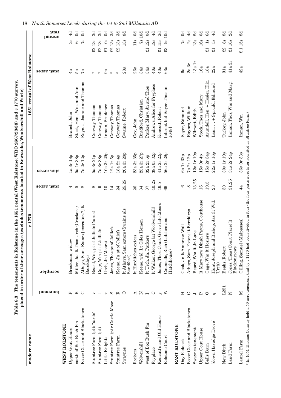| I VEN,<br>$T = 1770$ curves $T = 1$<br>)<br>)<br>of the company (c)<br>$L_{\rm iso} \land \Omega$ $\Omega$ $\Omega$ $\Xi$ $\Omega$ $\Omega$ $\Omega$ $\Omega$<br>・・・・・ ファー・・<br>$\mathbf{J}$ (Wast $\mathbf{D}$<br>$\frac{1}{2}$ . The state $\frac{1}{2}$<br>י בים בים ו<br>֖֖֧֧֧֧֪֧֧֪֧֚֚֚֚֚֚֚֚֚֚֚֚֚֚֚֚֚֚֚֚֚֚֚֚֚֚֚֚֚֚֡֬֝֡֡֡֝֓֝֓֡֝֓֝֓֝֓<br>.<br>6<br>. פטבנט<br>Table 8.3 | j<br>$\frac{1}{2}$<br>$T = 10$<br>$\ddot{r}$<br>צו<br>י<br>ć<br>$\overline{\phantom{a}}$<br>d III oi<br>ρ.<br>Π |
|---------------------------------------------------------------------------------------------------------------------------------------------------------------------------------------------------------------------------------------------------------------------------------------------------------------------------------------------------------------------------|-----------------------------------------------------------------------------------------------------------------|

| ьã<br>4a<br>7a<br>9a<br>$\ast$<br>$\ast$<br>ų.<br>*<br>Arundell, Hen. + Hosier, Eliz.<br>Raynes, Joanne and Thomas<br>Inman, Thos, Wm and Marg.<br>Lam,  + Sprudd, Edmund<br>Andrews, Alice for Fryplace<br>Parker, Mary, Jn and Thos<br>Stock, Hen., Wm. and Ann<br>[absent but Sayer, Thos in<br>Stock, Thos and Mary<br>Bradford, Christian<br>Inman, Prudence<br>Conway, Thomas<br>Conway, Thomas<br>Conway, Thomas<br>Conway, Thomas<br>Raynes, William<br>Kencott, Robert<br>Sayer, Edmund<br>Swaine, Robert<br>Wilmott, Edith<br>Branch, John<br>Tuckey, John<br>Cox, John<br>1648]<br>30a 1r 19p<br>31a 2r 24p<br>12a 1r 19p<br>15a 2r 34p<br>22a 1r 16p<br>10a 3r 29p<br>23a 3r 35p<br>25a 3r 27p<br>38a Or 32p<br>41a 2r 22p<br>56a 3r 29p<br>$20a$ 3r $28p$<br>15a Or 4p<br>6a 1r 32p<br>7a 2r 12p<br>32a 2r 6p<br>12a 1r 5p<br>18a 2r 4p<br><b>7a 3r 38p</b><br>5a 1r 38p<br>7a 2r 12p<br>5a 3r 21p<br>1a 3r 18p<br>stat. acres<br>13.25<br>31.25<br>25.25<br>40.25<br>19.5<br>46.5<br>16<br>$\infty$<br>ဖ<br>23<br>30<br>cust. acres<br>င<br>24<br>26<br>88<br>IJ<br>$\infty$<br>∞<br>$\overline{10}$<br>14<br>34<br>57<br>4<br>It Mary now Dinah Payne, Gouthouse<br>3ishop, Jas (1t Wid<br>Jones, Thos, Court Grove late Moors<br>Athays, Sam. Extors [executors?] lt<br>Jrch (Crockers)<br>1t Walker, George [at Woolvershill]<br>It Athays, Sam extors (Swains als<br>Athays, Sam. Extors It Berekleys<br>Beard, Wm, pt of Jolliefs (Yards)<br>Counsells, Rich (Latches and<br>Keene, wid. Lt Giles Hemen<br>Place) lt<br>Cook, Jn 1t Ambrose Wall<br>Jones, Thos pt of Jolliefs<br>Gage, Wm pt of Jolliefs<br>Keene, Jn pt of Jolliefs<br>Beard, Wm lt Jn Lane<br>Gage, Wm lt Hosiers<br>It Hurditches extors<br>lt Urch, Jn, Parkers<br>Miller, Jas lt Thos 1<br>Hunt, Joseph and I<br>Jones, Thos (Court<br>Brookman, widow<br>Urch, Jn (Moors)<br>Beaks, Robert<br>Blackburrows<br>Hatchhouse)<br>Berekleys<br>Sandford)<br>Urch<br>occupier<br>L251<br>1uəwəuə1<br>⋗<br>Z<br>≃<br>$\circ$<br>മ<br>$\circ$<br>$\circ$<br>⋖<br>Z<br>Ω<br>$\triangleright$<br>$\circ$<br>×<br>$\overline{ }$<br>Ξ<br>$\mathbf{p}$<br>○<br>p<br>ञ<br>Stuntree Farm (pt): Castle Moor<br>Bosse Close and Blackstones<br>Bosse Close and Blackstones<br>Stuntree Farm (pt): 'Yards'<br>Kencutt's and Old House<br>[down Havadge Drove]<br>north of Box Bush Fm<br>west of Box Bush Fm<br><b>WEST ROLSTONE</b><br><b>EAST ROLSTONE</b><br>Swaynes tenement<br>Upper Gout House<br>Upper Gout House<br>Stuntree Farm (pt)<br>Rolstone Court<br>Stuntree Farm<br>Little Knights<br>Day Paddock<br>Wolvershill<br>Land Farm<br><b>Balls Barn</b><br>New Ditch<br>Swaynes<br>Fryplace<br>Rockers | modern name | c1770 |  | 1651 rental of West Rolstone |        |                         |                |
|---------------------------------------------------------------------------------------------------------------------------------------------------------------------------------------------------------------------------------------------------------------------------------------------------------------------------------------------------------------------------------------------------------------------------------------------------------------------------------------------------------------------------------------------------------------------------------------------------------------------------------------------------------------------------------------------------------------------------------------------------------------------------------------------------------------------------------------------------------------------------------------------------------------------------------------------------------------------------------------------------------------------------------------------------------------------------------------------------------------------------------------------------------------------------------------------------------------------------------------------------------------------------------------------------------------------------------------------------------------------------------------------------------------------------------------------------------------------------------------------------------------------------------------------------------------------------------------------------------------------------------------------------------------------------------------------------------------------------------------------------------------------------------------------------------------------------------------------------------------------------------------------------------------------------------------------------------------------------------------------------------------------------------------------------------------------------------------------------------------------------------------------------------------------------------------------------------------------------------------------------------------------------------------------------------------------------------------------------------------------------------------------------------------------------------------------------------------------------------------------------------------------------------------------------------------------------------------------------------------------------------------------------------------------------------------------|-------------|-------|--|------------------------------|--------|-------------------------|----------------|
|                                                                                                                                                                                                                                                                                                                                                                                                                                                                                                                                                                                                                                                                                                                                                                                                                                                                                                                                                                                                                                                                                                                                                                                                                                                                                                                                                                                                                                                                                                                                                                                                                                                                                                                                                                                                                                                                                                                                                                                                                                                                                                                                                                                                                                                                                                                                                                                                                                                                                                                                                                                                                                                                                             |             |       |  |                              |        | <b>Jaunal</b>           | 1uə.           |
|                                                                                                                                                                                                                                                                                                                                                                                                                                                                                                                                                                                                                                                                                                                                                                                                                                                                                                                                                                                                                                                                                                                                                                                                                                                                                                                                                                                                                                                                                                                                                                                                                                                                                                                                                                                                                                                                                                                                                                                                                                                                                                                                                                                                                                                                                                                                                                                                                                                                                                                                                                                                                                                                                             |             |       |  |                              |        |                         |                |
|                                                                                                                                                                                                                                                                                                                                                                                                                                                                                                                                                                                                                                                                                                                                                                                                                                                                                                                                                                                                                                                                                                                                                                                                                                                                                                                                                                                                                                                                                                                                                                                                                                                                                                                                                                                                                                                                                                                                                                                                                                                                                                                                                                                                                                                                                                                                                                                                                                                                                                                                                                                                                                                                                             |             |       |  |                              |        | 3s                      | 4d             |
|                                                                                                                                                                                                                                                                                                                                                                                                                                                                                                                                                                                                                                                                                                                                                                                                                                                                                                                                                                                                                                                                                                                                                                                                                                                                                                                                                                                                                                                                                                                                                                                                                                                                                                                                                                                                                                                                                                                                                                                                                                                                                                                                                                                                                                                                                                                                                                                                                                                                                                                                                                                                                                                                                             |             |       |  |                              |        | 6s                      | $\mathbb{S}$   |
|                                                                                                                                                                                                                                                                                                                                                                                                                                                                                                                                                                                                                                                                                                                                                                                                                                                                                                                                                                                                                                                                                                                                                                                                                                                                                                                                                                                                                                                                                                                                                                                                                                                                                                                                                                                                                                                                                                                                                                                                                                                                                                                                                                                                                                                                                                                                                                                                                                                                                                                                                                                                                                                                                             |             |       |  |                              |        | $\mathbb{Z}^2$          | $\mathbb{S}$   |
|                                                                                                                                                                                                                                                                                                                                                                                                                                                                                                                                                                                                                                                                                                                                                                                                                                                                                                                                                                                                                                                                                                                                                                                                                                                                                                                                                                                                                                                                                                                                                                                                                                                                                                                                                                                                                                                                                                                                                                                                                                                                                                                                                                                                                                                                                                                                                                                                                                                                                                                                                                                                                                                                                             |             |       |  |                              |        | £213s                   | ನೆ             |
|                                                                                                                                                                                                                                                                                                                                                                                                                                                                                                                                                                                                                                                                                                                                                                                                                                                                                                                                                                                                                                                                                                                                                                                                                                                                                                                                                                                                                                                                                                                                                                                                                                                                                                                                                                                                                                                                                                                                                                                                                                                                                                                                                                                                                                                                                                                                                                                                                                                                                                                                                                                                                                                                                             |             |       |  |                              |        | £213s                   | ನ              |
|                                                                                                                                                                                                                                                                                                                                                                                                                                                                                                                                                                                                                                                                                                                                                                                                                                                                                                                                                                                                                                                                                                                                                                                                                                                                                                                                                                                                                                                                                                                                                                                                                                                                                                                                                                                                                                                                                                                                                                                                                                                                                                                                                                                                                                                                                                                                                                                                                                                                                                                                                                                                                                                                                             |             |       |  |                              |        | $\infty$<br>$\Xi$       | ි              |
|                                                                                                                                                                                                                                                                                                                                                                                                                                                                                                                                                                                                                                                                                                                                                                                                                                                                                                                                                                                                                                                                                                                                                                                                                                                                                                                                                                                                                                                                                                                                                                                                                                                                                                                                                                                                                                                                                                                                                                                                                                                                                                                                                                                                                                                                                                                                                                                                                                                                                                                                                                                                                                                                                             |             |       |  |                              |        | £213s                   | 3d             |
|                                                                                                                                                                                                                                                                                                                                                                                                                                                                                                                                                                                                                                                                                                                                                                                                                                                                                                                                                                                                                                                                                                                                                                                                                                                                                                                                                                                                                                                                                                                                                                                                                                                                                                                                                                                                                                                                                                                                                                                                                                                                                                                                                                                                                                                                                                                                                                                                                                                                                                                                                                                                                                                                                             |             |       |  |                              |        | £213s                   | ನ              |
|                                                                                                                                                                                                                                                                                                                                                                                                                                                                                                                                                                                                                                                                                                                                                                                                                                                                                                                                                                                                                                                                                                                                                                                                                                                                                                                                                                                                                                                                                                                                                                                                                                                                                                                                                                                                                                                                                                                                                                                                                                                                                                                                                                                                                                                                                                                                                                                                                                                                                                                                                                                                                                                                                             |             |       |  |                              | 23a    | 13s                     | 8d             |
|                                                                                                                                                                                                                                                                                                                                                                                                                                                                                                                                                                                                                                                                                                                                                                                                                                                                                                                                                                                                                                                                                                                                                                                                                                                                                                                                                                                                                                                                                                                                                                                                                                                                                                                                                                                                                                                                                                                                                                                                                                                                                                                                                                                                                                                                                                                                                                                                                                                                                                                                                                                                                                                                                             |             |       |  |                              | 26a    | $11s$                   | $\Im$          |
|                                                                                                                                                                                                                                                                                                                                                                                                                                                                                                                                                                                                                                                                                                                                                                                                                                                                                                                                                                                                                                                                                                                                                                                                                                                                                                                                                                                                                                                                                                                                                                                                                                                                                                                                                                                                                                                                                                                                                                                                                                                                                                                                                                                                                                                                                                                                                                                                                                                                                                                                                                                                                                                                                             |             |       |  |                              | 34а    | 7s10d                   |                |
|                                                                                                                                                                                                                                                                                                                                                                                                                                                                                                                                                                                                                                                                                                                                                                                                                                                                                                                                                                                                                                                                                                                                                                                                                                                                                                                                                                                                                                                                                                                                                                                                                                                                                                                                                                                                                                                                                                                                                                                                                                                                                                                                                                                                                                                                                                                                                                                                                                                                                                                                                                                                                                                                                             |             |       |  |                              | 34а    | £112s                   | $\Im$          |
|                                                                                                                                                                                                                                                                                                                                                                                                                                                                                                                                                                                                                                                                                                                                                                                                                                                                                                                                                                                                                                                                                                                                                                                                                                                                                                                                                                                                                                                                                                                                                                                                                                                                                                                                                                                                                                                                                                                                                                                                                                                                                                                                                                                                                                                                                                                                                                                                                                                                                                                                                                                                                                                                                             |             |       |  |                              | 40a    | 19s                     | 4d             |
|                                                                                                                                                                                                                                                                                                                                                                                                                                                                                                                                                                                                                                                                                                                                                                                                                                                                                                                                                                                                                                                                                                                                                                                                                                                                                                                                                                                                                                                                                                                                                                                                                                                                                                                                                                                                                                                                                                                                                                                                                                                                                                                                                                                                                                                                                                                                                                                                                                                                                                                                                                                                                                                                                             |             |       |  |                              | 40a    | £15s                    | 2d             |
|                                                                                                                                                                                                                                                                                                                                                                                                                                                                                                                                                                                                                                                                                                                                                                                                                                                                                                                                                                                                                                                                                                                                                                                                                                                                                                                                                                                                                                                                                                                                                                                                                                                                                                                                                                                                                                                                                                                                                                                                                                                                                                                                                                                                                                                                                                                                                                                                                                                                                                                                                                                                                                                                                             |             |       |  |                              | 63a    | 9s10d<br>$\mathfrak{L}$ |                |
|                                                                                                                                                                                                                                                                                                                                                                                                                                                                                                                                                                                                                                                                                                                                                                                                                                                                                                                                                                                                                                                                                                                                                                                                                                                                                                                                                                                                                                                                                                                                                                                                                                                                                                                                                                                                                                                                                                                                                                                                                                                                                                                                                                                                                                                                                                                                                                                                                                                                                                                                                                                                                                                                                             |             |       |  |                              |        |                         |                |
|                                                                                                                                                                                                                                                                                                                                                                                                                                                                                                                                                                                                                                                                                                                                                                                                                                                                                                                                                                                                                                                                                                                                                                                                                                                                                                                                                                                                                                                                                                                                                                                                                                                                                                                                                                                                                                                                                                                                                                                                                                                                                                                                                                                                                                                                                                                                                                                                                                                                                                                                                                                                                                                                                             |             |       |  |                              | 6a     | $\mathbb{Z}$            | 3              |
|                                                                                                                                                                                                                                                                                                                                                                                                                                                                                                                                                                                                                                                                                                                                                                                                                                                                                                                                                                                                                                                                                                                                                                                                                                                                                                                                                                                                                                                                                                                                                                                                                                                                                                                                                                                                                                                                                                                                                                                                                                                                                                                                                                                                                                                                                                                                                                                                                                                                                                                                                                                                                                                                                             |             |       |  |                              | 2a3r   | 2s                      | 4 <sup>d</sup> |
|                                                                                                                                                                                                                                                                                                                                                                                                                                                                                                                                                                                                                                                                                                                                                                                                                                                                                                                                                                                                                                                                                                                                                                                                                                                                                                                                                                                                                                                                                                                                                                                                                                                                                                                                                                                                                                                                                                                                                                                                                                                                                                                                                                                                                                                                                                                                                                                                                                                                                                                                                                                                                                                                                             |             |       |  |                              | 13a 1r | 13s                     | 8d             |
|                                                                                                                                                                                                                                                                                                                                                                                                                                                                                                                                                                                                                                                                                                                                                                                                                                                                                                                                                                                                                                                                                                                                                                                                                                                                                                                                                                                                                                                                                                                                                                                                                                                                                                                                                                                                                                                                                                                                                                                                                                                                                                                                                                                                                                                                                                                                                                                                                                                                                                                                                                                                                                                                                             |             |       |  |                              | 16a    | 16s                     | $\mathbb{S}$   |
|                                                                                                                                                                                                                                                                                                                                                                                                                                                                                                                                                                                                                                                                                                                                                                                                                                                                                                                                                                                                                                                                                                                                                                                                                                                                                                                                                                                                                                                                                                                                                                                                                                                                                                                                                                                                                                                                                                                                                                                                                                                                                                                                                                                                                                                                                                                                                                                                                                                                                                                                                                                                                                                                                             |             |       |  |                              | 18a    | $\frac{a}{18}$<br>$\Xi$ | 6d             |
|                                                                                                                                                                                                                                                                                                                                                                                                                                                                                                                                                                                                                                                                                                                                                                                                                                                                                                                                                                                                                                                                                                                                                                                                                                                                                                                                                                                                                                                                                                                                                                                                                                                                                                                                                                                                                                                                                                                                                                                                                                                                                                                                                                                                                                                                                                                                                                                                                                                                                                                                                                                                                                                                                             |             |       |  |                              | 22a    | 58<br>$\Xi$             | 4d             |
|                                                                                                                                                                                                                                                                                                                                                                                                                                                                                                                                                                                                                                                                                                                                                                                                                                                                                                                                                                                                                                                                                                                                                                                                                                                                                                                                                                                                                                                                                                                                                                                                                                                                                                                                                                                                                                                                                                                                                                                                                                                                                                                                                                                                                                                                                                                                                                                                                                                                                                                                                                                                                                                                                             |             |       |  |                              | 31a    | 88<br>$\mathfrak{L}$    | 8d             |
|                                                                                                                                                                                                                                                                                                                                                                                                                                                                                                                                                                                                                                                                                                                                                                                                                                                                                                                                                                                                                                                                                                                                                                                                                                                                                                                                                                                                                                                                                                                                                                                                                                                                                                                                                                                                                                                                                                                                                                                                                                                                                                                                                                                                                                                                                                                                                                                                                                                                                                                                                                                                                                                                                             |             |       |  |                              | 41a3r  | £116s                   | 2d             |
| Inman, Wm<br>36a Or 33p<br>$\overline{4}$<br>Gilling, Samuel (Malpasses)<br>$\mathbb N$<br>Laurel Farm                                                                                                                                                                                                                                                                                                                                                                                                                                                                                                                                                                                                                                                                                                                                                                                                                                                                                                                                                                                                                                                                                                                                                                                                                                                                                                                                                                                                                                                                                                                                                                                                                                                                                                                                                                                                                                                                                                                                                                                                                                                                                                                                                                                                                                                                                                                                                                                                                                                                                                                                                                                      |             |       |  |                              | 42a    | £115s                   | 8d             |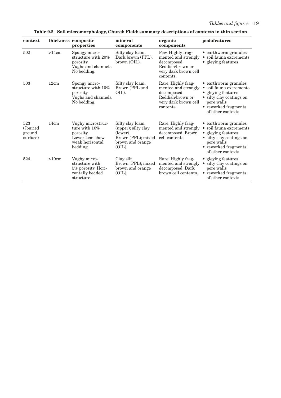| context                                |       | thickness composite<br>properties                                                                   | mineral<br>components                                                                                     | organic<br>components                                                                                             | pedofeatures                                                                                                                                                 |
|----------------------------------------|-------|-----------------------------------------------------------------------------------------------------|-----------------------------------------------------------------------------------------------------------|-------------------------------------------------------------------------------------------------------------------|--------------------------------------------------------------------------------------------------------------------------------------------------------------|
| 502                                    | >14cm | Spongy micro-<br>structure with 20%<br>porosity.<br>Vughs and channels.<br>No bedding.              | Silty clay loam.<br>Dark brown (PPL);<br>brown (OIL).                                                     | Few. Highly frag-<br>mented and strongly<br>decomposed.<br>Reddish/brown or<br>very dark brown cell<br>contents.  | • earthworm granules<br>$\bullet\,$ soil fauna excrements<br>• gleying features                                                                              |
| 503                                    | 12cm  | Spongy micro-<br>structure with 10%<br>porosity.<br>Vughs and channels.<br>No bedding.              | Silty clay loam.<br>Brown (PPL and<br>OIL).                                                               | Rare. Highly frag-<br>mented and strongly<br>decomposed.<br>Reddish/brown or<br>very dark brown cell<br>contents. | • earthworm granules<br>· soil fauna excrements<br>• gleying features<br>• silty clay coatings on<br>pore walls<br>• reworked fragments<br>of other contexts |
| 523<br>(?buried)<br>ground<br>surface) | 14cm  | Vughy microstruc-<br>ture with $10\%$<br>porosity.<br>Lower 4cm show<br>weak horizontal<br>bedding. | Silty clay loam<br>(upper); silty clay<br>(lower).<br>Brown (PPL); mixed<br>brown and orange<br>$(OIL)$ . | Rare. Highly frag-<br>mented and strongly<br>decomposed. Brown<br>cell contents.                                  | • earthworm granules<br>• soil fauna excrements<br>• gleying features<br>• silty clay coatings on<br>pore walls<br>• reworked fragments<br>of other contexts |
| 524                                    | >10cm | Vughy micro-<br>structure with<br>5% porosity. Hori-<br>zontally bedded<br>structure.               | Clay silt.<br>Brown (PPL); mixed<br>brown and orange<br>$(OIL)$ .                                         | Rare. Highly frag-<br>mented and strongly<br>decomposed. Dark<br>brown cell contents.                             | • gleying features<br>silty clay coatings on<br>pore walls<br>• reworked fragments<br>of other contexts                                                      |

**Table 9.2 Soil micromorphology, Church Field: summary descriptions of contexts in thin section**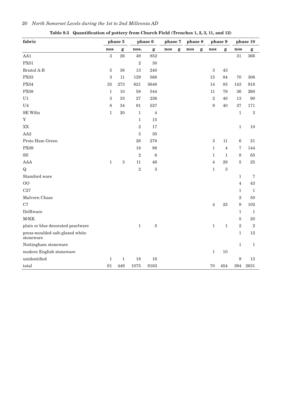| fabric                                       |                  | phase 5                   |                  | phase 6          | phase 7 |                           | phase 8    |              | phase 9          |                           |                  | phase 10     |
|----------------------------------------------|------------------|---------------------------|------------------|------------------|---------|---------------------------|------------|--------------|------------------|---------------------------|------------------|--------------|
|                                              | nos              | $\boldsymbol{\mathrm{g}}$ | nos.             | $\boldsymbol{g}$ | nos     | $\boldsymbol{\mathrm{g}}$ | $\bf{nos}$ | $\mathbf{g}$ | $\bf{nos}$       | $\boldsymbol{\mathsf{g}}$ | nos              | $\mathbf{g}$ |
| AA1                                          | $\boldsymbol{3}$ | 26                        | 49               | 852              |         |                           |            |              |                  |                           | $31\,$           | 366          |
| <b>PX01</b>                                  |                  |                           | $\,2$            | $30\,$           |         |                           |            |              |                  |                           |                  |              |
| Bristol A-B                                  | 5                | 38                        | $13\,$           | 240              |         |                           |            |              | $\,3$            | $43\,$                    |                  |              |
| PX03                                         | 3                | 11                        | 129              | 568              |         |                           |            |              | 15               | 84                        | $70\,$           | 306          |
| <b>PX04</b>                                  | 35               | 273                       | 621              | 5648             |         |                           |            |              | 14               | 85                        | 143              | 918          |
| <b>PX08</b>                                  | $\mathbf{1}$     | 10                        | $58\,$           | 544              |         |                           |            |              | 11               | $\boldsymbol{79}$         | 36               | 260          |
| ${\rm U1}$                                   | $\boldsymbol{3}$ | 33                        | 27               | 236              |         |                           |            |              | $\overline{2}$   | 40                        | 13               | $90\,$       |
| U <sub>4</sub>                               | 8                | 34                        | $\rm 91$         | 527              |         |                           |            |              | $\boldsymbol{9}$ | $40\,$                    | 37               | 171          |
| <b>SE Wilts</b>                              | $\mathbf{1}$     | $20\,$                    | $\,1\,$          | $\overline{4}$   |         |                           |            |              |                  |                           | $\,1\,$          | $\sqrt{3}$   |
| $\mathbf Y$                                  |                  |                           | $\mathbf{1}$     | 15               |         |                           |            |              |                  |                           |                  |              |
| XX                                           |                  |                           | $\sqrt{2}$       | 17               |         |                           |            |              |                  |                           | $\,1\,$          | 10           |
| AA2                                          |                  |                           | $\boldsymbol{3}$ | $30\,$           |         |                           |            |              |                  |                           |                  |              |
| Proto Ham Green                              |                  |                           | 26               | 278              |         |                           |            |              | $\sqrt{3}$       | 11                        | $\,6\,$          | 21           |
| PX09                                         |                  |                           | 18               | 98               |         |                           |            |              | $\mathbf{1}$     | $\overline{4}$            | $\sqrt{ }$       | 144          |
| $_{\rm SS}$                                  |                  |                           | $\sqrt{2}$       | $\,6\,$          |         |                           |            |              | $\mathbf{1}$     | $\mathbf{1}$              | $\,8\,$          | $65\,$       |
| <b>AAA</b>                                   | $\mathbf{1}$     | $\,3$                     | 11               | $\sqrt{46}$      |         |                           |            |              | $\overline{4}$   | 28                        | $\rm 5$          | $25\,$       |
| $\mathbf{Q}$                                 |                  |                           | $\overline{2}$   | $\sqrt{3}$       |         |                           |            |              | $\mathbf{1}$     | $\,3$                     |                  |              |
| Stamford ware                                |                  |                           |                  |                  |         |                           |            |              |                  |                           | $\mathbf{1}$     | $\sqrt{7}$   |
| 00                                           |                  |                           |                  |                  |         |                           |            |              |                  |                           | $\overline{4}$   | 43           |
| C27                                          |                  |                           |                  |                  |         |                           |            |              |                  |                           | $\mathbf{1}$     | $1\,$        |
| Malvern Chase                                |                  |                           |                  |                  |         |                           |            |              |                  |                           | $\sqrt{2}$       | $50\,$       |
| C7                                           |                  |                           |                  |                  |         |                           |            |              | $\overline{4}$   | $25\,$                    | $\boldsymbol{9}$ | 102          |
| Delftware                                    |                  |                           |                  |                  |         |                           |            |              |                  |                           | $\mathbf 1$      | $1\,$        |
| M/KK                                         |                  |                           |                  |                  |         |                           |            |              |                  |                           | $\bf 5$          | $20\,$       |
| plain or blue decorated pearlware            |                  |                           | $\,1\,$          | $\rm 5$          |         |                           |            |              | $\mathbf{1}$     | $\mathbf 1$               | $\,2$            | $\sqrt{2}$   |
| press-moulded salt-glazed white<br>stoneware |                  |                           |                  |                  |         |                           |            |              |                  |                           | $\mathbf{1}$     | 12           |
| Nottingham stoneware                         |                  |                           |                  |                  |         |                           |            |              |                  |                           | $\mathbf 1$      | $1\,$        |
| modern English stoneware                     |                  |                           |                  |                  |         |                           |            |              | $\mathbf{1}$     | $10\,$                    |                  |              |
| unidentified                                 | $\mathbf{1}$     | $\mathbf{1}$              | 18               | 16               |         |                           |            |              |                  |                           | $\boldsymbol{9}$ | 13           |
| total                                        | 61               | 449                       | 1075             | 9163             |         |                           |            |              | 70               | 454                       | 394              | 2631         |

**Table 9.3 Quantification of pottery from Church Field (Trenches 1, 2, 3, 11, and 12)**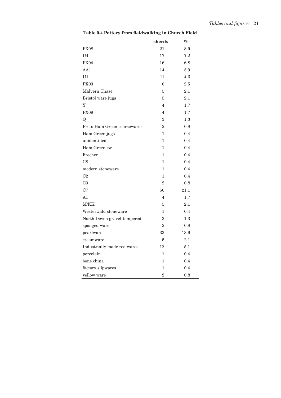|                             | sherds         | $\%$    |
|-----------------------------|----------------|---------|
| <b>PX08</b>                 | 21             | 8.9     |
| U <sub>4</sub>              | 17             | 7.2     |
| <b>PX04</b>                 | 16             | 6.8     |
| AA1                         | 14             | 5.9     |
| U <sub>1</sub>              | 11             | 4.6     |
| PX03                        | 6              | 2.5     |
| Malvern Chase               | 5              | 2.1     |
| Bristol ware jugs           | 5              | 2.1     |
| Y                           | 4              | 1.7     |
| <b>PX09</b>                 | 4              | 1.7     |
| Q                           | 3              | $1.3\,$ |
| Proto Ham Green coarsewares | $\overline{2}$ | 0.8     |
| Ham Green jugs              | $\mathbf{1}$   | 0.4     |
| unidentified                | $\mathbf{1}$   | 0.4     |
| Ham Green cw                | $\mathbf{1}$   | 0.4     |
| Frechen                     | $\mathbf{1}$   | 0.4     |
| C8                          | $\mathbf{1}$   | 0.4     |
| modern stoneware            | $\mathbf{1}$   | 0.4     |
| C <sub>2</sub>              | $\mathbf{1}$   | 0.4     |
| C <sub>3</sub>              | $\overline{2}$ | 0.8     |
| C7                          | 50             | 21.1    |
| A1                          | 4              | 1.7     |
| M/KK                        | 5              | 2.1     |
| Westerwald stoneware        | $\mathbf{1}$   | 0.4     |
| North Devon gravel-tempered | 3              | 1.3     |
| sponged ware                | $\overline{2}$ | 0.8     |
| pearlware                   | 33             | 13.9    |
| creamware                   | 5              | 2.1     |
| Industrially made red wares | 12             | 5.1     |
| porcelain                   | $\mathbf{1}$   | 0.4     |
| bone china                  | 1              | 0.4     |
| factory slipwares           | $\mathbf{1}$   | 0.4     |
| yellow ware                 | $\overline{2}$ | 0.8     |

**Table 9.4 Pottery from fieldwalking in Church Field**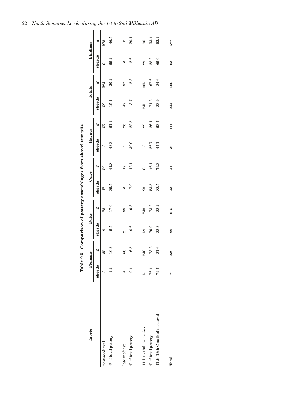|                              |        |         |                 |              |        |                 | Table 9.5 Comparison of pottery assemblages from shovel test pits |       |        |        |               |                 |
|------------------------------|--------|---------|-----------------|--------------|--------|-----------------|-------------------------------------------------------------------|-------|--------|--------|---------------|-----------------|
| fabric                       |        | Flemans |                 | <b>Butts</b> |        | Coles           | Haynes                                                            |       |        | Totals |               | <b>Bindings</b> |
|                              | sherds | òО      | sherds          | Ò.           | sherds | Ò.              | sherds                                                            | Ò.    | sherds | Ò.     | sherds        | ೲ               |
| post-medieval                | S      | 35      | 19              | <b>L73</b>   | 17     | 59              | 13                                                                | 57    | 52     | 324    | 61            | 273             |
| $\%$ of total pottery        | 4.2    | 10.3    | 9.5             | 17.0         | 39.5   | 41.8            | 43.3                                                              | 51.4  | $-51$  | 20.2   | 59.2          | 46.5            |
| late medieval                | 14     | 56      | $\overline{21}$ | 99           | ణ      | $\overline{17}$ | ග                                                                 | 25    | 47     | 197    | $\frac{3}{2}$ | 118             |
| $\%$ of total pottery        | 19.4   | 16.5    | 10.6            | 9.8          | 7.0    | 12.1            | 30.0                                                              | 22.5  | 13.7   | 12.3   | 12.6          | 20.1            |
| 11th to 13th centuries       | 55     | 248     | 159             | 743          | 23     | 65              | 8                                                                 | 29    | 245    | 1085   | 29            | 196             |
| % of total potency           | 76.4   | 73.2    | 79.9            | 73.2         | 53.5   | 46.1            | 26.7                                                              | 26.1  | 71.2   | 67.6   | 28.2          | 33.4            |
| 11th-13th C as % of medieval | 79.7   | 81.6    | 88.3            | 88.2         | 88.5   | 79.3            | 47.1                                                              | 53.7  | 83.9   | 84.6   | 69.0          | 62.4            |
| Total                        | 72     | 339     | 199             | 1015         | 43     | 141             | $\overline{30}$                                                   | $\Xi$ | 344    | 1606   | 103           | 587             |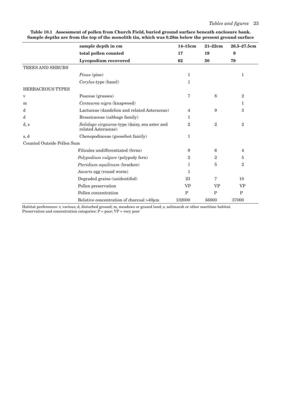|                            | sample depth in cm                                                   | $14-15cm$      | $21 - 22$ cm   | $26.5 - 27.5$ cm |
|----------------------------|----------------------------------------------------------------------|----------------|----------------|------------------|
|                            | total pollen counted                                                 | 17             | 19             | 9                |
|                            | Lycopodium recovered                                                 | 62             | 50             | 79               |
| TREES AND SHRUBS           |                                                                      |                |                |                  |
|                            | Pinus (pine)                                                         | 1              |                | 1                |
|                            | Corylus-type (hazel)                                                 | $\mathbf{1}$   |                |                  |
| <b>HERBACEOUS TYPES</b>    |                                                                      |                |                |                  |
| $\rm{V}$                   | Poaceae (grasses)                                                    | 7              | 8              | $\overline{2}$   |
| m                          | Centaurea nigra (knapweed)                                           |                |                | 1                |
| d                          | Lactuceae (dandelion and related Asteraceae)                         | 4              | 9              | 3                |
| d                          | Brassicaceae (cabbage family)                                        | 1              |                |                  |
| d, s                       | Solidago virgaurea-type (daisy, sea aster and<br>related Asteraceae) | $\overline{2}$ | $\overline{2}$ | $\overline{2}$   |
| s, d                       | Chenopodiaceae (goosefoot family)                                    | 1              |                |                  |
| Counted Outside Pollen Sum |                                                                      |                |                |                  |
|                            | Filicales undifferentiated (ferns)                                   | 9              | 6              | 4                |
|                            | Polypodium vulgare (polypody fern)                                   | $\overline{2}$ | $\overline{2}$ | 5                |
|                            | Pteridium aquilinum (bracken)                                        | 1              | 5              | $\overline{2}$   |
|                            | Ascaris egg (round worm)                                             | 1              |                |                  |
|                            | Degraded grains (unidentifed)                                        | 23             | 7              | 10               |
|                            | Pollen preservation                                                  | <b>VP</b>      | <b>VP</b>      | <b>VP</b>        |
|                            | Pollen concentration                                                 | $\mathbf{P}$   | P              | $\mathbf{P}$     |
|                            | Relative concentration of charcoal >40µm                             | 102000         | 56000          | 37000            |

**Table 10.1 Assessment of pollen from Church Field, buried ground surface beneath enclosure bank. Sample depths are from the top of the monolith tin, which was 0.28m below the present ground surface**

Habitat preferences: v, various; d, disturbed ground; m, meadows or grazed land; s, saltmarsh or other maritime habitat. Preservation and concentration categories: P = poor; VP = very poor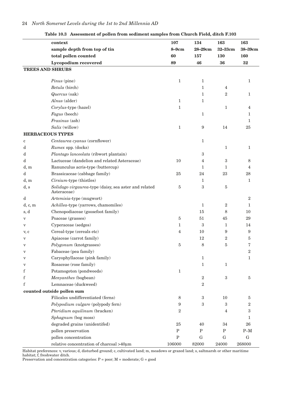|          | context                                                              | 107            | 134               | 163              | 163            |
|----------|----------------------------------------------------------------------|----------------|-------------------|------------------|----------------|
|          | sample depth from top of tin                                         | $8 - 9$ cm     | 28-29cm           | 32-33cm          | 38-39cm        |
|          | total pollen counted                                                 | 60             | 157               | 130              | 160            |
|          | Lycopodium recovered                                                 | 89             | 46                | 36               | 32             |
|          | <b>TREES AND SHRUBS</b>                                              |                |                   |                  |                |
|          | Pinus (pine)                                                         | 1              | $\mathbf{1}$      |                  | $\mathbf{1}$   |
|          | Betula (birch)                                                       |                | $\mathbf{1}$      |                  |                |
|          | Quercus (oak)                                                        |                |                   | 4                |                |
|          | Alnus (alder)                                                        |                | 1<br>$\mathbf{1}$ | $\boldsymbol{2}$ | 1              |
|          |                                                                      | 1              |                   |                  |                |
|          | Corylus-type (hazel)                                                 | 1              |                   | $\mathbf{1}$     | 4              |
|          | Fagus (beech)                                                        |                | $\mathbf{1}$      |                  | 1              |
|          | Fraxinus (ash)                                                       |                |                   |                  | $\mathbf{1}$   |
|          | Salix (willow)                                                       | 1              | $\boldsymbol{9}$  | 14               | 25             |
|          | <b>HERBACEOUS TYPES</b>                                              |                |                   |                  |                |
| c        | Centaurea cyanus (cornflower)                                        |                | $\mathbf{1}$      |                  |                |
| d        | Rumex spp. (docks)                                                   |                |                   | $\mathbf{1}$     | 1              |
| d        | Plantago lanceolata (ribwort plantain)                               |                | $\boldsymbol{3}$  |                  |                |
| d        | Lactuceae (dandelion and related Asteraceae)                         | 10             | 4                 | $\sqrt{3}$       | 8              |
| d, m     | Ranunculus acris-type (buttercup)                                    |                | $\mathbf{1}$      | $\mathbf{1}$     | 4              |
| d        | Brassicaceae (cabbage family)                                        | 25             | 24                | 23               | 28             |
| d, m     | Cirsium-type (thistles)                                              |                | 1                 |                  | $\mathbf{1}$   |
| d, s     | Solidago virgaurea-type (daisy, sea aster and related<br>Asteraceae) | 5              | 3                 | $\bf 5$          |                |
| d        | Artemisia-type (mugwort)                                             |                |                   |                  | $\overline{2}$ |
| d, c, m  | Achillea-type (yarrows, chamomiles)                                  |                | $\mathbf{1}$      | $\boldsymbol{2}$ | $\mathbf{1}$   |
| s, d     | Chenopodiaceae (goosefoot family)                                    |                | 15                | 8                | 10             |
| $\rm{V}$ | Poaceae (grasses)                                                    | $\overline{5}$ | 51                | 45               | 29             |
| V        | Cyperaceae (sedges)                                                  | 1              | 3                 | $\mathbf{1}$     | 14             |
| v, c     | Cereal-type (cereals etc)                                            | 4              | 10                | 9                | 9              |
| V        | Apiaceae (carrot family)                                             |                | 12                | 2                | 5              |
| $\rm{V}$ | Polygonum (knotgrasses)                                              | 5              | 8                 | 5                | 7              |
| V        | Fabaceae (pea family)                                                |                |                   |                  | $\overline{2}$ |
| V        | Caryophyllaceae (pink family)                                        |                | $\mathbf{1}$      |                  | 1              |
| V        | Rosaceae (rose family)                                               |                | $\mathbf{1}$      | $\mathbf{1}$     |                |
| f        | Potamogeton (pondweeds)                                              | $\mathbf 1$    |                   |                  |                |
| f        | Menyanthes (bogbean)                                                 |                | $\,2$             | $\,3$            | 5              |
| f        | Lemnaceae (duckweed)                                                 |                | $\overline{2}$    |                  |                |
|          | counted outside pollen sum                                           |                |                   |                  |                |
|          | Filicales undifferentiated (ferns)                                   | 8              | $\,3$             | $10\,$           | 5              |
|          | Polypodium vulgare (polypody fern)                                   | 9              | $\boldsymbol{3}$  | 3                | 2              |
|          | Pteridium aquilinum (bracken)                                        | 2              |                   | 4                | 3              |
|          | Sphagnum (bog moss)                                                  |                |                   |                  | 1              |
|          | degraded grains (unidentifed)                                        | 25             | 40                | 34               | 26             |
|          | pollen preservation                                                  | $\mathbf P$    | $\mathbf P$       | $\mathbf P$      | $P-M$          |
|          | pollen concentration                                                 | ${\bf P}$      | G                 | G                | ${\bf G}$      |
|          | relative concentration of charcoal >40µm                             | 106000         | 82000             | 24000            | 268000         |

# **Table 10.3 Assessment of pollen from sediment samples from Church Field, ditch F.103**

Habitat preferences: v, various; d, disturbed ground; c, cultivated land; m, meadows or grazed land; s, saltmarsh or other maritime habitat; f, freshwater ditch.

Preservation and concentration categories: P = poor; M = moderate; G = good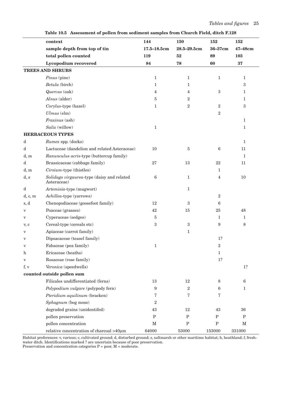|                           | context                                                   | 144              | 150            | 152              | 152          |
|---------------------------|-----------------------------------------------------------|------------------|----------------|------------------|--------------|
|                           | sample depth from top of tin                              | $17.5 - 18.5$ cm | 28.5-29.5cm    | 36-37cm          | 47-48cm      |
|                           | total pollen counted                                      | 119              | 52             | 89               | 103          |
|                           | <b>Lycopodium</b> recovered                               | 84               | 78             | 60               | 37           |
|                           | <b>TREES AND SHRUBS</b>                                   |                  |                |                  |              |
|                           | Pinus (pine)                                              | $\mathbf{1}$     | 1              | $\mathbf{1}$     | $\mathbf 1$  |
|                           | Betula (birch)                                            | 1                | 1              |                  | 3            |
|                           | Quercus (oak)                                             | 4                | 4              | 3                | $\mathbf{1}$ |
|                           | Alnus (alder)                                             | 5                | $\overline{2}$ |                  | 1            |
|                           | Corylus-type (hazel)                                      | 1                | $\overline{2}$ | $\overline{2}$   | 3            |
|                           | $Ulmus$ (elm)                                             |                  |                | $\overline{2}$   |              |
|                           | Fraxinus (ash)                                            |                  |                |                  | 1            |
|                           | Salix (willow)                                            | $\mathbf{1}$     |                |                  | $\mathbf 1$  |
|                           | <b>HERBACEOUS TYPES</b>                                   |                  |                |                  |              |
| d                         | Rumex spp. (docks)                                        |                  |                |                  | 1            |
| d                         | Lactuceae (dandelion and related Asteraceae)              | 10               | 5              | $\,6$            | 11           |
| d, m                      | Ranunculus acris-type (buttercup family)                  |                  |                |                  | 1            |
| d                         | Brassicaceae (cabbage family)                             | 27               | 13             | 22               | 11           |
| d, m                      | Cirsium-type (thistles)                                   |                  |                | 1                |              |
| d, s                      | Solidago virgaurea-type (daisy and related<br>Asteraceae) | 6                | 1              | 4                | 10           |
| d                         | Artemisia-type (mugwort)                                  |                  | $\mathbf 1$    |                  |              |
| d, c, m                   | Achillea-type (yarrows)                                   |                  |                | $\overline{2}$   |              |
| s, d                      | Chenopodiaceae (goosefoot family)                         | 12               | 3              | 6                |              |
| $\boldsymbol{\mathrm{V}}$ | Poaceae (grasses)                                         | 42               | 15             | 25               | 48           |
| $\mathbf{V}$              | Cyperaceae (sedges)                                       | 5                |                | $\mathbf{1}$     | 1            |
| v, c                      | Cereal-type (cereals etc)                                 | 3                | 3              | $\boldsymbol{9}$ | 8            |
| $\mathbf{V}$              | Apiaceae (carrot family)                                  |                  | $\mathbf{1}$   |                  |              |
| $\rm{V}$                  | Dipsacaceae (teasel family)                               |                  |                | 1?               |              |
| $\mathbf{V}$              | Fabaceae (pea family)                                     | $\mathbf{1}$     |                | $\,2$            |              |
| h                         | Ericaceae (heaths)                                        |                  |                | $\mathbf 1$      |              |
| $\mathbf{V}$              | Rosaceae (rose family)                                    |                  |                | 1?               |              |
| f, v                      | Veronica (speedwells)                                     |                  |                |                  | 1?           |
|                           | counted outside pollen sum                                |                  |                |                  |              |
|                           | Filicales undifferentiated (ferns)                        | 13               | 12             | 8                | 6            |
|                           | Polypodium vulgare (polypody fern)                        | 9                | $\overline{2}$ | 6                | $\mathbf{1}$ |
|                           | Pteridium aquilinum (bracken)                             | 7                | 7              | 7                |              |
|                           | Sphagnum (bog moss)                                       | $\overline{2}$   |                |                  |              |
|                           | degraded grains (unidentifed)                             | 43               | 12             | 43               | 36           |
|                           | pollen preservation                                       | ${\bf P}$        | $\mathbf P$    | ${\bf P}$        | $\mathbf{P}$ |
|                           | pollen concentration                                      | М                | $\mathbf P$    | ${\bf P}$        | М            |
|                           | relative concentration of charcoal >40µm                  | 64000            | 53000          | 153000           | 331000       |

**Table 10.5 Assessment of pollen from sediment samples from Church Field, ditch F.128**

Habitat preferences: v, various; c, cultivated ground; d, disturbed ground; s, saltmarsh or other maritime habitat; h, heathland; f, freshwater ditch. Identifications marked ? are uncertain because of poor preservation.

Preservation and concentration categories  $P = poor$ ,  $M = moderate$ .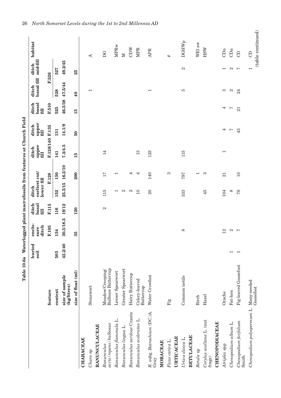|                                        |                                              | Table 10.6a Waterlogged plant macrofossils from features at Church Field |                         |                        |                                      |         |                          |                        |                        |                          |                          |                   |
|----------------------------------------|----------------------------------------------|--------------------------------------------------------------------------|-------------------------|------------------------|--------------------------------------|---------|--------------------------|------------------------|------------------------|--------------------------|--------------------------|-------------------|
|                                        |                                              | buried<br>soil                                                           | enclo-<br>ditch<br>sure | basal<br>ditch<br>fill | earliest cut/<br>lower fill<br>ditch |         | upper<br>fill<br>ditch   | upper<br>fill<br>ditch | basal<br>fill<br>ditch | basal fill<br>ditch      | mid-fill<br>ditch        | habitat           |
|                                        | feature                                      |                                                                          | F.103                   | F.115                  |                                      | F.128   | F.128/140 F.135          |                        | F.510                  | F.526                    |                          |                   |
|                                        | context                                      | 503                                                                      | 134                     | 116                    | 152                                  | 150     | 141                      | 131                    | 525                    | 528                      | 527                      |                   |
|                                        | size of sample<br>(kg/litres)                | 42.2/40                                                                  | 30.3/18.5               | 19/12                  | 25.5/15                              | 16.2/10 | 7.2/4.5                  | 14.1/9                 | 46.3/38                | 47.5/44                  | 49.2/45                  |                   |
|                                        | size of float (ml)                           |                                                                          | 35                      | 120                    |                                      | 200     | 15                       | 50                     | 15                     | $\overline{40}$          | 25                       |                   |
| <b>CHARACEAE</b>                       |                                              |                                                                          |                         |                        |                                      |         |                          |                        |                        |                          |                          |                   |
| Chara sp                               | Stonewort                                    |                                                                          |                         |                        |                                      |         |                          |                        |                        | $\overline{\phantom{0}}$ |                          | ⋖                 |
| <b>RANUNCULACEAE</b>                   |                                              |                                                                          |                         |                        |                                      |         |                          |                        |                        |                          |                          |                   |
| acris/repens/bulbosus<br>Ranunculus    | <b>Bulbous Buttercup</b><br>Meadow/Creeping/ |                                                                          |                         | $\mathbf{\Omega}$      | 115                                  | 17      | 14                       |                        |                        |                          |                          | DG                |
| Ranunculus flammula L.                 | Lesser Spearwort                             |                                                                          |                         |                        | $\overline{\phantom{0}}$             | ⊣       |                          |                        |                        |                          |                          | <b>MPRw</b>       |
| Ranunculus lingua L.                   | Greater Spearwort                            |                                                                          |                         |                        | N                                    |         |                          |                        |                        |                          |                          | $\mathbb N$       |
| Ranunculus sardous Crantz              | Hairy Buttercup                              |                                                                          |                         |                        | $\mathbf{\Omega}$                    | 4       |                          |                        |                        |                          |                          | CDW               |
| Ranunculus sceleratus L.               | Celery-leaved<br>Buttercup                   |                                                                          |                         |                        | $\overline{10}$                      | ↤       | 13                       |                        |                        |                          |                          | <b>MPR</b>        |
| R. subg. Batrachium (DC.)A.<br>Gray    | Water Crowfoot                               |                                                                          |                         |                        | $\Omega$                             | 140     | 123                      |                        |                        | $\overline{\phantom{0}}$ |                          | <b>APR</b>        |
| MORACEAE                               |                                              |                                                                          |                         |                        |                                      |         |                          |                        |                        |                          |                          |                   |
| Ficus carica L.                        | Fig                                          |                                                                          |                         |                        |                                      | S       |                          |                        |                        |                          |                          | #                 |
| URTICACEAE                             |                                              |                                                                          |                         |                        |                                      |         |                          |                        |                        |                          |                          |                   |
| Urtica dioica L.                       | Common nettle                                |                                                                          | $\infty$                |                        | 333                                  | 797     | 115                      |                        |                        | ю                        | $\mathbf{\Omega}$        | <b>DGHWp</b>      |
| <b>BETULACEAE</b>                      | Birch                                        |                                                                          |                         |                        |                                      | ⊣       |                          |                        |                        |                          |                          | WEl aw            |
| Betula sp                              |                                              |                                                                          |                         |                        |                                      |         |                          |                        |                        |                          |                          |                   |
| Corylus avellana L. (nut<br>frags)     | Hazel                                        |                                                                          |                         |                        | 45                                   | က       |                          |                        |                        |                          |                          | HSW               |
| <b>CHENOPODIACEAE</b>                  |                                              |                                                                          |                         |                        |                                      |         |                          |                        |                        |                          |                          |                   |
| Atriplex spp                           | Orache                                       |                                                                          | 12                      |                        | 104                                  | 21      | $\overline{\phantom{0}}$ | 4                      | 4                      | S                        | $\overline{\phantom{0}}$ | CDn               |
| Chenopodium album L.                   | Fat-hen                                      | $\overline{\phantom{0}}$                                                 | $\mathfrak{a}$          |                        | $\infty$                             |         |                          | Ņ                      | Ņ                      | $\mathbf{c}_1$           | $\mathfrak{a}$           | CDn               |
| Chenopodium ficifolium<br>Smith        | Fig-leaved Goosefoot                         | $\overline{\phantom{0}}$                                                 | $\overline{ }$          |                        | $^{79}$                              | $\Box$  |                          | 43                     | 21                     | 24                       | $\overline{ }$           | $\Theta$          |
| Chenopodium polyspermum L. Many-seeded |                                              |                                                                          |                         |                        |                                      |         |                          |                        |                        |                          | $\overline{ }$           | $\Theta$          |
|                                        | Goosefoot                                    |                                                                          |                         |                        |                                      |         |                          |                        |                        |                          |                          | (table continued) |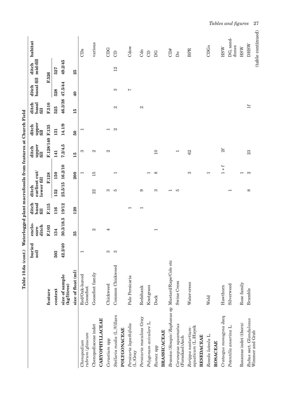|                                                    | Table 10.6a (cont.) Waterlogged plant macrofossils from features at Church Field |                          |                          |                        |                                      |                                              |                          |                          |                        |                     |                   |                        |
|----------------------------------------------------|----------------------------------------------------------------------------------|--------------------------|--------------------------|------------------------|--------------------------------------|----------------------------------------------|--------------------------|--------------------------|------------------------|---------------------|-------------------|------------------------|
|                                                    |                                                                                  | buried<br>soil           | enclo<br>ditch<br>sure   | basal<br>ditch<br>fill | earliest cut/<br>lower fill<br>ditch |                                              | upper<br>fill<br>ditch   | upper<br>fill<br>ditch   | basal<br>ditch<br>fill | basal fill<br>ditch | mid-fill<br>ditch | habitat                |
|                                                    | feature                                                                          |                          | F.103                    | F.115                  |                                      | F.128                                        | F.128/140 F.135          |                          | F.510                  | F.526               |                   |                        |
|                                                    | context                                                                          | 503                      | 134                      | 116                    | 152                                  | 150                                          | 141                      | 131                      | 525                    | 528                 | 527               |                        |
|                                                    | size of sample<br>(kg/litres)                                                    | 42.2/40                  | 30.3/18.5                | 19/12                  | 25.5/15                              | 16.2/10                                      | 7.2/4.5                  | 14.1/9                   | 46.3/38                | 47.5/44             | 49.2/45           |                        |
|                                                    | size of float (ml)                                                               |                          | 35                       | 120                    |                                      | 200                                          | 15                       | $\overline{50}$          | 15                     | $\mathbf{\Theta}$   | 25                |                        |
| rubrum / glaucum<br>Chenopodium                    | Red/Oak-leaved<br>Goosefoot                                                      | $\overline{\phantom{0}}$ |                          |                        |                                      | −                                            | က                        | ⊣                        |                        |                     |                   | CDs                    |
| Chenopodiaceae indet                               | Goosefoot family                                                                 |                          | $\mathcal{C}$            |                        | 22                                   | 15                                           | $\mathcal{C}$            |                          |                        |                     |                   | various                |
| <b>CARYOPHYLLACEAE</b>                             |                                                                                  |                          |                          |                        |                                      |                                              |                          |                          |                        |                     |                   |                        |
| Cerastium spp                                      | Chickweed                                                                        | S                        | 4                        |                        | ಣ                                    |                                              | $\mathcal{C}$            | $\overline{\phantom{0}}$ |                        |                     |                   | CDG                    |
| Stellaria media (L.)Villars                        | Common Chickweed                                                                 | က                        |                          |                        | IJ                                   | $\overline{\phantom{0}}$                     |                          | $\mathbf{c}$             | $\mathcal{C}$          | S                   | $^{12}$           | $\Theta$               |
| POLYGONACEAE                                       |                                                                                  |                          |                          |                        |                                      |                                              |                          |                          |                        |                     |                   |                        |
| Persicaria lapathifolia<br>(L.)Gray                | Pale Persicaria                                                                  |                          |                          | ᆸ                      |                                      |                                              |                          |                          |                        | $\overline{ }$      |                   | Cdow                   |
| Persicaria maculosa Gray                           | Redshank                                                                         |                          |                          | −                      | ග                                    |                                              |                          |                          | $\mathcal{C}$          |                     |                   | Cdo                    |
| Polygonum aviculare L.                             | Knotgrass                                                                        |                          |                          |                        |                                      | $\mathord{\text{--}}$                        |                          |                          |                        |                     |                   | $\Theta$               |
| Rumex spp                                          | Dock                                                                             |                          | $\overline{\phantom{0}}$ |                        | S                                    | $\infty$                                     | 10                       |                          |                        |                     |                   | DG                     |
| <b>BRASSICACEAE</b>                                |                                                                                  |                          |                          |                        |                                      |                                              |                          |                          |                        |                     |                   |                        |
| Brassica/Sinapis/Raphanus sp Mustard/Rape/Cole etc |                                                                                  |                          |                          |                        | ⊣                                    |                                              |                          |                          |                        |                     |                   | CD#                    |
| Coronopus squamatus<br>(Forsskaol)Asch             | Swine Cress                                                                      |                          |                          |                        | IJ                                   |                                              | $\overline{\phantom{0}}$ |                          |                        |                     |                   | $\mathsf{D}\mathsf{o}$ |
| aquaticum (L.)Hayek<br>Rorippa nasturtium-         | Water-cress                                                                      |                          |                          |                        |                                      | S                                            | 62                       |                          |                        |                     |                   | <b>BPR</b>             |
| RESEDACEAE                                         |                                                                                  |                          |                          |                        |                                      |                                              |                          |                          |                        |                     |                   |                        |
| Reseda luteola L.                                  | Weld                                                                             |                          |                          |                        |                                      | $\overline{\phantom{0}}$                     |                          |                          |                        |                     |                   | <b>CDGo</b>            |
| ROSACEAE                                           |                                                                                  |                          |                          |                        |                                      |                                              |                          |                          |                        |                     |                   |                        |
| Crataegus monogyna Jacq                            | Hawthorn                                                                         |                          |                          |                        |                                      | $\div$<br>$^{+}$<br>$\overline{\phantom{0}}$ | 2f                       |                          |                        |                     |                   | <b>HSW</b>             |
| Potentilla anserina L.                             | Silverweed                                                                       |                          |                          |                        | −                                    |                                              |                          |                          |                        |                     |                   | DG, sand-<br>dunes     |
| Rosaceae indet (thorn)                             | Rose family                                                                      |                          |                          |                        |                                      | $\overline{\phantom{0}}$                     |                          |                          |                        |                     |                   | HSW                    |
| Rubus sect. Glandulosus                            | Bramble                                                                          |                          |                          |                        | $\infty$                             | $\mathbf{\Omega}$                            | 23                       |                          | $1$ f                  |                     |                   | <b>DHSW</b>            |
| Wimmer and Grab                                    |                                                                                  |                          |                          |                        |                                      |                                              |                          |                          |                        |                     |                   | (table continued)      |

*Tables and figures* 27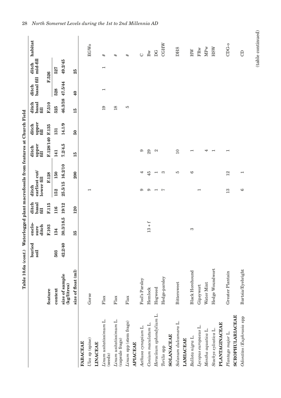|                                              | Table 10.6a (cont.) Waterlogged plant macrofossils from features at Church Field |                |                         |                        |                                      |                          |                          |                        |                        |                          |                          |                     |
|----------------------------------------------|----------------------------------------------------------------------------------|----------------|-------------------------|------------------------|--------------------------------------|--------------------------|--------------------------|------------------------|------------------------|--------------------------|--------------------------|---------------------|
|                                              |                                                                                  | buried<br>soil | enclo-<br>ditch<br>sure | basal<br>ditch<br>fill | earliest cut/<br>lower fill<br>ditch |                          | upper<br>fill<br>ditch   | upper<br>fill<br>ditch | basal<br>ditch<br>fill | basal fill<br>ditch      | mid-fill<br>ditch        | habitat             |
|                                              | feature                                                                          |                | F.103                   | F.115                  |                                      | F.128                    | F.128/140 F.135          |                        | F.510                  | F.526                    |                          |                     |
|                                              | context                                                                          | 503            | 134                     | 116                    | 152                                  | 150                      | 141                      | 131                    | 525                    | 528                      | 527                      |                     |
|                                              | size of sample<br>(kg/litres)                                                    | 42.2/40        | 30.3/18.5               | 19/12                  | 25.5/15                              | 16.2/10                  | 7.2/4.5                  | 14.1/9                 | 46.3/38                | 47.5/44                  | 49.2/45                  |                     |
|                                              | size of float (ml)                                                               |                | 35                      | 120                    |                                      | 200                      | 15                       | $50^{\circ}$           | 15                     | $\overline{40}$          | 25                       |                     |
| <b>FABACEAE</b>                              |                                                                                  |                |                         |                        |                                      |                          |                          |                        |                        |                          |                          |                     |
| Ulex sp (spine)<br><b>LINACEAE</b>           | Gorse                                                                            |                |                         |                        | $\overline{\phantom{0}}$             |                          |                          |                        |                        |                          |                          | <b>EGWo</b>         |
|                                              |                                                                                  |                |                         |                        |                                      |                          |                          |                        |                        |                          |                          |                     |
| Linum usitatissimum L.<br>(seeds)            | $_{\rm{Flax}}$                                                                   |                |                         |                        |                                      |                          |                          |                        | $\overline{19}$        | $\overline{\phantom{0}}$ | $\overline{\phantom{0}}$ | #                   |
| Linum usitatissimum L.<br>(capsule frags)    | ${\rm Flax}$                                                                     |                |                         |                        |                                      |                          |                          |                        | 18                     |                          |                          | #                   |
| Linum spp (stem frags)                       | ${\rm Flax}$                                                                     |                |                         |                        |                                      |                          |                          |                        | ю                      |                          |                          | #                   |
| <b>APIACEAE</b>                              |                                                                                  |                |                         |                        |                                      |                          |                          |                        |                        |                          |                          |                     |
| Aethusa cynapium L.                          | Fool's Parsley                                                                   |                |                         |                        | ငာ                                   | 4                        | 6                        |                        |                        |                          |                          | $\circlearrowright$ |
| Conium maculatum L.                          | Hemlock                                                                          |                | $13 + f$                |                        | င                                    | 45                       | 29                       |                        |                        |                          |                          | Bw                  |
| Heracleum sphondylium L.                     | Hogweed                                                                          |                |                         |                        | $\overline{\phantom{a}}$             | $\overline{\phantom{0}}$ | $\mathbf{\alpha}$        |                        |                        |                          |                          | DG                  |
| Torilis spp                                  | Hedge-parsley                                                                    |                |                         |                        | $\overline{ }$                       | က                        |                          |                        |                        |                          |                          | <b>CGHW</b>         |
| <b>SOLANACEAE</b>                            |                                                                                  |                |                         |                        |                                      |                          |                          |                        |                        |                          |                          |                     |
| Solanum dulcamara L.<br><b>LAMIACEAE</b>     | Bittersweet                                                                      |                |                         |                        |                                      | ю                        | 10                       |                        |                        |                          |                          | <b>DHS</b>          |
| Ballota nigra L.                             | <b>Black Horehound</b>                                                           |                | S                       |                        |                                      | ల                        | $\overline{\phantom{0}}$ |                        |                        |                          |                          | HW                  |
| Lycopus europaeus L.                         | Gipsywort                                                                        |                |                         |                        | $\overline{\phantom{0}}$             |                          |                          |                        |                        |                          |                          | FRw                 |
| Mentha aquatica L.                           | Water Mint                                                                       |                |                         |                        |                                      |                          | 4                        |                        |                        |                          |                          | MPw                 |
| Stachys sylvatica L.                         | Hedge Woundwort                                                                  |                |                         |                        |                                      |                          | $\overline{ }$           |                        |                        |                          |                          | <b>HSW</b>          |
| PLANTAGINACEAE                               |                                                                                  |                |                         |                        |                                      |                          |                          |                        |                        |                          |                          |                     |
| <b>SCROPHULARIACEAE</b><br>Plantago major L. | Greater Plantain                                                                 |                |                         |                        | 13                                   | 12                       | ⊣                        |                        |                        |                          |                          | CDG-0               |
| Odontites / Euphrasia spp                    | Bartsia/Eyebright                                                                |                |                         |                        | G                                    | $\overline{\phantom{0}}$ |                          |                        |                        |                          |                          | <b>GD</b>           |

 ${\rm (table~continued)}$ (table continued)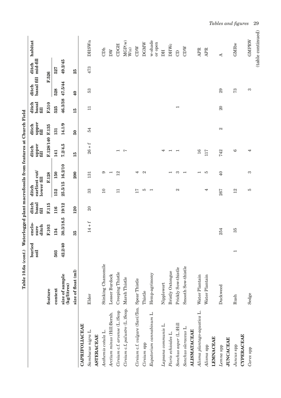| 14.1/9<br>F.128/140 F.135<br>2<br>54<br>131<br>$50^{\circ}$<br>$26 + f$<br>7.2/4.5<br>L<br>4<br>16<br>742<br>$\overline{\phantom{0}}$<br>$\overline{\phantom{0}}$<br>117<br>$\overline{\phantom{0}}$<br>141<br>P<br>$\overline{\phantom{0}}$<br>16.2/10<br>200<br>150<br>12<br>4<br>2<br>က<br>IJ<br>$\Theta$<br>ာ<br>$\overline{\phantom{0}}$<br>F.128<br>131<br>$\overline{\phantom{0}}$<br>⊣<br>25.5/15<br>10<br>ю<br>$\mathbf{c}$<br>33<br>17<br>4<br>267<br>152<br>$\Box$<br>$\overline{\phantom{0}}$<br>19/12<br>F.115<br>$\Omega$<br>116<br>120<br>30.3/18.5<br>$14+f$<br>F.103<br>254<br>134<br>35<br>42.2/40<br>503<br>Stinking Chamomile<br>Smooth Sow-thistle<br>Prickly Sow-thistle<br>size of float (ml)<br><b>Bristly Oxtongue</b><br>Creeping Thistle<br>Hemp-agrimony<br>size of sample<br>Lesser Burdock<br>Water Plantain<br>Water Plantain<br>Marsh Thistle<br>Cirsium c.f. vulgare (Savi)Ten. Spear Thistle<br>Nipplewort<br>(kg/litres)<br>Duckweed<br>context<br>feature<br>Thistle<br>Elder<br>Arctium minus (Hill)Bernh.<br>CAPRIFOLIACEAE |            |      | buried<br>soil           | enclo-<br>ditch<br>sure | basal<br>fill<br>ditch | earliest cut/<br>lower fill<br>ditch | upper<br>fill<br>ditch | upper<br>fill<br>ditch | basal<br>ditch<br>fill   | basal fill<br>ditch | mid-fill<br>ditch | habitat                            |
|-------------------------------------------------------------------------------------------------------------------------------------------------------------------------------------------------------------------------------------------------------------------------------------------------------------------------------------------------------------------------------------------------------------------------------------------------------------------------------------------------------------------------------------------------------------------------------------------------------------------------------------------------------------------------------------------------------------------------------------------------------------------------------------------------------------------------------------------------------------------------------------------------------------------------------------------------------------------------------------------------------------------------------------------------------------------|------------|------|--------------------------|-------------------------|------------------------|--------------------------------------|------------------------|------------------------|--------------------------|---------------------|-------------------|------------------------------------|
|                                                                                                                                                                                                                                                                                                                                                                                                                                                                                                                                                                                                                                                                                                                                                                                                                                                                                                                                                                                                                                                                   |            |      |                          |                         |                        |                                      |                        |                        | F.510                    | F.526               |                   |                                    |
| Cirsium c.f. palustre (L.)Scop.<br>Alisma plantago-aquatica L.<br>Cirsium c.f. arvense (L.)Scop<br>Eupatorium cannabinum L.<br>Sonchus asper (L.)Hill<br>Lapsana communis L.<br>Sonchus oleraceus L.<br>Sambucus nigra L.<br><b>ALISMATACEAE</b><br>Anthemis cotula L.<br>Picris echioides L<br><b>ASTERACEAE</b><br><b>LEMNACEAE</b><br><b>JUNCACEAE</b><br>Alisma spp<br>Lemna spp                                                                                                                                                                                                                                                                                                                                                                                                                                                                                                                                                                                                                                                                              |            |      |                          |                         |                        |                                      |                        |                        | 525                      | 528                 | 527               |                                    |
| Cirsium spp                                                                                                                                                                                                                                                                                                                                                                                                                                                                                                                                                                                                                                                                                                                                                                                                                                                                                                                                                                                                                                                       |            |      |                          |                         |                        |                                      |                        |                        | 46.3/38                  | 47.5/44             | 49.2/45           |                                    |
|                                                                                                                                                                                                                                                                                                                                                                                                                                                                                                                                                                                                                                                                                                                                                                                                                                                                                                                                                                                                                                                                   |            |      |                          |                         |                        |                                      |                        |                        | 15                       | $\overline{40}$     | 25                |                                    |
|                                                                                                                                                                                                                                                                                                                                                                                                                                                                                                                                                                                                                                                                                                                                                                                                                                                                                                                                                                                                                                                                   |            |      |                          |                         |                        |                                      |                        |                        |                          |                     |                   |                                    |
|                                                                                                                                                                                                                                                                                                                                                                                                                                                                                                                                                                                                                                                                                                                                                                                                                                                                                                                                                                                                                                                                   |            |      |                          |                         |                        |                                      |                        |                        | $\Box$                   | 53                  | 473               | <b>DHSWn</b>                       |
|                                                                                                                                                                                                                                                                                                                                                                                                                                                                                                                                                                                                                                                                                                                                                                                                                                                                                                                                                                                                                                                                   |            |      |                          |                         |                        |                                      |                        |                        |                          |                     |                   |                                    |
|                                                                                                                                                                                                                                                                                                                                                                                                                                                                                                                                                                                                                                                                                                                                                                                                                                                                                                                                                                                                                                                                   |            |      |                          |                         |                        |                                      |                        |                        |                          |                     |                   | CDh                                |
|                                                                                                                                                                                                                                                                                                                                                                                                                                                                                                                                                                                                                                                                                                                                                                                                                                                                                                                                                                                                                                                                   |            |      |                          |                         |                        |                                      |                        |                        |                          |                     |                   | DW                                 |
|                                                                                                                                                                                                                                                                                                                                                                                                                                                                                                                                                                                                                                                                                                                                                                                                                                                                                                                                                                                                                                                                   |            |      |                          |                         |                        |                                      |                        |                        |                          |                     |                   | CDGH                               |
|                                                                                                                                                                                                                                                                                                                                                                                                                                                                                                                                                                                                                                                                                                                                                                                                                                                                                                                                                                                                                                                                   |            |      |                          |                         |                        |                                      |                        |                        |                          |                     |                   | MGP(w)<br>$\mathbf{W}(\mathbf{o})$ |
|                                                                                                                                                                                                                                                                                                                                                                                                                                                                                                                                                                                                                                                                                                                                                                                                                                                                                                                                                                                                                                                                   |            |      |                          |                         |                        |                                      |                        |                        |                          |                     |                   | CDW                                |
|                                                                                                                                                                                                                                                                                                                                                                                                                                                                                                                                                                                                                                                                                                                                                                                                                                                                                                                                                                                                                                                                   |            |      |                          |                         |                        |                                      |                        |                        |                          |                     |                   | <b>DGMW</b>                        |
|                                                                                                                                                                                                                                                                                                                                                                                                                                                                                                                                                                                                                                                                                                                                                                                                                                                                                                                                                                                                                                                                   |            |      |                          |                         |                        |                                      |                        |                        |                          |                     |                   | w-shade<br>or open                 |
|                                                                                                                                                                                                                                                                                                                                                                                                                                                                                                                                                                                                                                                                                                                                                                                                                                                                                                                                                                                                                                                                   |            |      |                          |                         |                        |                                      |                        |                        |                          |                     |                   | DН                                 |
|                                                                                                                                                                                                                                                                                                                                                                                                                                                                                                                                                                                                                                                                                                                                                                                                                                                                                                                                                                                                                                                                   |            |      |                          |                         |                        |                                      |                        |                        |                          |                     |                   | <b>DHWc</b>                        |
|                                                                                                                                                                                                                                                                                                                                                                                                                                                                                                                                                                                                                                                                                                                                                                                                                                                                                                                                                                                                                                                                   |            |      |                          |                         |                        |                                      |                        |                        | $\overline{\phantom{0}}$ |                     |                   | GD                                 |
|                                                                                                                                                                                                                                                                                                                                                                                                                                                                                                                                                                                                                                                                                                                                                                                                                                                                                                                                                                                                                                                                   |            |      |                          |                         |                        |                                      |                        |                        |                          |                     |                   | CDW                                |
|                                                                                                                                                                                                                                                                                                                                                                                                                                                                                                                                                                                                                                                                                                                                                                                                                                                                                                                                                                                                                                                                   |            |      |                          |                         |                        |                                      |                        |                        |                          |                     |                   | APR                                |
|                                                                                                                                                                                                                                                                                                                                                                                                                                                                                                                                                                                                                                                                                                                                                                                                                                                                                                                                                                                                                                                                   |            |      |                          |                         |                        |                                      |                        |                        |                          |                     |                   | <b>APR</b>                         |
|                                                                                                                                                                                                                                                                                                                                                                                                                                                                                                                                                                                                                                                                                                                                                                                                                                                                                                                                                                                                                                                                   |            |      |                          |                         |                        |                                      |                        |                        | $\Omega$                 | 29                  |                   | ⋖                                  |
| <b>CYPERACEAE</b>                                                                                                                                                                                                                                                                                                                                                                                                                                                                                                                                                                                                                                                                                                                                                                                                                                                                                                                                                                                                                                                 | Juncus spp | Rush | $\overline{\phantom{0}}$ | 35                      |                        | 12                                   | G                      |                        |                          | 73                  |                   | GMRw                               |
| 4<br>S<br>FC<br>Sedge<br>Carex spp                                                                                                                                                                                                                                                                                                                                                                                                                                                                                                                                                                                                                                                                                                                                                                                                                                                                                                                                                                                                                                |            |      |                          |                         |                        |                                      |                        |                        |                          | S                   |                   | GMPRW                              |

*Tables and figures* 29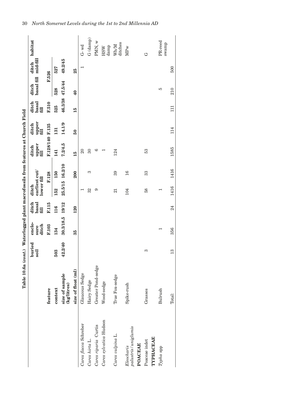|                                              | Table 10.6a (cont.)           |                | Waterlogged plant macrofossils from features at Church Field |                        |                                      |       |                        |                        |                        |                     |                   |                  |
|----------------------------------------------|-------------------------------|----------------|--------------------------------------------------------------|------------------------|--------------------------------------|-------|------------------------|------------------------|------------------------|---------------------|-------------------|------------------|
|                                              |                               | buried<br>soil | enclo-<br>ditch<br>sure                                      | ditch<br>basal<br>fill | earliest cut/<br>lower fill<br>ditch |       | upper<br>fill<br>ditch | upper<br>fill<br>ditch | ditch<br>basal<br>fill | basal fill<br>ditch | mid-fill<br>ditch | habitat          |
|                                              | feature                       |                | F.103                                                        | F.115                  |                                      | F.128 | F.128/140 F.135        |                        | F.510                  | F.526               |                   |                  |
|                                              | context                       | 503            | 134                                                          | 116                    | 152                                  | 150   | 141                    | 131                    | 525                    | 528                 | 527               |                  |
|                                              | size of sample<br>(kg/litres) | 42.2/40        | 30.3/18.5                                                    | 19/12                  | 25.5/15 16.2/10                      |       | 7.2/4.5                | 14.1/9                 |                        | 46.3/38 47.5/44     | 49.2/45           |                  |
|                                              | size of float (ml)            |                | 35                                                           | <b>120</b>             |                                      | 200   | 15                     | $\overline{50}$        | 15                     | 40                  | 25                |                  |
| Carex flacca Schreber                        | Glaucous Sedge                |                |                                                              |                        |                                      |       | $\overline{\Omega}$    |                        |                        |                     |                   | $G$ - wd         |
| Carex hirta L.                               | Hairy Sedge                   |                |                                                              |                        | 32                                   | S     | $\overline{30}$        |                        |                        |                     |                   | G (damp)         |
| Carex riparia Curtis                         | Greater Pond-sedge            |                |                                                              |                        | ာ                                    |       | అ                      |                        |                        |                     |                   | PMN, w           |
| Carex sylvatica Hudson                       | Wood-sedge                    |                |                                                              |                        |                                      |       |                        |                        |                        |                     |                   | damp<br>HSW      |
| Carex vulpina L.                             | True Fox-sedge                |                |                                                              |                        | 21                                   | 39    | 124                    |                        |                        |                     |                   | ditches<br>Wh/M  |
| palustris/uniglumis<br>POACEAE<br>Eleocharis | Spike-rush                    |                |                                                              |                        | 104                                  | 16    |                        |                        |                        |                     |                   | <b>MPw</b>       |
| TYPHACEAE<br>Poaceae indet                   | Grasses                       | က              |                                                              |                        | 58                                   | 33    | 53                     |                        |                        |                     |                   | ゼ                |
| Typha spp                                    | Bulrush                       |                |                                                              |                        |                                      |       |                        |                        |                        | P                   |                   | PR-reed<br>swamp |
|                                              | Total:                        | 13             | 356                                                          | 24                     | 1416                                 | 1416  | 1585                   | 114                    | $\Xi$                  | 210                 | 500               |                  |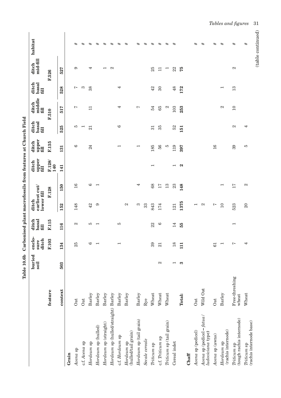| l<br>i<br>İ<br>:<br>:<br>:<br>i                                                                                              |
|------------------------------------------------------------------------------------------------------------------------------|
| ֧֧֧ׅ֧֧֧֧ׅ֧֚֚֚֚֚֚֚֚֚֚֚֚֚֚֚֚֚֚֚֚֚֚֚֚֚֚֝֓֜֝֓֜֜֜<br>י<br>ו<br>֧֧֧֧֧֧֧֧֧֧֧֧ׅ֧֚֚֚֚֚֚֚֚֚֚֚֚֚֚֚֚֚֚֚֚֚֚֚֚֚֚֡֝֓֝֓֝֟֓֝֓֝֬֝֓֝֬֝֬֝֬֝֓֝֬֜֓ |
| י<br>י                                                                                                                       |
| is case is a                                                                                                                 |
| くしょう せんしょう ちょくてんしょう<br>l<br>i                                                                                                |
| ζ<br>֧֛֓֜֓<br>$\mathbf$<br>:<br>:<br>,<br>;<br>.<br>.                                                                        |

|                                                  |                         | buried<br>soil           | enclo-<br>ditch<br>sure  | ditch<br>basal<br>$f_{\text{III}}$ | earliest cut/<br>lower fill<br>ditch |                          | upper<br>fill<br>ditch   | upper<br>fill<br>ditch | ditch<br>basal<br>fill | middle<br>ditch<br>fill | basal<br>ditch<br>fill   | mid-fill<br>ditch       | habitat           |
|--------------------------------------------------|-------------------------|--------------------------|--------------------------|------------------------------------|--------------------------------------|--------------------------|--------------------------|------------------------|------------------------|-------------------------|--------------------------|-------------------------|-------------------|
|                                                  | feature                 |                          | F.103                    | F.115                              |                                      | F.128                    | F.128/<br>140            | F.135                  |                        | F.510                   |                          | F.526                   |                   |
|                                                  | context                 | 503                      | 134                      | 116                                | 152                                  | 150                      | 141                      | 131                    | 525                    | 517                     | 528                      | 527                     |                   |
| Grain                                            |                         |                          |                          |                                    |                                      |                          |                          |                        |                        |                         |                          |                         |                   |
| Avena sp                                         | Oat                     |                          | 25                       | $\mathcal{C}$                      | 148                                  | 16                       |                          | ల                      | ю                      | ∼                       | ∼                        | ာ                       | #                 |
| c.f. Avena sp                                    | <b>Oat</b>              |                          |                          |                                    |                                      |                          |                          |                        | ↽                      |                         | ಣ                        |                         | #                 |
| Hordeum sp                                       | Barley                  |                          | $\circ$                  | Ю                                  | 42                                   | G                        |                          | 24                     | 21                     | $\Box$                  | 38                       | 4                       | #                 |
| $H$ ordeum sp $(hulled)$                         | Barley                  |                          | $\overline{ }$           | $\overline{\phantom{0}}$           | 6                                    | $\overline{\phantom{0}}$ |                          |                        |                        |                         |                          |                         | $\#$              |
| $H$ ordeum sp $(s$ traight)                      | Barley                  |                          |                          |                                    |                                      |                          |                          |                        |                        |                         |                          |                         | #                 |
| Hordeum sp (hulled/straight) Barley              |                         |                          |                          |                                    |                                      |                          |                          |                        |                        |                         |                          | 2                       | #                 |
| c.f. Hordeum sp                                  | Barley                  |                          | $\overline{\phantom{0}}$ | S                                  |                                      |                          |                          |                        | G                      | 4                       | 4                        |                         | #                 |
| (hulled/tail grain)<br>$Hordeum$ sp              | Barley                  |                          |                          |                                    | $\mathfrak{a}$                       |                          |                          |                        |                        |                         |                          |                         | #                 |
| $H$ ordeum sp (tail grain)                       | Barley                  |                          |                          |                                    | S                                    | 4                        |                          | ⊣                      |                        | $\overline{ }$          |                          |                         | #                 |
| Secale cereale                                   | Rye                     |                          |                          |                                    | 33                                   |                          |                          |                        |                        |                         |                          |                         | $\#$              |
| $\it Triticum$ sp                                | Wheat                   |                          | 39                       | 22                                 | 843                                  | 68                       | ⊣                        | 185                    | 31                     | 54                      | 42                       | 25                      | #                 |
| c.f. Triticum sp                                 | Wheat                   | $\mathbf{\Omega}$        | 21                       | అ                                  | 174                                  | 17                       |                          | 56                     | 35                     | 65                      | $30\,$                   | $\Box$                  | #                 |
| Triticum sp (tail grain)                         | Wheat                   |                          |                          |                                    |                                      | 13                       |                          | ю                      |                        | N                       |                          | $\mathbf{\overline{a}}$ | #                 |
| Cereal indet                                     |                         | $\overline{\phantom{0}}$ | 18                       | 14                                 | 121                                  | 23                       | $\overline{\phantom{0}}$ | 119                    | 52                     | 103                     | 48                       | 22                      | #                 |
|                                                  | Total:                  | S                        | $\Xi$                    | 55                                 | 1375                                 | 148                      | N                        | 397                    | 151                    | 253                     | 172                      | 75                      |                   |
| Chaff                                            |                         |                          |                          |                                    |                                      |                          |                          |                        |                        |                         |                          |                         |                   |
| Avena sp (pedicel)                               | <b>Oat</b>              |                          |                          |                                    | $\overline{\phantom{0}}$             |                          |                          |                        |                        |                         |                          |                         | #                 |
| Avena sp (pedicel - fatua /<br>ludoviciana type) | Wild Oat                |                          |                          |                                    | $\mathbf{\Omega}$                    |                          |                          |                        |                        |                         |                          |                         | #                 |
| Avena sp (awns)                                  | Oat                     |                          | 61                       |                                    | Ņ                                    |                          |                          | 16                     |                        |                         |                          |                         | #                 |
| (rachis internode)<br>Hordeum sp                 | Barley                  |                          |                          |                                    | $\overline{10}$                      | $\overline{\phantom{0}}$ |                          |                        |                        | 2                       | $\overline{\phantom{a}}$ |                         | #                 |
| (tough rachis internode)<br>Triticum sp          | Free-threshing<br>wheat |                          | Ņ                        | $\overline{\phantom{0}}$           | 523                                  | 17                       |                          | 39                     | $\mathbf{z}$           | $\overline{10}$         | $13\,$                   | $\mathbf{\Omega}$       | #                 |
| (rachis internode base)<br>Triticum sp           | Wheat                   |                          | 4                        |                                    | $\Omega$                             | 2                        |                          | J,                     | 4                      |                         |                          |                         | #                 |
|                                                  |                         |                          |                          |                                    |                                      |                          |                          |                        |                        |                         |                          |                         | (table continued) |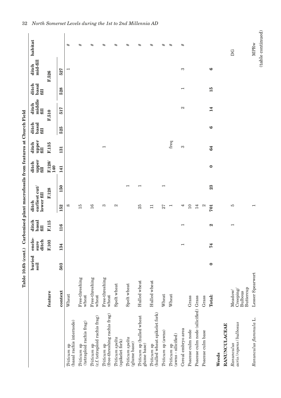| i                 |
|-------------------|
|                   |
| :<br>I            |
|                   |
|                   |
|                   |
| į                 |
| )<br>1            |
|                   |
|                   |
|                   |
|                   |
|                   |
|                   |
|                   |
|                   |
|                   |
|                   |
|                   |
|                   |
| I                 |
|                   |
|                   |
|                   |
| alow+ woownet con |
|                   |
| I                 |
|                   |
|                   |
|                   |
|                   |
|                   |
|                   |
|                   |
|                   |
|                   |
|                   |
|                   |
|                   |
| ة<br>م            |
|                   |
|                   |
| -<br>F<br>E       |
| i                 |

|                                                |                                                                 | Table 10.6b (cont.) |                          |                          |                                      |                          | Carbonised plant macrofossils from features at Church Field |                          |                        |                                    |                          |                          |                                  |
|------------------------------------------------|-----------------------------------------------------------------|---------------------|--------------------------|--------------------------|--------------------------------------|--------------------------|-------------------------------------------------------------|--------------------------|------------------------|------------------------------------|--------------------------|--------------------------|----------------------------------|
|                                                |                                                                 | buried<br>soil      | enclo-<br>ditch<br>sure  | basal<br>ditch<br>fill   | earliest cut/<br>lower fill<br>ditch |                          | upper<br>ditch<br>fill                                      | upper<br>fill<br>ditch   | basal<br>ditch<br>fill | middle<br>ditch<br>f <sub>11</sub> | basal<br>ditch<br>fill   | mid-fill<br>ditch        | habitat                          |
|                                                | feature                                                         |                     | F.103                    | F.115                    |                                      | F.128                    | F.128<br>140                                                | F.135                    |                        | F.510                              |                          | F.526                    |                                  |
|                                                | context                                                         | 503                 | 134                      | 116                      | 152                                  | 150                      | 141                                                         | 131                      | 525                    | 517                                | 528                      | 527                      |                                  |
| (basal rachis internode)<br>Triticum sp        | Wheat                                                           |                     |                          |                          | $\infty$                             |                          |                                                             |                          |                        |                                    |                          | $\overline{\phantom{0}}$ | $^{\rm \#}$                      |
| $Triticum$ sp $({\rm tetraploid~rachis~frag})$ | Free-threshing<br>wheat                                         |                     |                          |                          | 15                                   |                          |                                                             |                          |                        |                                    |                          |                          | #                                |
| (c.f. tetraploid rachis frag)<br>Triticum sp   | Free-threshing<br>wheat                                         |                     |                          |                          | 16                                   |                          |                                                             |                          |                        |                                    |                          |                          | #                                |
| (free-threshing rachis frag)<br>Triticum sp    | Free-threshing<br>wheat                                         |                     |                          |                          | က                                    |                          |                                                             | $\overline{\phantom{0}}$ |                        |                                    |                          |                          | #                                |
| Triticum spelta<br>(spikelet fork)             | Spelt wheat                                                     |                     |                          |                          | $\mathcal{C}$                        |                          |                                                             |                          |                        |                                    |                          |                          | #                                |
| Triticum spelta<br>(glume base)                | Spelt wheat                                                     |                     |                          |                          |                                      | $\overline{\phantom{0}}$ |                                                             |                          |                        |                                    |                          |                          | #                                |
| Triticum sp (hulled wheat<br>glume base)       | Hulled wheat                                                    |                     |                          |                          | 25                                   | $\overline{\phantom{0}}$ |                                                             |                          |                        |                                    |                          |                          | $^{\rm \#}$                      |
| (hulled wheat spikelet fork)<br>Triticum sp    | Hulled wheat                                                    |                     |                          |                          | $\Box$                               |                          |                                                             |                          |                        |                                    |                          |                          | #                                |
| Triticum sp (awns)                             | Wheat                                                           |                     |                          |                          | 27                                   | $\overline{\phantom{0}}$ |                                                             |                          |                        |                                    |                          |                          | #                                |
| $(awns - silicified)$<br>Triticum sp           | Wheat                                                           |                     |                          |                          | $\overline{ }$                       |                          |                                                             | freq                     |                        |                                    |                          |                          | $_{\rm \#}$                      |
| Cereal embryo area                             |                                                                 |                     | $\overline{\phantom{0}}$ | $\overline{\phantom{0}}$ | 4                                    |                          |                                                             | S                        |                        | $\boldsymbol{\omega}$              | $\overline{\phantom{0}}$ | S                        | #                                |
| Poaceae culm node                              | Grass                                                           |                     |                          |                          | $\overline{10}$                      |                          |                                                             |                          |                        |                                    |                          |                          |                                  |
| Poaceae culm node (silicified) Grass           |                                                                 |                     |                          |                          | 14                                   |                          |                                                             |                          |                        |                                    |                          |                          |                                  |
| Poaceae culm base                              | Grass                                                           |                     |                          |                          | $\mathfrak{a}$                       |                          |                                                             |                          |                        |                                    |                          |                          |                                  |
|                                                | Total:                                                          | $\bullet$           | 74                       | $\boldsymbol{\alpha}$    | 701                                  | 23                       | $\bullet$                                                   | 64                       | $\bullet$              | 14                                 | 15                       | అ                        |                                  |
| Weeds                                          |                                                                 |                     |                          |                          |                                      |                          |                                                             |                          |                        |                                    |                          |                          |                                  |
| <b>RANUNCULACEAE</b>                           |                                                                 |                     |                          |                          |                                      |                          |                                                             |                          |                        |                                    |                          |                          |                                  |
| acris/repens/bulbosus<br>Ranunculus            | Buttercup<br>$\mathrm{C}$ reeping/<br>Meadow/<br><b>Bulbous</b> |                     |                          | $\overline{\phantom{0}}$ | Ю                                    |                          |                                                             |                          |                        |                                    |                          |                          | DG                               |
| Ranunculus flammula L.                         | Lesser Spearwort                                                |                     |                          |                          | $\overline{\phantom{0}}$             |                          |                                                             |                          |                        |                                    |                          |                          | (table continued)<br><b>MPRw</b> |
|                                                |                                                                 |                     |                          |                          |                                      |                          |                                                             |                          |                        |                                    |                          |                          |                                  |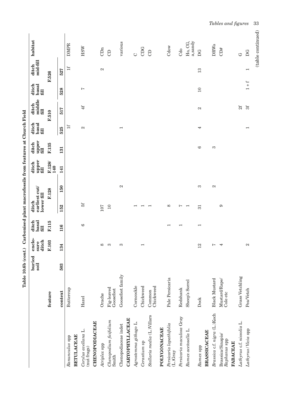| ditch<br>F.103<br>$\infty$<br>က<br>က<br>134<br>503<br>Goosefoot family<br>Fig-leaved<br>Buttercup<br>Goosefoot<br>context<br>feature<br>Orache<br>Hazel<br>Chenopodium ficifolium<br>CHENOPODIACEAE<br>Chenopodiaceae indet<br>Corylus avellana L.<br><b>BETULACEAE</b><br>Ranunculus spp<br>Atriplex spp<br>(nut frags)<br>Smith | F.115<br>fill            | lower fill                | upper<br>fill | upper<br>fill | basal<br>fill            | middle        | basal<br>fill                       | mid-fill                  |                    |
|-----------------------------------------------------------------------------------------------------------------------------------------------------------------------------------------------------------------------------------------------------------------------------------------------------------------------------------|--------------------------|---------------------------|---------------|---------------|--------------------------|---------------|-------------------------------------|---------------------------|--------------------|
|                                                                                                                                                                                                                                                                                                                                   |                          | F.128                     | F.128/        | F.135         |                          | f(1)<br>F.510 |                                     | F.526                     |                    |
|                                                                                                                                                                                                                                                                                                                                   |                          |                           | 140           |               |                          |               |                                     |                           |                    |
|                                                                                                                                                                                                                                                                                                                                   | 116                      | 150<br>152                | 141           | 131           | 525                      | 517           | 528                                 | 527                       |                    |
|                                                                                                                                                                                                                                                                                                                                   |                          |                           |               |               | 1f                       |               |                                     | 1f                        | <b>DMPR</b>        |
|                                                                                                                                                                                                                                                                                                                                   |                          |                           |               |               |                          |               |                                     |                           |                    |
|                                                                                                                                                                                                                                                                                                                                   | $\circ$                  | 5f                        |               |               | $\mathbf{c}$             | 4f            | $\overline{ }$                      |                           | HSW                |
|                                                                                                                                                                                                                                                                                                                                   |                          |                           |               |               |                          |               |                                     |                           |                    |
|                                                                                                                                                                                                                                                                                                                                   |                          | 107                       |               |               |                          |               |                                     | $\boldsymbol{\mathsf{c}}$ | CDn                |
|                                                                                                                                                                                                                                                                                                                                   |                          | $10$                      |               |               |                          |               |                                     |                           | $\Theta$           |
|                                                                                                                                                                                                                                                                                                                                   |                          | $\boldsymbol{\mathsf{c}}$ |               |               | $\overline{\phantom{0}}$ |               |                                     |                           | various            |
| <b>CARYOPHYLLACEAE</b>                                                                                                                                                                                                                                                                                                            |                          |                           |               |               |                          |               |                                     |                           |                    |
| Corncockle<br>Agrostemma githago L.                                                                                                                                                                                                                                                                                               |                          | $\overline{\phantom{0}}$  |               |               |                          |               |                                     |                           | $\circ$            |
| $\overline{\phantom{0}}$<br>Chickweed<br>Cerastium sp                                                                                                                                                                                                                                                                             |                          | $\overline{\phantom{0}}$  |               |               |                          |               |                                     |                           | CDG                |
| Chickweed<br>Common<br>Stellaria media (L.)Villars                                                                                                                                                                                                                                                                                |                          | $\overline{\phantom{0}}$  |               |               |                          |               |                                     |                           | $\Theta$           |
| POLYGONACEAE                                                                                                                                                                                                                                                                                                                      |                          |                           |               |               |                          |               |                                     |                           |                    |
| Pale Persicaria<br>Persicaria lapathifolia<br>$(L)$ Gray                                                                                                                                                                                                                                                                          | $\overline{\phantom{0}}$ | $\infty$                  |               |               |                          |               |                                     |                           | $\mathrm{Cdow}$    |
| Redshank<br>Persicaria maculosa Gray                                                                                                                                                                                                                                                                                              | $\overline{\phantom{0}}$ | Ņ                         |               |               |                          |               |                                     |                           | Cdo                |
| Sheep's Sorrel<br>Rumex acetosella L                                                                                                                                                                                                                                                                                              |                          | $\overline{\phantom{0}}$  |               |               |                          |               |                                     |                           | Ho, CG,<br>a,sandy |
| 12<br>Dock<br>Rumex spp                                                                                                                                                                                                                                                                                                           | $\overline{ }$           | 3<br>51                   |               | G             | 4                        | $\mathbf{c}$  | $10$                                | 13                        | DG                 |
| <b>BRASSICACEAE</b>                                                                                                                                                                                                                                                                                                               |                          |                           |               |               |                          |               |                                     |                           |                    |
| Ņ<br><b>Black Mustard</b><br>Brassica c.f. nigra (L.)Koch                                                                                                                                                                                                                                                                         |                          | $\mathfrak{a}$            |               | S             |                          |               |                                     |                           | DRWs               |
| $\overline{\phantom{a}}$<br>Mustard/Rape/<br>Cole etc<br>Brassica/Sinapis/<br>Raphanus spp<br><b>FABACEAE</b>                                                                                                                                                                                                                     |                          | $\circ$                   |               |               |                          |               |                                     |                           | CD#                |
|                                                                                                                                                                                                                                                                                                                                   |                          |                           |               |               |                          |               |                                     |                           |                    |
| Grass Vetchling<br>Lathyrus c.f. nissolia L.                                                                                                                                                                                                                                                                                      |                          |                           |               |               |                          | 2f            |                                     |                           | $\circ$            |
| $\mathbf{\Omega}$<br>Pea/Vetch<br>Lathyrus/Vicia spp                                                                                                                                                                                                                                                                              |                          |                           |               |               | $\overline{\phantom{0}}$ | 3f            | $\pm$ +<br>$\overline{\phantom{0}}$ | $\overline{\phantom{0}}$  | D G                |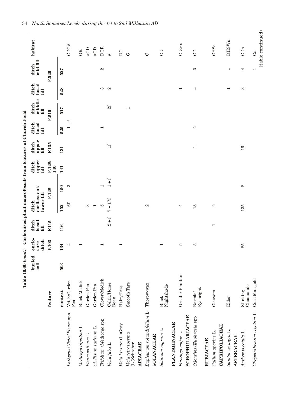|                                                 |                             | buried<br>soil | enclo-<br>ditch<br>sure  | ditch<br>basal<br>fill   | earliest cut/<br>lower fill<br>ditch |                           | upper<br>fill<br>ditch | upper<br>fill<br>ditch   | ditch<br>basal<br>fill                   | middle<br>ditch<br>fill | basal<br>ditch<br>fill   | mid-fill<br>ditch | habitat                 |
|-------------------------------------------------|-----------------------------|----------------|--------------------------|--------------------------|--------------------------------------|---------------------------|------------------------|--------------------------|------------------------------------------|-------------------------|--------------------------|-------------------|-------------------------|
|                                                 | feature                     |                | F.103                    | F.115                    |                                      | F.128                     | F.128/<br>140          | F.135                    |                                          | F.510                   |                          | F.526             |                         |
|                                                 | context                     | 503            | 134                      | 116                      | 152                                  | 150                       | 141                    | 131                      | 525                                      | 517                     | 528                      | 527               |                         |
| Lathyrus / Vicia / Pisum spp                    | Vetch/Garden<br>Pea         |                | 4                        |                          | 6f                                   | S                         |                        |                          | $\ddot{}$<br>$\ddot{}$<br>$\overline{ }$ |                         |                          |                   | CDG#                    |
| Medicago lupulina L.                            | <b>Black Medick</b>         |                | $\overline{\phantom{0}}$ |                          |                                      |                           |                        |                          |                                          |                         |                          |                   | GR                      |
| Pisum sativum L.                                | Garden Pea                  |                |                          |                          | က                                    |                           |                        |                          |                                          |                         |                          |                   | $\# \text{CD}$          |
| c.f. Pisum sativum L.                           | Garden Pea                  |                |                          |                          | $\overline{\phantom{0}}$             |                           |                        |                          |                                          |                         |                          |                   | $\# \text{CD}$          |
| Trifolium / Medicago spp                        | Clover/Medick               |                | $\overline{\phantom{0}}$ |                          | LC                                   | $\overline{\phantom{0}}$  |                        |                          | $\overline{\phantom{0}}$                 |                         | S                        | $\mathcal{C}$     | <b>DGR</b>              |
| Vicia faba L.                                   | Celtic/Horse<br>Bean        |                |                          | $2 + f$                  | $+17f$<br>$\sim$                     | $+$ $+$<br>$\overline{ }$ |                        | H                        |                                          | 2f                      | $\mathbf{z}$             |                   | #                       |
| Vicia hirsuta (L.)Gray                          | Hairy Tare                  |                | $\overline{ }$           |                          |                                      |                           |                        |                          |                                          |                         |                          |                   | DG                      |
| Vicia tetrasperma<br>(L.)Schreber               | Smooth Tare                 |                |                          |                          |                                      |                           |                        |                          |                                          | $\overline{ }$          |                          |                   | G                       |
| <b>APIACEAE</b>                                 |                             |                |                          |                          |                                      |                           |                        |                          |                                          |                         |                          |                   |                         |
| Bupleurum rotundifolium L.<br><b>SOLANACEAE</b> | Thorow-wax                  |                |                          |                          | 2                                    |                           |                        |                          |                                          |                         |                          |                   | $\circ$                 |
| Solanum nigrum L.                               | Nightshade<br>${\bf Black}$ |                | $\overline{\phantom{0}}$ |                          |                                      |                           |                        |                          |                                          |                         |                          |                   | $\Theta$                |
| <b>PLANTAGINACEAE</b>                           |                             |                |                          |                          |                                      |                           |                        |                          |                                          |                         |                          |                   |                         |
| <b>SCROPHULARIACEAE</b><br>Plantago major L.    | Greater Plantain            |                | FO                       |                          | 4                                    |                           |                        |                          |                                          |                         | $\overline{\phantom{0}}$ |                   | CDG-0                   |
| Odontites / Euphrasia spp                       | Eyebright<br>Bartsia/       |                | S                        |                          | 18                                   |                           |                        | $\overline{\phantom{0}}$ | $\mathbf{\Omega}$                        |                         | 4                        | S                 | $\Theta$                |
| <b>RUBIACEAE</b>                                |                             |                |                          |                          |                                      |                           |                        |                          |                                          |                         |                          |                   |                         |
| Galium aparine L.                               | Cleavers                    |                |                          | $\overline{\phantom{0}}$ | $\mathfrak{a}$                       |                           |                        |                          |                                          |                         |                          |                   | CHS <sub>o</sub>        |
| CAPRIFOLIACEAE                                  |                             |                |                          |                          |                                      |                           |                        |                          |                                          |                         |                          |                   |                         |
| Sambucus nigra L.<br><b>ASTERACEAE</b>          | Elder                       |                |                          |                          |                                      |                           |                        |                          |                                          |                         | $\overline{\phantom{0}}$ | ⊣                 | <b>DHSWn</b>            |
| Anthemis cotula L.                              | Chamomile<br>Stinking       |                | 85                       |                          | 135                                  | ${}^{\circ}$              |                        | 16                       |                                          |                         | S                        | 4                 | CDh                     |
| Chrysanthemum segetum L.                        | Corn Marigold               |                |                          |                          |                                      |                           |                        |                          |                                          |                         |                          |                   | (table continued)<br>Ca |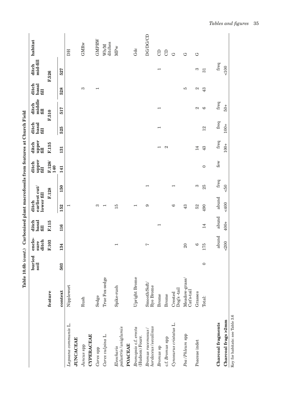|                                                   |                              | Table 10.6b (cont.) |                         |                        | Carbonised plant macrofossils from features at Church Field |                          |                        |                          |                          |                         |                          |                   |                        |
|---------------------------------------------------|------------------------------|---------------------|-------------------------|------------------------|-------------------------------------------------------------|--------------------------|------------------------|--------------------------|--------------------------|-------------------------|--------------------------|-------------------|------------------------|
|                                                   |                              | buried<br>soil      | enclo-<br>ditch<br>sure | ditch<br>basal<br>fill | earliest cut/<br>lower fill<br>ditch                        |                          | upper<br>ditch<br>fill | upper<br>ditch<br>fill   | ditch<br>basal<br>fill   | middle<br>ditch<br>fill | ditch<br>basal<br>fill   | mid-fill<br>ditch | habitat                |
|                                                   | feature                      |                     | F.103                   | F.115                  | F.128                                                       |                          | F.128/<br>140          | F.135                    |                          | F.510                   |                          | F.526             |                        |
|                                                   | context                      | 503                 | 134                     | 116                    | 152                                                         | 150                      | 141                    | 131                      | 525                      | 517                     | 528                      | 527               |                        |
| Lapsana communis L.                               | Nipplewort                   |                     |                         |                        | $\mathbf{\mathbf{r}}$                                       |                          |                        |                          |                          |                         |                          |                   | DН                     |
| <b>JUNCACEAE</b>                                  |                              |                     |                         |                        |                                                             |                          |                        |                          |                          |                         |                          |                   |                        |
| <b>CYPERACEAE</b><br>Juncus spp                   | Rush                         |                     |                         |                        |                                                             |                          |                        |                          |                          |                         | S                        |                   | <b>GMR<sub>w</sub></b> |
| Carex spp                                         | Sedge                        |                     |                         |                        | S                                                           |                          |                        |                          |                          |                         | $\overline{\phantom{0}}$ |                   | GMPRW                  |
| Carex vulpina L.                                  | True Fox-sedge               |                     |                         |                        | $\overline{\phantom{0}}$                                    |                          |                        |                          |                          |                         |                          |                   | ditches<br>Wh/M        |
| palustris / uniglumis<br>POACEAE<br>Eleocharis    | Spike-rush                   |                     | $\overline{ }$          |                        | 15                                                          |                          |                        |                          |                          |                         |                          |                   | <b>MPw</b>             |
| Bromopsis c.f. erecta<br>(Hudson) Fourr.          | Upright Brome                |                     |                         |                        | $\overline{\phantom{0}}$                                    |                          |                        |                          |                          |                         |                          |                   | Gdc                    |
| $h$ ord $a$ ceus / secalinus<br>Bromus racemosus/ | Smooth/Soft/<br>Rye Brome    |                     | $\sim$                  |                        | G                                                           | $\overline{\phantom{0}}$ |                        |                          |                          |                         |                          |                   | <b>DG/DG/CD</b>        |
| Bromus sp                                         | Brome                        |                     |                         | ⊣                      |                                                             |                          |                        | $\overline{\phantom{0}}$ | $\overline{\phantom{0}}$ | ⊣                       |                          | $\overline{ }$    | $\Theta$               |
| c.f. Bromus spp                                   | Brome                        |                     |                         |                        |                                                             |                          |                        | 2                        |                          |                         |                          |                   | $\Theta$               |
| Cynosurus cristatus L.                            | $\log s$ -tail<br>Crested    |                     |                         |                        | G                                                           | $\overline{\phantom{0}}$ |                        |                          |                          |                         |                          |                   | G                      |
| Poa/Phleum spp                                    | Meadow-grass/<br>$Cats-tail$ |                     | 20                      |                        | 43                                                          |                          |                        |                          |                          |                         | IJ                       |                   | ゥ                      |
| Poaceae indet                                     | Grasses                      |                     | $\circ$                 |                        | 52                                                          | S                        |                        | 14                       |                          | $\mathbf{\Omega}$       | $\mathfrak{a}$           | S                 | G                      |
|                                                   | Total:                       | $\circ$             | 175                     | 14                     | 490                                                         | 25                       | $\circ$                | 43                       | 12                       | $\circ$                 | 43                       | $\overline{31}$   |                        |
| <b>Charcoal fragments</b>                         |                              |                     | abund                   | abund                  | abund                                                       | freq                     | few                    | freq                     | freq                     | freq                    |                          | freq              |                        |
| Charcoal frags >2mm                               |                              |                     | $-200$                  | $400+$                 | $-400$                                                      | $\overline{6}$           |                        | $100+$                   | $100+$                   | $-50 +$                 |                          | 100               |                        |
| Key for habitats: see Table 3.6                   |                              |                     |                         |                        |                                                             |                          |                        |                          |                          |                         |                          |                   |                        |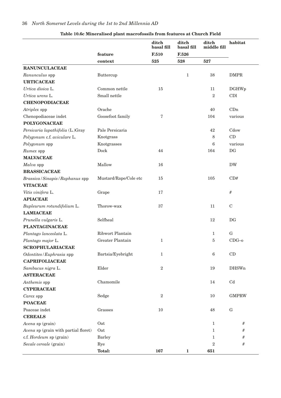|                                      |                       | ditch<br>basal fill | ditch<br>basal fill | ditch<br>middle fill | habitat                |
|--------------------------------------|-----------------------|---------------------|---------------------|----------------------|------------------------|
|                                      | feature               | F.510               | F.526               |                      |                        |
|                                      | context               | 525                 | 528                 | 527                  |                        |
| <b>RANUNCULACEAE</b>                 |                       |                     |                     |                      |                        |
| Ranunculus spp                       | Buttercup             |                     | $\mathbf{1}$        | 38                   | <b>DMPR</b>            |
| <b>URTICACEAE</b>                    |                       |                     |                     |                      |                        |
| Urtica dioica L.                     | Common nettle         | 15                  |                     | 11                   | <b>DGHWp</b>           |
| Urtica urens L.                      | Small nettle          |                     |                     | $\overline{2}$       | CDl                    |
| <b>CHENOPODIACEAE</b>                |                       |                     |                     |                      |                        |
| Atriplex spp                         | Orache                |                     |                     | 40                   | CDn                    |
| Chenopodiaceae indet                 | Goosefoot family      | 7                   |                     | 104                  | various                |
| <b>POLYGONACEAE</b>                  |                       |                     |                     |                      |                        |
| Persicaria lapathifolia (L.)Gray     | Pale Persicaria       |                     |                     | 42                   | Cdow                   |
| Polygonum c.f. aviculare L.          | Knotgrass             |                     |                     | 8                    | CD                     |
| Polygonum spp                        | Knotgrasses           |                     |                     | 6                    | various                |
| Rumex spp                            | Dock                  | 44                  |                     | 164                  | DG                     |
| <b>MALVACEAE</b>                     |                       |                     |                     |                      |                        |
| Malva spp                            | Mallow                | 16                  |                     |                      | <b>DW</b>              |
| <b>BRASSICACEAE</b>                  |                       |                     |                     |                      |                        |
| Brassica / Sinapis / Raphanus spp    | Mustard/Rape/Cole etc | 15                  |                     | 105                  | CD#                    |
| <b>VITACEAE</b>                      |                       |                     |                     |                      |                        |
| Vitis vinifera L.                    | Grape                 | 17                  |                     |                      | #                      |
| <b>APIACEAE</b>                      |                       |                     |                     |                      |                        |
| Bupleurum rotundifolium L.           | Thorow-wax            | 37                  |                     | 11                   | $\mathbf C$            |
| <b>LAMIACEAE</b>                     |                       |                     |                     |                      |                        |
| Prunella vulgaris L.                 | Selfheal              |                     |                     | 12                   | DG                     |
| <b>PLANTAGINACEAE</b>                |                       |                     |                     |                      |                        |
| Plantago lanceolata L.               | Ribwort Plantain      |                     |                     | 1                    | ${\bf G}$              |
| Plantago major L.                    | Greater Plantain      | 1                   |                     | 5                    | $CDG-0$                |
| <b>SCROPHULARIACEAE</b>              |                       |                     |                     |                      |                        |
| Odontites/Euphrasia spp              | Bartsia/Eyebright     | $\mathbf 1$         |                     | $\,6$                | $\mathop{\mathrm{CD}}$ |
| <b>CAPRIFOLIACEAE</b>                |                       |                     |                     |                      |                        |
| Sambucus nigra L.                    | Elder                 | $\,2$               |                     | 19                   | <b>DHSWn</b>           |
| <b>ASTERACEAE</b>                    |                       |                     |                     |                      |                        |
| Anthemis spp                         | Chamomile             |                     |                     | 14                   | $\operatorname{Cd}$    |
| <b>CYPERACEAE</b>                    |                       |                     |                     |                      |                        |
| Carex spp                            | Sedge                 | $\boldsymbol{2}$    |                     | 10                   | <b>GMPRW</b>           |
| <b>POACEAE</b>                       |                       |                     |                     |                      |                        |
|                                      |                       |                     |                     |                      |                        |
| Poaceae indet                        | Grasses               | 10                  |                     | 48                   | G                      |
| <b>CEREALS</b>                       |                       |                     |                     |                      |                        |
| Avena sp (grain)                     | Oat                   |                     |                     | $\mathbf{1}$         | #                      |
| Avena sp (grain with partial floret) | Oat                   |                     |                     | $\mathbf{1}$         | #                      |
| c.f. Hordeum sp (grain)              | <b>Barley</b>         |                     |                     | 1<br>$\overline{2}$  | #                      |
| Secale cereale (grain)               | Rye<br><b>Total:</b>  | 167                 | $\mathbf{1}$        | 651                  | #                      |

#### **Table 10.6c Mineralised plant macrofossils from features at Church Field**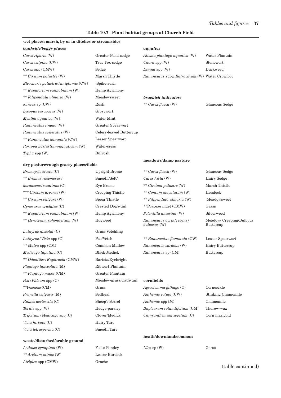#### **Table 10.7 Plant habitat groups at Church Field**

#### **wet places: marsh, by or in ditches or streamsides**

| bankside/boggy places                 |                         | aquatics                                       |                |
|---------------------------------------|-------------------------|------------------------------------------------|----------------|
| Carex riparia (W)                     | Greater Pond-sedge      | Alisma plantago-aquatica (W)                   | Water Plantain |
| Carex vulpina (CW)                    | True Fox-sedge          | $Chara$ spp $(W)$                              | Stonewort      |
| $Carex$ spp $(CMW)$                   | Sedge                   | Lemna spp $(W)$                                | Duckweed       |
| ** Cirsium palustre (W)               | Marsh Thistle           | Ranunculus subg. Batrachium (W) Water Crowfoot |                |
| Eleocharis palustris / uniglumis (CW) | Spike-rush              |                                                |                |
| ** Eupatorium cannabinum (W)          | Hemp Agrimony           |                                                |                |
| ** Filipendula ulmaria (W)            | Meadowsweet             | brackish indicators                            |                |
| Juncus $sp(CW)$                       | Rush                    | ** Carex flacca (W)                            | Glaucous Sedge |
| Lycopus europaeus (W)                 | Gipsywort               |                                                |                |
| Mentha aquatica (W)                   | Water Mint              |                                                |                |
| Ranunculus lingua (W)                 | Greater Spearwort       |                                                |                |
| Ranunculus sceleratus (W)             | Celery-leaved Buttercup |                                                |                |
| ** Ranunculus flammula (CW)           | Lesser Spearwort        |                                                |                |
| Rorippa nasturtium-aquaticum (W)      | Water-cress             |                                                |                |
| $\mathit{Typha}$ spp $(W)$            | Bulrush                 |                                                |                |
|                                       |                         | meadows/damp pasture                           |                |

#### **dry pasture/rough grassy places/fields**

| Bromopsis erecta $(C)$       | <b>Upright Brome</b>    | ** Carex flacca (W)                      | Glaucous Sedge                        |
|------------------------------|-------------------------|------------------------------------------|---------------------------------------|
| ** Bromus racemosus /        | Smooth/Soft/            | Carex hirta $(W)$                        | Hairy Sedge                           |
| hordaceus/secalinus(C)       | <b>Rye Brome</b>        | ** Cirsium palustre (W)                  | Marsh Thistle                         |
| *** Cirsium arvense (W)      | Creeping Thistle        | ** Conium maculatum (W)                  | Hemlock                               |
| ** Cirsium vulgare (W)       | Spear Thistle           | ** Filipendula ulmaria (W)               | Meadowsweet                           |
| Cynosurus cristatus (C)      | Crested Dog's-tail      | **Poaceae indet (CMW)                    | Grass                                 |
| ** Eupatorium cannabinum (W) | Hemp Agrimony           | Potentilla anserina (W)                  | Silverweed                            |
| ** Heracleum sphondylium (W) | Hogweed                 | Ranunculus acris/repens/<br>bulbosus (W) | Meadow/ Creeping/Bulbous<br>Buttercup |
| Lathyrus nissolia $(C)$      | Grass Vetchling         |                                          |                                       |
| $Lathyrus/Vicia$ spp $(C)$   | Pea/Vetch               | ** Ranunculus flammula (CW)              | Lesser Spearwort                      |
| ** Malva spp (CM)            | Common Mallow           | Ranunculus sardous (W)                   | Hairy Buttercup                       |
| Medicago lupulina(C)         | <b>Black Medick</b>     | Ranunculus sp (CM)                       | Buttercup                             |
| ** Odontites/Euphrasia (CMW) | Bartsia/Eyebright       |                                          |                                       |
| Plantago lanceolata (M)      | Ribwort Plantain        |                                          |                                       |
| ** Plantago major (CM)       | Greater Plantain        |                                          |                                       |
| $Poa / Phleum$ spp $(C)$     | Meadow-grass/Cat's-tail | cornfields                               |                                       |
| **Poaceae (CM)               | Grass                   | Agrostemma githago $(C)$                 | Corncockle                            |
| Prunella vulgaris (M)        | Selfheal                | Anthemis cotula (CW)                     | <b>Stinking Chamomile</b>             |
| Rumex acetosella (C)         | Sheep's Sorrel          | Anthemis spp (M)                         | Chamomile                             |
| Torilis spp (W)              | Hedge-parsley           | Bupleurum rotundifolium (CM)             | Thorow-wax                            |
| Trifolium / Medicago spp (C) | Clover/Medick           | Chrysanthemum segetum (C)                | Corn marigold                         |
| Vicia hirsuta (C)            | Hairy Tare              |                                          |                                       |
| Vicia tetrasperma (C)        | Smooth Tare             |                                          |                                       |

#### **waste/disturbed/arable ground**

*Aethusa cynapium* (W) Fool's Parsley *Ulex* sp (W) Gorse *\*\* Arctium minus* (W) Lesser Burdock *Atriplex* spp (CMW) Orache

**heath/downland/common**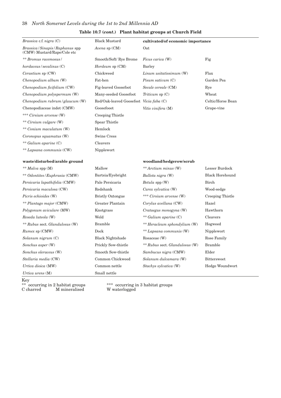| Table 10.7 (cont.) Plant habitat groups at Church Field |  |  |  |
|---------------------------------------------------------|--|--|--|
|---------------------------------------------------------|--|--|--|

| <i>Brassica</i> c.f. <i>nigra</i> $(C)$                          | <b>Black Mustard</b>                    | cultivated/of economic importance |                        |
|------------------------------------------------------------------|-----------------------------------------|-----------------------------------|------------------------|
| Brassica / Sinapis / Raphanus spp<br>(CMW) Mustard/Rape/Cole etc | Avena sp $(CM)$                         | Oat                               |                        |
| ** Bromus racemosus /                                            | Smooth/Soft/Rye Brome                   | <i>Ficus carica</i> (W)           | Fig                    |
| hordaceus/secalinus(C)                                           | Hordeum sp (CM)                         | Barley                            |                        |
| $Cerastium$ sp $(CW)$                                            | Chickweed                               | $Linum$ usitatissimum $(W)$       | Flax                   |
| Chenopodium album (W)                                            | Fat-hen                                 | $Pisum$ sativum $(C)$             | Garden Pea             |
| Chenopodium ficifolium (CW)                                      | <b>Fig-leaved Goosefoot</b>             | Secale cereale (CM)               | Rye                    |
| Chenopodium polyspermum (W)                                      | Many-seeded Goosefoot                   | Triticum $sp(C)$                  | Wheat                  |
| $Chenopodium\ rubrum/glaucum\ (W)$                               | Red/Oak-leaved Goosefoot Vicia faba (C) |                                   | Celtic/Horse Bean      |
| Chenopodiaceae indet (CMW)                                       | Goosefooot                              | Vitis vinifera (M)                | Grape-vine             |
| *** Cirsium arvense (W)                                          | Creeping Thistle                        |                                   |                        |
| ** Cirsium vulgare (W)                                           | Spear Thistle                           |                                   |                        |
| ** Conium maculatum (W)                                          | Hemlock                                 |                                   |                        |
| Coronopus squamatus (W)                                          | <b>Swine Cress</b>                      |                                   |                        |
| ** Galium aparine (C)                                            | Cleavers                                |                                   |                        |
| ** Lapsana communis (CW)                                         | Nipplewort                              |                                   |                        |
| waste/disturbed/arable ground                                    |                                         | woodland/hedgerow/scrub           |                        |
| ** $Malva$ spp $(M)$                                             | Mallow                                  | ** Arctium minus (W)              | Lesser Burdock         |
| ** Odontites/Euphrasia (CMW)                                     | Bartsia/Eyebright                       | Ballota nigra (W)                 | <b>Black Horehound</b> |
| Persicaria lapathifolia (CMW)                                    | Pale Persicaria                         | Betula spp (W)                    | Birch                  |
| Persicaria maculosa (CW)                                         | Redshank                                | Carex sylvatica (W)               | Wood-sedge             |
| Picris echioides (W)                                             | <b>Bristly Oxtongue</b>                 | *** Cirsium arvense (W)           | Creeping Thistle       |
| ** Plantago major (CMW)                                          | Greater Plantain                        | Corylus avellana (CW)             | Hazel                  |
| Polygonum aviculare (MW)                                         | Knotgrass                               | Crataegus monogyna (W)            | Hawthorn               |
| Reseda luteola (W)                                               | Weld                                    | ** Galium aparine (C)             | Cleavers               |
| ** Rubus sect. Glandulosus (W)                                   | <b>Bramble</b>                          | ** Heracleum sphondylium (W)      | Hogweed                |
| $Runex$ sp $(CMW)$                                               | Dock                                    | ** Lapsana communis (W)           | Nipplewort             |
| Solanum nigrum $(C)$                                             | <b>Black Nightshade</b>                 | Rosaceae (W)                      | Rose Family            |
| Sonchus asper (W)                                                | Prickly Sow-thistle                     | ** Rubus sect. Glandulosus (W)    | <b>Bramble</b>         |
| Sonchus oleraceus (W)                                            | Smooth Sow-thistle                      | Sambucus nigra (CMW)              | Elder                  |
| Stellaria media (CW)                                             | Common Chickweed                        | Solanum dulcamara (W)             | <b>Bittersweet</b>     |
| Urtica dioica (MW)                                               | Common nettle                           | Stachys sylvatica (W)             | Hedge Woundwort        |
| Urtica urens $(M)$                                               | Small nettle                            |                                   |                        |

Key

C charred M mineralised W waterlogged

 $\stackrel{***}{\textrm{W}}$  occurring in 3 habitat groups W waterlogged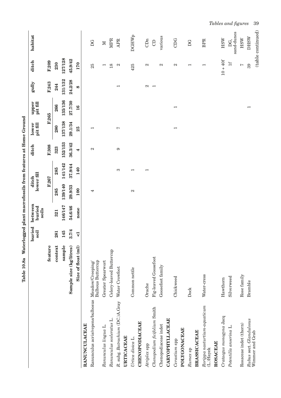|                                                   | Table 10.8a              |                         | Waterlogged plant macrofossils from features at Home Ground |                     |                          |         |                          |                          |                          |                          |                   |
|---------------------------------------------------|--------------------------|-------------------------|-------------------------------------------------------------|---------------------|--------------------------|---------|--------------------------|--------------------------|--------------------------|--------------------------|-------------------|
|                                                   |                          | buried<br>soil          | between<br>buried<br>soils                                  | lower fill<br>ditch |                          | ditch   | pit fill<br>lower        | pit fill<br>upper        | gully                    | ditch                    | habitat           |
|                                                   | feature                  |                         |                                                             | F.267               |                          | F.308   | F.265                    |                          | F.243                    | F.209                    |                   |
|                                                   | context                  | 281                     | 321                                                         | 285                 | 285                      | 323     | 280                      | 266                      | 244                      | 230                      |                   |
|                                                   | sample                   | 145                     | 146/147                                                     | 139/140             | 141/142                  | 152/153 | 137/138                  | 135/136                  | 131/132                  | 127/128                  |                   |
|                                                   | Sample size (kg/litres)  | 3.7/4                   | 54.6/46                                                     | 29.9/33             | 37.9/44                  | 36.3/42 | 29.1/34                  | 27.7/30                  | 24.2/28                  | 45.9/42                  |                   |
|                                                   | Size of float (ml)       | $\overline{\mathsf{v}}$ | none                                                        | 100                 | 140                      | 4       | 25                       | 16                       | 8                        | 170                      |                   |
| <b>RANUNCULACEAE</b>                              |                          |                         |                                                             |                     |                          |         |                          |                          |                          |                          |                   |
| Ranunculus acris/repens/bulbosus Meadow/Creeping/ | <b>Bulbous Buttercup</b> |                         |                                                             | 4                   |                          | 2       | $\overline{\phantom{0}}$ |                          |                          | 25                       | D G               |
| Ranunculus lingua L.                              | <b>Greater Spearwort</b> |                         |                                                             |                     |                          |         |                          |                          |                          | ⊣                        | $\boxtimes$       |
| Ranunculus sceleratus L.                          | Celery-leaved Buttercup  |                         |                                                             |                     |                          |         |                          |                          |                          | 18                       | <b>MPR</b>        |
| R. subg. Batrachium (DC.)A. Gray                  | Water Crowfoot           |                         |                                                             |                     | S                        | 6       | Ŋ                        |                          | $\overline{\phantom{0}}$ | $\mathfrak{a}$           | <b>APR</b>        |
| <b>URTICACEAE</b>                                 |                          |                         |                                                             |                     |                          |         |                          |                          |                          |                          |                   |
| Urtica dioica L.                                  | Common nettle            |                         |                                                             | $\mathbf{\Omega}$   | $\overline{\phantom{0}}$ |         |                          |                          |                          | 425                      | <b>DGHWp</b>      |
| CHENOPODIACEAE                                    |                          |                         |                                                             |                     |                          |         |                          |                          |                          |                          |                   |
| Atriplex spp                                      | Orache                   |                         |                                                             |                     | $\overline{\phantom{0}}$ |         |                          |                          | $\mathbf{z}$             | $\mathbf{c}$             | CDn               |
| Chenopodium ficifolium Smith                      | Fig-leaved Goosefoot     |                         |                                                             |                     |                          |         |                          |                          | $\overline{ }$           |                          | $\Theta$          |
| Chenopodiaceae indet                              | Goosefoot family         |                         |                                                             |                     |                          |         |                          |                          |                          | $\mathbf{\Omega}$        | various           |
| <b>CARYOPHYLLACEAE</b>                            |                          |                         |                                                             |                     |                          |         |                          |                          |                          |                          |                   |
| Cerastium spp                                     | Chickweed                |                         |                                                             |                     |                          |         | $\overline{\phantom{0}}$ | $\overline{\phantom{0}}$ |                          | 2                        | CDG               |
| POLYGONACEAE                                      |                          |                         |                                                             |                     |                          |         |                          |                          |                          |                          |                   |
| Rumex sp                                          | Dock                     |                         |                                                             |                     |                          |         |                          |                          |                          | $\overline{\phantom{0}}$ | D G               |
| <b>BRASSICACEAE</b>                               |                          |                         |                                                             |                     |                          |         |                          |                          |                          |                          |                   |
| Rorippa nasturtium-aquaticum<br>(L.)Hayek         | Water-cress              |                         |                                                             |                     |                          |         |                          |                          |                          | $\overline{\phantom{0}}$ | <b>BPR</b>        |
| ROSACEAE                                          |                          |                         |                                                             |                     |                          |         |                          |                          |                          |                          |                   |
| Crataegus monogyna Jacq                           | Hawthorn                 |                         |                                                             |                     |                          |         |                          |                          |                          | $10 + 40f$               | HSW               |
| Potentilla anserina L.                            | Silverweed               |                         |                                                             |                     |                          |         |                          |                          |                          | $\pm$                    | sand-dunes<br>DG, |
| Rosaceae indet (thorn)                            | Rose family              |                         |                                                             |                     |                          |         |                          |                          |                          | Ņ                        | $_{\rm HSW}$      |
| Rubus sect. Glandulosus                           | <b>Bramble</b>           |                         |                                                             |                     |                          |         |                          | $\overline{ }$           |                          | 39                       | <b>NSHO</b>       |
| Wimmer and Grab                                   |                          |                         |                                                             |                     |                          |         |                          |                          |                          |                          | (table continued) |

*Tables and figures*

3 9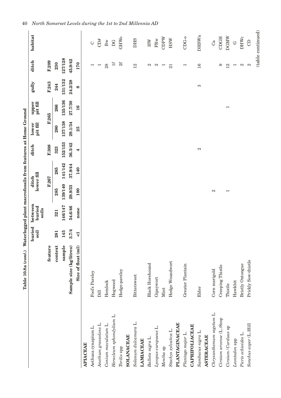|                          | Table 10.8a (cont.) Waterlogged plant macrofossils from features at Home Ground |                         |                            |                          |         |                   |                   |                          |          |                          |                      |
|--------------------------|---------------------------------------------------------------------------------|-------------------------|----------------------------|--------------------------|---------|-------------------|-------------------|--------------------------|----------|--------------------------|----------------------|
|                          |                                                                                 | buried<br>soil          | between<br>buried<br>soils | lower fill<br>ditch      |         | ditch             | pit fill<br>lower | pit fill<br>upper        | gully    | ditch                    | habitat              |
|                          | feature                                                                         |                         |                            | F.267                    |         | F.308             |                   | F.265                    | F.243    | F.209                    |                      |
|                          | context                                                                         | 281                     | 321                        | 285                      | 285     | 323               | 280               | 266                      | 244      | 230                      |                      |
|                          | sample                                                                          | 145                     | 146/147                    | 139/140                  | 141/142 | 152/153           | 137/138           | 135/136                  | 131/132  | 127/128                  |                      |
|                          | Sample size (kg/litres)                                                         | 3.7/4                   | 54.6/46                    | 29.9/33                  | 37.9/44 | 36.3/42           | 29.1/34           | 27.7/30                  | 24.2/28  | 45.9/42                  |                      |
|                          | Size of float (ml)                                                              | $\overline{\mathbf{v}}$ | none                       | 100                      | 140     | 4                 | 25                | 16                       | $\infty$ | 170                      |                      |
| <b>APIACEAE</b>          |                                                                                 |                         |                            |                          |         |                   |                   |                          |          |                          |                      |
| Aethusa cynapium L.      | Fool's Parsley                                                                  |                         |                            |                          |         |                   |                   |                          |          | $\overline{\phantom{0}}$ | $\circlearrowright$  |
| Anethum graveolens L.    | Dill                                                                            |                         |                            |                          |         |                   |                   |                          |          | $\overline{ }$           | CD#                  |
| Conium maculatum L.      | Hemlock                                                                         |                         |                            |                          |         |                   |                   |                          |          | 28                       | $_{\rm Bw}$          |
| Heracleum sphondylium L. | Hogweed                                                                         |                         |                            |                          |         |                   |                   |                          |          | H                        | DG                   |
| Torilis spp              | Hedge-parsley                                                                   |                         |                            |                          |         |                   |                   |                          |          | 2f                       | <b>GHWo</b>          |
| <b>SOLANACEAE</b>        |                                                                                 |                         |                            |                          |         |                   |                   |                          |          |                          |                      |
| Solanum dulcamara L.     | Bittersweet                                                                     |                         |                            |                          |         |                   |                   |                          |          | 12                       | <b>DHS</b>           |
| <b>LAMIACEAE</b>         |                                                                                 |                         |                            |                          |         |                   |                   |                          |          |                          |                      |
| Ballota nigra L.         | <b>Black Horehound</b>                                                          |                         |                            |                          |         |                   |                   |                          |          | Z                        | $\mathbb H\mathbb W$ |
| Lycopus europaeus L.     | Gipsywort                                                                       |                         |                            |                          |         |                   |                   |                          |          | $\mathfrak{a}$           | $_{\rm FRw}$         |
| Mentha <sub>sp</sub>     | Mint                                                                            |                         |                            |                          |         |                   |                   |                          |          | $\overline{\phantom{0}}$ | CDPW                 |
| Stachys sylvatica L.     | Hedge Woundwort                                                                 |                         |                            |                          |         |                   |                   |                          |          | $\overline{21}$          | HSW                  |
| <b>PLANTAGINACEAE</b>    |                                                                                 |                         |                            |                          |         |                   |                   |                          |          |                          |                      |
| Plantago major L.        | Greater Plantain                                                                |                         |                            |                          |         |                   |                   |                          |          | $\overline{\phantom{0}}$ | $CDG-0$              |
| CAPRIFOLIACEAE           |                                                                                 |                         |                            |                          |         |                   |                   |                          |          |                          |                      |
| Sambucus nigra L.        | Elder                                                                           |                         |                            |                          |         | $\mathbf{\Omega}$ |                   |                          | S        | 16                       | <b>DHSWn</b>         |
| <b>ASTERACEAE</b>        |                                                                                 |                         |                            |                          |         |                   |                   |                          |          |                          |                      |
| Chrysanthemum segetum L. | Corn marigold                                                                   |                         |                            | $\mathfrak{a}$           |         |                   |                   |                          |          |                          | Ca                   |
| Cirsium arvense (L.)Scop | Creeping Thistle                                                                |                         |                            |                          |         |                   |                   |                          |          | ග                        | CDGH                 |
| Cirsium/Carduus sp       | Thistle                                                                         |                         |                            | $\overline{\phantom{0}}$ |         |                   |                   | $\overline{\phantom{0}}$ |          | 12                       | <b>DGMW</b>          |
| Leontodon spp            | Hawkbit                                                                         |                         |                            |                          |         |                   |                   |                          |          | $\overline{ }$           | $\circ$              |
| Picris echioides L.      | Bristly Oxtongue                                                                |                         |                            |                          |         |                   |                   |                          |          | $\mathbf{c}$             | <b>DHWc</b>          |
| Sonchus asper (L.)Hill   | Prickly Sow-thistle                                                             |                         |                            |                          |         |                   |                   |                          |          | $\mathbf{\Omega}$        | $\Theta$             |
|                          |                                                                                 |                         |                            |                          |         |                   |                   |                          |          |                          | (table continued)    |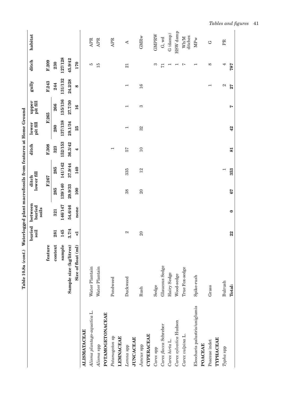|                                | Table 10.8a (cont.)     |                    | Waterlogged plant macrofossils from features at Home Ground |                     |                |                          |                          |                   |                          |                          |                        |
|--------------------------------|-------------------------|--------------------|-------------------------------------------------------------|---------------------|----------------|--------------------------|--------------------------|-------------------|--------------------------|--------------------------|------------------------|
|                                |                         | buried<br>soil     | between<br>buried<br>soils                                  | lower fill<br>ditch |                | ditch                    | pit fill<br>lower        | pit fill<br>upper | gully                    | ditch                    | habitat                |
|                                | feature                 |                    |                                                             | F.267               |                | F.308                    |                          | F.265             | F.243                    | F.209                    |                        |
|                                | context                 | 281                | 321                                                         | 285                 | 285            | 323                      | 280                      | 266               | 244                      | 230                      |                        |
|                                | sample                  | 145                | 146/147                                                     | 139/140             | 141/142        | 152/153                  | 137/138                  | 135/136           | 131/132                  | 127/128                  |                        |
|                                | Sample size (kg/litres) | 3.7/4              | 54.6/46                                                     | 29.9/33             | 37.9/44        | 36.3/42                  | 29.1/34                  | 27.7/30           | 24.2/28                  | 45.9/42                  |                        |
|                                | Size of float (ml)      | $\vec{\mathbf{v}}$ | none                                                        | 100                 | 140            | 4                        | 25                       | 16                | $\infty$                 | 170                      |                        |
| <b>ALISMATACEAE</b>            |                         |                    |                                                             |                     |                |                          |                          |                   |                          |                          |                        |
| Alisma plantago-aquatica L.    | Water Plantain          |                    |                                                             |                     |                |                          |                          |                   |                          | ю                        | <b>APR</b>             |
| Alisma spp                     | Water Plantain          |                    |                                                             |                     |                |                          |                          |                   |                          | 15                       | APR                    |
| POTAMOGETONACEAE               |                         |                    |                                                             |                     |                |                          |                          |                   |                          |                          |                        |
| Potamogeton sp                 | Pondweed                |                    |                                                             |                     |                | $\overline{\phantom{0}}$ |                          |                   |                          |                          | <b>APR</b>             |
| <b>LEMNACEAE</b>               |                         |                    |                                                             |                     |                |                          |                          |                   |                          |                          |                        |
| Lemna spp                      | Duckweed                | $\mathbf{c}_1$     |                                                             | 38                  | 335            | 57                       | $\overline{\phantom{0}}$ | $\mathbf -$       | $\overline{\phantom{0}}$ | 21                       | $\blacktriangleleft$   |
| <b>JUNCACEAE</b>               |                         |                    |                                                             |                     |                |                          |                          |                   |                          |                          |                        |
| Juncus spp                     | Rush                    | $\Omega$           |                                                             | $\Omega$            | 12             | $\Box$                   | 32                       | S                 | 16                       |                          | <b>GMR<sub>w</sub></b> |
| <b>CYPERACEAE</b>              |                         |                    |                                                             |                     |                |                          |                          |                   |                          |                          |                        |
| Carex spp                      | Sedge                   |                    |                                                             |                     |                |                          |                          |                   |                          | S                        | GMPRW                  |
| Carex flacca Schreber          | Glaucous Sedge          |                    |                                                             |                     |                |                          |                          |                   |                          | $\overline{71}$          | $G$ , wd               |
| Carex hirta L.                 | Hairy Sedge             |                    |                                                             |                     |                |                          |                          |                   |                          | $\overline{\phantom{0}}$ | G (damp)               |
| Carex sylvatica Hudson         | Wood-sedge              |                    |                                                             |                     |                |                          |                          |                   |                          | $\overline{\phantom{0}}$ | HSW damp               |
| Carex vulpina L.               | True Fox-sedge          |                    |                                                             |                     |                |                          |                          |                   |                          | L                        | ditches<br>Wh/M        |
| Eleocharis palustris/uniglumis | Spike-rush              |                    |                                                             |                     |                |                          |                          |                   |                          | $\overline{\phantom{0}}$ | <b>MPw</b>             |
| POACEAE                        |                         |                    |                                                             |                     |                |                          |                          |                   |                          |                          |                        |
| Poaceae indet                  | Grass                   |                    |                                                             |                     |                |                          |                          |                   | $\overline{\phantom{0}}$ | $\infty$                 | C                      |
| TYPHACEAE                      |                         |                    |                                                             |                     |                |                          |                          |                   |                          |                          |                        |
| Typha spp                      | Bulrush                 |                    |                                                             |                     | $\overline{ }$ |                          |                          |                   | $\mathbf{\Omega}$        | 4                        | PR                     |
|                                | Total:                  | 22                 | $\bullet$                                                   | 67                  | 353            | 81                       | $\frac{42}{5}$           | $\triangleright$  | 27                       | 787                      |                        |

*Tables and figures* 41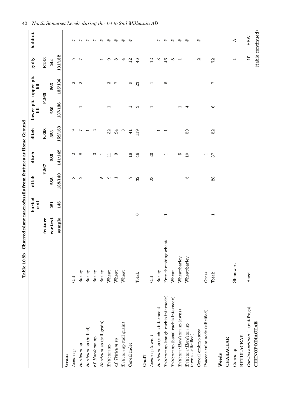|                                              | ,,,,,,,,     |   |
|----------------------------------------------|--------------|---|
| i                                            |              |   |
|                                              |              |   |
|                                              |              |   |
|                                              |              |   |
| ׅ֧֚֚֚֚֚֚֚֚֚֚֚֚֚֚֚֚֚֚֚֚֚֚֚֚֡֡֡֡֡֡֡֡֡֬֓֡֡֓֓֡֡֬ |              |   |
|                                              |              |   |
|                                              |              | l |
| Ï                                            | ֕<br>i       |   |
| i                                            | <b>STATE</b> |   |
| $\frac{1}{2}$                                | i            |   |

|                                              | Table 10.8b Charred plant macrofossils from features at Home Ground |                          |                |                   |                          |                 |                          |                                   |                          |                   |
|----------------------------------------------|---------------------------------------------------------------------|--------------------------|----------------|-------------------|--------------------------|-----------------|--------------------------|-----------------------------------|--------------------------|-------------------|
|                                              |                                                                     |                          | buried<br>soil | ditch             | ditch                    | ditch           | f(1)                     | lower pit upper pit<br>$\ddot{a}$ | gully                    | habitat           |
|                                              |                                                                     | feature                  |                |                   | F.267                    | F.308           |                          | F.265                             | F.243                    |                   |
|                                              |                                                                     | context                  | 281            | 285               | 285                      | 323             | 280                      | 266                               | 244                      |                   |
|                                              |                                                                     | sample                   | 145            | 139/140           | 141/142                  | 152/153         | 137/138                  | 135/136                           | 131/132                  |                   |
| Grain                                        |                                                                     |                          |                |                   |                          |                 |                          |                                   |                          |                   |
| Avena sp                                     | Oat                                                                 |                          |                | $\infty$          | $\mathbf{c}_1$           | G               |                          | $\mathfrak{a}$                    | ю                        | #                 |
| Hordeum sp                                   | Barley                                                              |                          |                | $\mathbf{\Omega}$ | $\infty$                 | L               | $\overline{\phantom{0}}$ | $\mathbf{\Omega}$                 | $\overline{ }$           | $^{\rm \#}$       |
| $H$ ordeum sp $(hulled)$                     | Barley                                                              |                          |                |                   |                          | H               |                          |                                   |                          | #                 |
| c.f. Hordeum sp                              | Barley                                                              |                          |                |                   | က                        | $\mathbf{z}$    |                          |                                   |                          | $^{\rm \#}$       |
| Hordeum sp (tail grain)                      | Barley                                                              |                          |                | IJ                | ⊣                        |                 |                          |                                   |                          | $_{\rm \#}$       |
| Triticum sp                                  | Wheat                                                               |                          |                | G                 | ᄇ                        | 32              | $\overline{\phantom{0}}$ | S                                 | G                        | $^{\rm \#}$       |
| c.f. Triticum sp                             | Wheat                                                               |                          |                | ⊣                 | က                        | 24              |                          | $\overline{ }$                    | $\infty$                 | $^{\rm \#}$       |
| $\it Triticum$ sp ${\rm (tail\ grain)}$      | Wheat                                                               |                          |                |                   |                          | S               |                          |                                   | 4                        | #                 |
| Cereal indet                                 |                                                                     |                          |                | Ņ                 | 18                       | $\overline{41}$ |                          | 6                                 | 12                       | $_{\rm \#}$       |
|                                              | Total:                                                              | $\circ$                  |                | 32                | 46                       | 119             | က                        | 23                                | 46                       |                   |
| Chaff                                        |                                                                     |                          |                |                   |                          |                 |                          |                                   |                          |                   |
| Avena sp (awns)                              | <b>Oat</b>                                                          |                          |                | 23                | $\Omega$                 |                 | ⊣                        | $\overline{\phantom{0}}$          | 12                       |                   |
| Hordeum sp (rachis internode)                | Barley                                                              |                          |                |                   |                          |                 |                          |                                   | က                        | #                 |
| Triticum sp (tough rachis internode)         | Free-threshing wheat                                                | $\overline{\phantom{0}}$ |                |                   | $\overline{\phantom{0}}$ |                 |                          | $\circ$                           | 46                       | $^{\rm \#}$       |
| Triticum sp (basal rachis internode)         | Wheat                                                               |                          |                |                   |                          |                 |                          |                                   | $\infty$                 | #                 |
| Triticum/Hordeum sp (awns)                   | Wheat/barley                                                        |                          |                |                   | ю                        |                 |                          |                                   | $\overline{\phantom{0}}$ | #                 |
| Triticum/Hordeum sp<br>$(awns - silicified)$ | Wheat/barley                                                        |                          |                | IJ                | 10                       | $50\,$          | 4                        |                                   |                          | #                 |
| Cereal embryo area                           |                                                                     |                          |                |                   |                          |                 |                          |                                   | $\mathbf{z}$             | #                 |
| Poaceae culm node (silicified)               | Grass                                                               |                          |                |                   | $\overline{\phantom{0}}$ |                 |                          |                                   |                          |                   |
|                                              | Total:                                                              | $\overline{\phantom{0}}$ |                | 28                | 57                       | 52              | $\circ$                  | Ņ                                 | 72                       |                   |
| Weeds                                        |                                                                     |                          |                |                   |                          |                 |                          |                                   |                          |                   |
| <b>CHARACEAE</b>                             |                                                                     |                          |                |                   |                          |                 |                          |                                   |                          |                   |
| Chara sp                                     | Stonewort                                                           |                          |                |                   |                          |                 |                          |                                   | $\overline{\phantom{0}}$ | ∢                 |
| <b>BETULACEAE</b>                            |                                                                     |                          |                |                   |                          |                 |                          |                                   |                          |                   |
| Corylus avellana L. (nut frags)              | Hazel                                                               |                          |                |                   |                          |                 |                          |                                   | $\pm$                    | HSW               |
| <b>CHENOPODIACEAE</b>                        |                                                                     |                          |                |                   |                          |                 |                          |                                   |                          | (table continued) |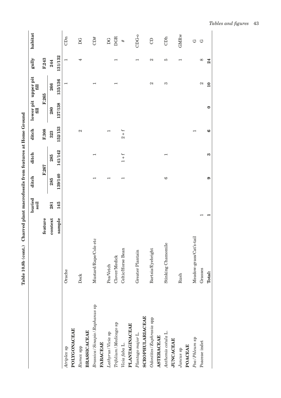|                                  |                         |         | buried<br>soil | ditch                    | ditch                    | ditch   | lower pit upper pit<br>$\Xi$ | fill           | gully    | habitat                |
|----------------------------------|-------------------------|---------|----------------|--------------------------|--------------------------|---------|------------------------------|----------------|----------|------------------------|
|                                  |                         | feature |                |                          | F.267                    | F.308   |                              | F.265          | F.243    |                        |
|                                  |                         | context | 281            | 285                      | 285                      | 323     | 280                          | 266            | 244      |                        |
|                                  |                         | sample  | 145            | 139/140                  | 141/142                  | 152/153 | 137/138                      | 135/136        | 131/132  |                        |
| Atriplex sp                      | Orache                  |         |                |                          |                          |         |                              | $\overline{ }$ | ⊣        | CDn                    |
| POLYGONACEAE                     |                         |         |                |                          |                          |         |                              |                |          |                        |
| Rumex spp                        | Dock                    |         |                |                          |                          | 2       |                              |                | 4        | DG                     |
| <b>BRASSICACEAE</b>              |                         |         |                |                          |                          |         |                              |                |          |                        |
| Brassica / Sinapis / Raphanus sp | Mustard/Rape/Cole etc   |         |                |                          |                          |         |                              |                |          | CD#                    |
| <b>FABACEAE</b>                  |                         |         |                |                          |                          |         |                              |                |          |                        |
| Lathyrus/Vicia sp                | Pea/Vetch               |         |                |                          |                          |         |                              |                |          | $\mathbf{D}\mathbf{G}$ |
| Trifolium / Medicago sp          | Clover/Medick           |         |                |                          |                          |         |                              |                |          | <b>DGR</b>             |
| Vicia faba L.                    | Celtic/Horse Bean       |         |                | $\overline{\phantom{0}}$ | $1 + f$                  | $2 + f$ |                              |                |          | #                      |
| <b>PLANTAGINACEAE</b>            |                         |         |                |                          |                          |         |                              |                |          |                        |
| Plantago major L.                | Greater Plantain        |         |                |                          |                          |         |                              |                |          | $CDG-0$                |
| <b>SCROPHULARIACEAE</b>          |                         |         |                |                          |                          |         |                              |                |          |                        |
| Odontites/Euphrasia spp          | Bartsia/Eyebright       |         |                |                          |                          |         |                              | 2              | 2        | $\Theta$               |
| <b>ASTERACEAE</b>                |                         |         |                |                          |                          |         |                              |                |          |                        |
| Anthemis cotula L.               | Stinking Chamomile      |         |                | $\circ$                  | $\overline{\phantom{0}}$ |         |                              | S              | P.       | CDh                    |
| <b>JUNCACEAE</b>                 |                         |         |                |                          |                          |         |                              |                |          |                        |
| Juncus sp                        | Rush                    |         |                |                          |                          |         |                              |                |          | <b>GMR<sub>w</sub></b> |
| POACEAE                          |                         |         |                |                          |                          |         |                              |                |          |                        |
| Poa/Phleum sp                    | Meadow-grass/Cat's-tail |         |                |                          |                          |         |                              |                |          | G                      |
| Poaceae indet                    | Grasses                 |         |                |                          |                          |         |                              | 2              | $\infty$ | Ġ                      |

Table 10.8b (cont.) Charred plant macrofossils from features at Home Ground **Table 10.8b (cont.) Charred plant macrofossils from features at Home Ground**

 $\overline{a}$  $\overline{a}$ 

Grasses Total:

Poaceae indet

 $\bullet$ 

 $\bullet$ 

 $\infty$ 24

 $\infty$  $\overline{10}$ 

 $\bullet$ 

 $\bullet$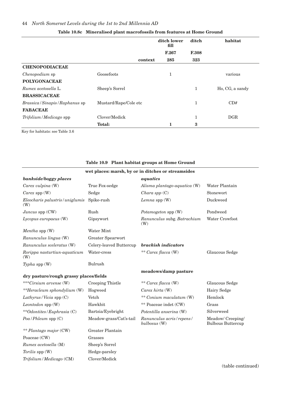|                                                       |                       | ditch lower<br>fill | ditch        | habitat         |
|-------------------------------------------------------|-----------------------|---------------------|--------------|-----------------|
|                                                       |                       | F.267               | <b>F.308</b> |                 |
|                                                       | context               | 285                 | 323          |                 |
| <b>CHENOPODIACEAE</b>                                 |                       |                     |              |                 |
| <i>Chenopodium</i> sp                                 | Goosefoots            | 1                   |              | various         |
| <b>POLYGONACEAE</b>                                   |                       |                     |              |                 |
| Rumex acetosella L.                                   | Sheep's Sorrel        |                     |              | Ho, CG, a sandy |
| <b>BRASSICACEAE</b>                                   |                       |                     |              |                 |
| <i>Brassica</i> / <i>Sinapis</i> / <i>Raphanus</i> sp | Mustard/Rape/Cole etc |                     | 1            | CD#             |
| <b>FABACEAE</b>                                       |                       |                     |              |                 |
| Trifolium/Medicago spp                                | Clover/Medick         |                     | 1            | DGR             |
|                                                       | <b>Total:</b>         | 1                   | 3            |                 |

### **Table 10.8c Mineralised plant macrofossils from features at Home Ground**

Key for habitats: see Table 3.6

|                                        |                         | Table 10.9 Plant habitat groups at Home Ground     |                                               |
|----------------------------------------|-------------------------|----------------------------------------------------|-----------------------------------------------|
|                                        |                         | wet places: marsh, by or in ditches or streamsides |                                               |
| bankside/boggy places                  |                         | aquatics                                           |                                               |
| Carex vulpina (W)                      | True Fox-sedge          | Alisma plantago-aquatica (W)                       | Water Plantain                                |
| Carex spp (W)                          | Sedge                   | Chara spp $(C)$                                    | Stonewort                                     |
| Eleocharis palustris/uniglumis<br>(W)  | Spike-rush              | Lemna spp $(W)$                                    | Duckweed                                      |
| Juncus spp (CW)                        | Rush                    | Potamogeton spp (W)                                | Pondweed                                      |
| Lycopus europaeus (W)                  | Gipsywort               | Ranunculus subg. Batrachium<br>(W)                 | Water Crowfoot                                |
| Mentha spp (W)                         | Water Mint              |                                                    |                                               |
| Ranunculus lingua (W)                  | Greater Spearwort       |                                                    |                                               |
| Ranunculus sceleratus (W)              | Celery-leaved Buttercup | brackish indicators                                |                                               |
| Rorippa nasturtiun-aquaticum<br>(W)    | Water-cress             | ** Carex flacca (W)                                | Glaucous Sedge                                |
| Typha spp $(W)$                        | <b>Bulrush</b>          |                                                    |                                               |
| dry pasture/rough grassy places/fields |                         | meadows/damp pasture                               |                                               |
| ***Cirsium arvense (W)                 | Creeping Thistle        | ** Carex flacca (W)                                | Glaucous Sedge                                |
| **Heracleum sphondylium (W)            | Hogweed                 | Carex hirta $(W)$                                  | Hairy Sedge                                   |
| Lathyrus/Vicia spp $(C)$               | Vetch                   | ** Conium maculatum (W)                            | Hemlock                                       |
| Leontodon spp (W)                      | Hawkbit                 | ** Poaceae indet (CW)                              | Grass                                         |
| **Odontites/Euphrasia (C)              | Bartsia/Eyebright       | Potentilla anserina (W)                            | Silverweed                                    |
| $Poa / Phleum$ spp $(C)$               | Meadow-grass/Cat's-tail | Ranunculus acris/repens/<br>bulbosus (W)           | Meadow/ Creeping/<br><b>Bulbous Buttercup</b> |
| ** Plantago major (CW)                 | Greater Plantain        |                                                    |                                               |
| Poaceae (CW)                           | Grasses                 |                                                    |                                               |
| Rumex acetosella (M)                   | Sheep's Sorrel          |                                                    |                                               |
| <i>Torilis</i> spp (W)                 | Hedge-parsley           |                                                    |                                               |
| Trifolium / Medicago (CM)              | Clover/Medick           |                                                    |                                               |

#### **Table 10.9 Plant habitat groups at Home Ground**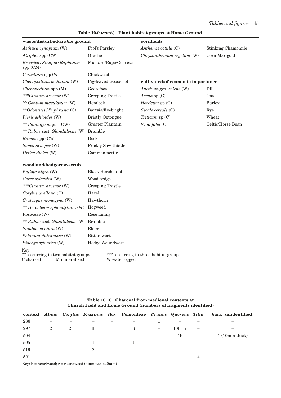#### **Table 10.9 (***cont***.) Plant habitat groups at Home Ground**

| waste/disturbed/arable ground             |                             | cornfields                            |                           |
|-------------------------------------------|-----------------------------|---------------------------------------|---------------------------|
| Aethusa cynapium (W)                      | Fool's Parsley              | Anthemis cotula (C)                   | <b>Stinking Chamomile</b> |
| Atriplex spp (CW)                         | Orache                      | Chrysanthemum segetum (W)             | Corn Marigold             |
| Brassica / Sinapis / Raphanus<br>spp (CM) | Mustard/Rape/Cole etc       |                                       |                           |
| Cerastium spp (W)                         | Chickweed                   |                                       |                           |
| Chenopodium ficifolium (W)                | <b>Fig-leaved Goosefoot</b> | cultivated/of economic importance     |                           |
| Chenopodium spp (M)                       | Goosefoot                   | Anethum graveolens (W)                | Dill                      |
| ***Cirsium arvense (W)                    | Creeping Thistle            | Avena sp $(C)$                        | Oat                       |
| ** Conium maculatum (W)                   | Hemlock                     | $H$ ordeum sp $(C)$                   | <b>Barley</b>             |
| **Odontites/Euphrasia (C)                 | Bartsia/Eyebright           | Secale cereale (C)                    | Rye                       |
| Picris echioides (W)                      | <b>Bristly Oxtongue</b>     | Triticum $sp(C)$                      | Wheat                     |
| ** Plantago major (CW)                    | Greater Plantain            | Vicia faba (C)                        | Celtic/Horse Bean         |
| ** Rubus sect. Glandulosus (W)            | <b>Bramble</b>              |                                       |                           |
| Rumex spp (CW)                            | Dock                        |                                       |                           |
| Sonchus asper (W)                         | Prickly Sow-thistle         |                                       |                           |
| Urtica dioica (W)                         | Common nettle               |                                       |                           |
| woodland/hedgerow/scrub                   |                             |                                       |                           |
| Ballota nigra (W)                         | <b>Black Horehound</b>      |                                       |                           |
| Carex sylvatica (W)                       | Wood-sedge                  |                                       |                           |
| ***Cirsium arvense (W)                    | Creeping Thistle            |                                       |                           |
| Corylus avellana (C)                      | Hazel                       |                                       |                           |
| Crataegus monogyna (W)                    | Hawthorn                    |                                       |                           |
| ** Heracleum sphondylium (W)              | Hogweed                     |                                       |                           |
| Rosaceae (W)                              | Rose family                 |                                       |                           |
| ** Rubus sect. Glandulosus (W)            | <b>Bramble</b>              |                                       |                           |
| Sambucus nigra (W)                        | Elder                       |                                       |                           |
| Solanum dulcamara (W)                     | <b>Bittersweet</b>          |                                       |                           |
| Stachys sylvatica (W)                     | Hedge Woundwort             |                                       |                           |
| Key<br>occurring in two habitat groups    |                             | *** occurring in three habitat groups |                           |

C charred M mineralised W waterlogged

|     |                          |    |    |                          | context Alnus Corylus Fraxinus Ilex Pomoideae Prunus Quercus Tilia |                   |         |                          | bark (unidentified) |
|-----|--------------------------|----|----|--------------------------|--------------------------------------------------------------------|-------------------|---------|--------------------------|---------------------|
| 266 |                          |    |    |                          |                                                                    |                   |         |                          |                     |
| 297 | 2                        | 2r | 4h | $\perp$                  | 6                                                                  |                   | 10h, 1r | $\overline{\phantom{m}}$ |                     |
| 504 | —                        |    |    |                          |                                                                    | $\qquad \qquad -$ | 1h      | $\qquad \qquad -$        | $1(10mm)$ thick)    |
| 505 | $\overline{\phantom{m}}$ |    |    | $\overline{\phantom{0}}$ |                                                                    |                   |         |                          |                     |
| 519 |                          |    | 2  | $\overline{\phantom{0}}$ |                                                                    |                   |         |                          | -                   |
| 521 |                          |    |    |                          |                                                                    |                   |         |                          |                     |

**Table 10.10 Charcoal from medieval contexts at Church Field and Home Ground (numbers of fragments identified)**

Key:  $h =$  heartwood;  $r =$  roundwood (diameter <20mm)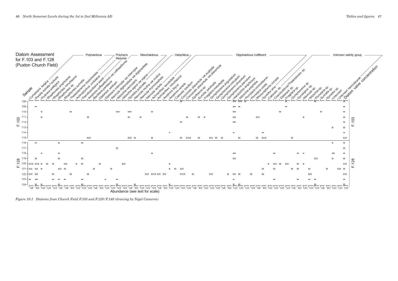Abundance (see text for scale)



*Figure 10.1 Diatoms from Church Field F.103 and F.128/F.140 (drawing by Nigel Cameron)*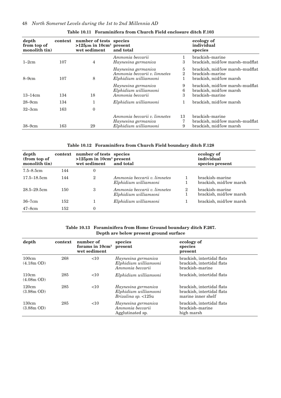| depth<br>from top of<br>monolith tin) | context | number of tests species<br>$>125\mu m$ in 10cm <sup>3</sup> present<br>wet sediment | and total                                                                    |                     | ecology of<br>individual<br>species                                           |
|---------------------------------------|---------|-------------------------------------------------------------------------------------|------------------------------------------------------------------------------|---------------------|-------------------------------------------------------------------------------|
| $1-2cm$                               | 107     | 4                                                                                   | Ammonia beccarii<br>Haynesina germanica                                      | 3                   | brackish-marine<br>brackish, mid/low marsh-mudflat                            |
| $8-9cm$                               | 107     | 8                                                                                   | Haynesina germanica<br>Ammonia beccarii v. limnetes<br>Elphidium williamsoni | 5<br>$\overline{2}$ | brackish, mid/low marsh-mudflat<br>brackish-marine<br>brackish, mid/low marsh |
| $13-14cm$                             | 134     | 18                                                                                  | Haynesina germanica<br>Elphidium williamsoni<br>Ammonia beccarii             | 9<br>6<br>3         | brackish, mid/low marsh-mudflat<br>brackish, mid/low marsh<br>brackish-marine |
| $28 - 9$ cm                           | 134     | 1                                                                                   | Elphidium williamsoni                                                        |                     | brackish, mid/low marsh                                                       |
| $32 - 3$ cm                           | 163     | $\mathbf{0}$                                                                        |                                                                              |                     |                                                                               |
| $38 - 9$ cm                           | 163     | 29                                                                                  | Ammonia beccarii v. limnetes<br>Haynesina germanica<br>Elphidium williamsoni | 13<br>7<br>9        | brackish-marine<br>brackish, mid/low marsh-mudflat<br>brackish, mid/low marsh |

#### **Table 10.11 Foraminifera from Church Field enclosure ditch F.103**

**Table 10.12 Foraminifera from Church Field boundary ditch F.128**

| depth<br>(from top of<br>monolith tin | context | number of tests species<br>$>125\mu m$ in 10cm <sup>3</sup> present<br>wet sediment | and total                                             |   | ecology of<br>individual<br>species present |
|---------------------------------------|---------|-------------------------------------------------------------------------------------|-------------------------------------------------------|---|---------------------------------------------|
| $7.5 - 8.5$ cm                        | 144     | 0                                                                                   |                                                       |   |                                             |
| $17.5 - 18.5$ cm                      | 144     | $\overline{2}$                                                                      | Ammonia beccarii v. limnetes<br>Elphidium williamsoni |   | brackish-marine<br>brackish, mid/low marsh  |
| $28.5 - 29.5$ cm                      | 150     | 3                                                                                   | Ammonia beccarii v. limnetes<br>Elphidium williamsoni | 2 | brackish-marine<br>brackish, mid/low marsh  |
| $36 - 7$ cm                           | 152     |                                                                                     | Elphidium williamsoni                                 |   | brackish, mid/low marsh                     |
| $47 - 8$ cm                           | 152     | 0                                                                                   |                                                       |   |                                             |

#### **Table 10.13 Foraminifera from Home Ground boundary ditch F.267. Depth are below present ground surface**

| depth                         | context | number of<br>forams in $10 \text{cm}^3$<br>wet sediment | species<br>present                                                         | ecology of<br>species<br>present                                               |
|-------------------------------|---------|---------------------------------------------------------|----------------------------------------------------------------------------|--------------------------------------------------------------------------------|
| 100cm<br>$(4.18m \text{ OD})$ | 268     | $<$ 10                                                  | Haynesina germanica<br>Elphidium williamsoni<br>Ammonia beccarii           | brackish, intertidal flats<br>brackish, intertidal flats<br>brackish-marine    |
| 110cm<br>$(4.08m \text{ OD})$ | 285     | <10                                                     | Elphidium williamsoni                                                      | brackish, intertidal flats                                                     |
| 120cm<br>$(3.98m$ OD)         | 285     | $<$ 10                                                  | Haynesina germanica<br>Elphidium williamsoni<br><i>Brizalina sp.</i> <125u | brackish, intertidal flats<br>brackish, intertidal flats<br>marine inner shelf |
| 130cm<br>$(3.88m$ OD)         | 285     | $<$ 10                                                  | Haynesina germanica<br>Ammonia beccarii<br>Agglutinated sp.                | brackish, intertidal flats<br>brackish-marine<br>high marsh                    |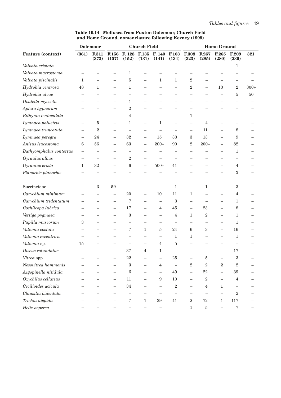|                         |                          | <b>Dolemoor</b> |                          |                         | <b>Church Field</b>      |                          |                          |                          |                          | <b>Home Ground</b>       |                          |        |
|-------------------------|--------------------------|-----------------|--------------------------|-------------------------|--------------------------|--------------------------|--------------------------|--------------------------|--------------------------|--------------------------|--------------------------|--------|
| Feature (context)       | (361)                    | F.311<br>(373)  | F.156<br>(157)           | F. 128<br>(152)         | F.135<br>(131)           | F. 140<br>(141)          | <b>F.103</b><br>(134)    | F.308<br>(323)           | F.267<br>(285)           | F.265<br>(280)           | F.209<br>(230)           | 321    |
| Valvata cristata        |                          |                 |                          |                         | $\overline{\phantom{0}}$ |                          | $\overline{\phantom{0}}$ | $\overline{\phantom{0}}$ | $\overline{\phantom{0}}$ |                          | $\mathbf{1}$             |        |
| Valvata macrostoma      |                          |                 |                          | 1                       |                          |                          |                          |                          |                          |                          |                          |        |
| Valvata piscinalis      | 1                        |                 |                          | 5                       | $\overline{\phantom{0}}$ | $\mathbf{1}$             | $\mathbf{1}$             | $\overline{2}$           |                          |                          |                          |        |
| Hydrobia ventrosa       | 48                       | $\mathbf{1}$    |                          | 1                       |                          |                          |                          | $\overline{2}$           | $\overline{\phantom{0}}$ | 13                       | $\,2$                    | $300+$ |
| Hydrobia ulvae          | $\overline{\phantom{0}}$ |                 | —                        |                         |                          |                          |                          | $\overline{\phantom{0}}$ | —                        |                          | 5                        | 50     |
| Ovatella myosotis       |                          |                 | $\overline{\phantom{0}}$ | 1                       |                          |                          |                          |                          |                          |                          |                          |        |
| Aplexa hypnorum         |                          |                 | $\overline{\phantom{0}}$ | $\overline{2}$          |                          |                          |                          |                          |                          |                          |                          |        |
| Bithynia tentaculata    |                          |                 |                          | 4                       |                          |                          |                          | $\mathbf{1}$             |                          |                          |                          |        |
| Lymnaea palustris       | $\overline{\phantom{0}}$ | 5               | -                        | 1                       | $\overline{\phantom{0}}$ | $\mathbf{1}$             | $\overline{\phantom{0}}$ | $\qquad \qquad -$        | 4                        | $\overline{\phantom{0}}$ | $\overline{\phantom{0}}$ |        |
| Lymnaea truncatula      | $\equiv$                 | $\overline{2}$  | ▃                        |                         | $\overline{\phantom{0}}$ |                          |                          | $\overline{\phantom{0}}$ | 11                       | $\overline{\phantom{0}}$ | 8                        |        |
| Lymnaea peregra         | $\overline{\phantom{0}}$ | 24              | $\overline{\phantom{0}}$ | 32                      | $\qquad \qquad -$        | 15                       | 33                       | 3                        | 13                       |                          | 9                        |        |
| Anisus leucostoma       | 6                        | 56              |                          | 63                      | $\overline{\phantom{0}}$ | $200+$                   | 90                       | $\overline{2}$           | $200+$                   | $\overline{\phantom{0}}$ | 82                       |        |
| Bathyomphalus contortus | $\overline{\phantom{0}}$ |                 |                          |                         |                          |                          |                          |                          |                          |                          | 1                        |        |
| Gyraulus albus          |                          |                 |                          | $\overline{2}$          |                          |                          |                          |                          |                          |                          |                          |        |
| Gyraulus crista         | 1                        | $32\,$          | —                        | 6                       | $\overline{\phantom{0}}$ | $500+$                   | 41                       |                          |                          |                          | $\overline{4}$           |        |
| Planorbis planorbis     |                          |                 |                          |                         |                          |                          |                          |                          |                          |                          | $\,3$                    |        |
| Succineidae             |                          | 3               | 59                       |                         |                          |                          | $\mathbf{1}$             | $\overline{\phantom{0}}$ | 1                        |                          | $\,3$                    |        |
| Carychium minimum       |                          |                 | $\overline{\phantom{0}}$ | 20                      | $\overline{\phantom{0}}$ | $10\,$                   | 11                       | 1                        |                          |                          | 4                        |        |
| Carychium tridentatum   |                          |                 |                          | 7                       |                          | $\qquad \qquad -$        | 3                        | $\overline{\phantom{0}}$ |                          |                          | 1                        |        |
| Cochlicopa lubrica      |                          |                 | $\overline{\phantom{0}}$ | 17                      | $\overline{\phantom{0}}$ | 4                        | 45                       |                          | 23                       |                          | 8                        |        |
| Vertigo pygmaea         |                          |                 |                          | 3                       |                          |                          | 4                        | $\mathbf{1}$             | $\overline{2}$           |                          | 1                        |        |
| Pupilla muscorum        | 3                        |                 |                          |                         | $\overline{\phantom{0}}$ |                          | $\overline{\phantom{0}}$ |                          |                          | $\overline{\phantom{0}}$ | 1                        |        |
| Vallonia costata        |                          |                 |                          | 7                       | $\mathbf{1}$             | $\bf 5$                  | 24                       | 6                        | 3                        |                          | 16                       |        |
| Vallonia excentrica     |                          |                 |                          |                         | $\overline{\phantom{0}}$ |                          | 1                        | 1                        |                          |                          | 1                        |        |
| Vallonia sp.            | 15                       |                 |                          |                         |                          | 4                        | 5                        |                          |                          |                          |                          |        |
| Discus rotundatus       |                          |                 |                          | 37                      | 4                        | 1                        |                          |                          |                          |                          | 17                       |        |
| Vitrea spp.             |                          |                 |                          | $22\,$                  |                          |                          | $25\,$                   | $\overline{\phantom{m}}$ | $\overline{5}$           |                          | $\,3$                    |        |
| Nesovitrea hammonis     |                          |                 |                          | $\overline{\mathbf{3}}$ | $\overline{\phantom{0}}$ | $\,4\,$                  | $\equiv$                 | $\,2$                    | $\,2$                    | $\,2$                    | $\,2$                    |        |
| Aegopinella nitidula    |                          |                 | $\overline{\phantom{0}}$ | $\,6\,$                 | $\overline{\phantom{0}}$ | $\qquad \qquad -$        | 49                       | $\overline{\phantom{0}}$ | $22\,$                   | $-$                      | $39\,$                   |        |
| Oxychilus cellarius     |                          |                 | $\overline{\phantom{0}}$ | $11\,$                  | $\qquad \qquad -$        | $\boldsymbol{9}$         | $10\,$                   | $\qquad \qquad -$        | $\,2$                    | $\overline{\phantom{0}}$ | $\overline{4}$           |        |
| Cecilioides acicula     |                          |                 |                          | $34\,$                  |                          | $\overline{\phantom{m}}$ | $\,2$                    | $\overline{\phantom{0}}$ | $\,4\,$                  | $\mathbf{1}$             | $\overline{\phantom{m}}$ |        |
| Clausilia bidentata     |                          |                 |                          | -                       |                          | $\overline{\phantom{m}}$ |                          | $\qquad \qquad -$        | $\qquad \qquad -$        | $\overline{\phantom{0}}$ | $\,2$                    |        |
| Trichia hispida         |                          |                 |                          | 7                       | $\mathbf 1$              | $39\,$                   | $41\,$                   | $\,2$                    | $72\,$                   | 1                        | $117\,$                  |        |
| Helix aspersa           |                          |                 |                          |                         |                          |                          |                          | $\,1$                    | $\bf 5$                  |                          | $\,7$                    |        |

**Table 10.14 Mollusca from Puxton Dolemoor, Church Field and Home Ground, nomenclature following Kerney (1999)**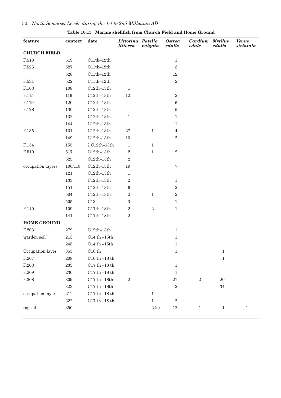| feature                | context | date                 | Littorina Patella<br><i>littorea</i> | vulgata           | <b>Ostrea</b><br>edulis | Cardium<br>edule | <b>Mytilus</b><br>edulis | <b>Venus</b><br>$\it striatula$ |
|------------------------|---------|----------------------|--------------------------------------|-------------------|-------------------------|------------------|--------------------------|---------------------------------|
| <b>CHURCH FIELD</b>    |         |                      |                                      |                   |                         |                  |                          |                                 |
| $\rm F.518$            | 519     | $C11th-12th$         |                                      |                   | $1\,$                   |                  |                          |                                 |
| $\rm F.526$            | 527     | $\text{C11th--12th}$ |                                      |                   | 3                       |                  |                          |                                 |
|                        | 528     | $C11th-12th$         |                                      |                   | $12\,$                  |                  |                          |                                 |
| F.531                  | 522     | $C11th-12th$         |                                      |                   | $\sqrt{2}$              |                  |                          |                                 |
| $\rm F.103$            | 108     | $C12th-13th$         | $\,1\,$                              |                   |                         |                  |                          |                                 |
| $\operatorname{F.115}$ | 116     | $C12th-13th$         | $12\,$                               |                   | $\,2$                   |                  |                          |                                 |
| $\rm F.119$            | 120     | $C12th-13th$         |                                      |                   | 5                       |                  |                          |                                 |
| $\operatorname{F.128}$ | 130     | $C12th-13th$         |                                      |                   | 5                       |                  |                          |                                 |
|                        | 132     | $C12th-13th$         | $\mathbf 1$                          |                   | $\mathbf{1}$            |                  |                          |                                 |
|                        | 144     | $C12th-13th$         |                                      |                   | 1                       |                  |                          |                                 |
| $\rm F.135$            | 131     | $C12th-13th$         | $27\,$                               | $1\,$             | $\overline{4}$          |                  |                          |                                 |
|                        | 149     | $C12th-13th$         | $10\,$                               |                   | $\boldsymbol{2}$        |                  |                          |                                 |
| $\rm F.154$            | 155     | $?$ C12th-13th       | $\mathbf{1}$                         | $\mathbf{1}$      |                         |                  |                          |                                 |
| $\rm F.510$            | 517     | $C12th-13th$         | $\,2$                                | $\,1\,$           | $\,2$                   |                  |                          |                                 |
|                        | $525\,$ | $C12th-13th$         | $\,2$                                |                   |                         |                  |                          |                                 |
| occupation layers      | 106/118 | $C12th-13th$         | 19                                   |                   | $\sqrt{7}$              |                  |                          |                                 |
|                        | 121     | $C12th-13th$         | $\mathbf{1}$                         |                   |                         |                  |                          |                                 |
|                        | 133     | $C12th-13th$         | $\,2$                                |                   | $\mathbf{1}$            |                  |                          |                                 |
|                        | 151     | $C12th-13th$         | $\,6$                                |                   | $\,2$                   |                  |                          |                                 |
|                        | 504     | $C12th-13th$         | $\,2$                                | $1\,$             | $\,2$                   |                  |                          |                                 |
|                        | $505\,$ | C13                  | $\,3$                                |                   | $\mathbf{1}$            |                  |                          |                                 |
| F.140                  | 109     | $C17th-18th$         | $\,2$                                | $\,2$             | $1\,$                   |                  |                          |                                 |
|                        | 141     | $C17th-18th$         | $\,2$                                |                   |                         |                  |                          |                                 |
| <b>HOME GROUND</b>     |         |                      |                                      |                   |                         |                  |                          |                                 |
| $\operatorname{F.203}$ | 279     | $C12th-13th$         |                                      |                   | $1\,$                   |                  |                          |                                 |
| 'garden soil'          | $213\,$ | $C14th - 15th$       |                                      |                   | $\mathbf{1}$            |                  |                          |                                 |
|                        | 245     | $C14th - 15th$       |                                      |                   | $\mathbf{1}$            |                  |                          |                                 |
| Occupation layer       | $353\,$ | C16th                |                                      |                   | $\mathbf 1$             |                  | $\mathbf 1$              |                                 |
| F.207                  | $\,208$ | C16 th $-18$ th      |                                      |                   |                         |                  | $\mathbf 1$              |                                 |
| $\operatorname{F.203}$ | 233     | C17 th $-18$ th      |                                      |                   | $1\,$                   |                  |                          |                                 |
| $\operatorname{F.209}$ | 230     | C17 th $-18$ th      |                                      |                   | $1\,$                   |                  |                          |                                 |
| $\operatorname{F.308}$ | 309     | $C17th-18th$         | $\,2$                                |                   | 21                      | $\,2$            | 20                       |                                 |
|                        | $323\,$ | C17 th $-18th$       |                                      |                   | $\,2$                   |                  | $34\,$                   |                                 |
| occupation layer       | $211\,$ | C17 th $-18$ th      |                                      | $\mathbf{1}$      |                         |                  |                          |                                 |
|                        | $222\,$ | C17 th $-18$ th      |                                      | $\,1$             | $\,2$                   |                  |                          |                                 |
| topsoil                | 350     |                      |                                      | $2\ \mathrm{(s)}$ | $12\,$                  | $\mathbf{1}$     | $\mathbf 1$              | $\mathbf 1$                     |

### **Table 10.15 Marine shellfish from Church Field and Home Ground**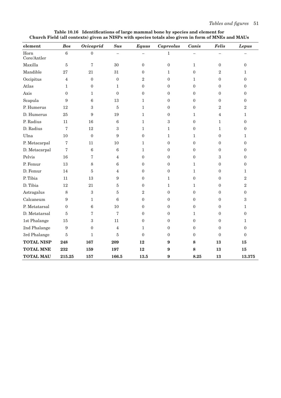| element             | <b>Bos</b>        | <b>Ovicaprid</b>  | <b>Sus</b>               | <b>Equus</b>     | <b>Capreolus</b> | Canis            | <b>Felis</b>     | <b>Lepus</b>     |
|---------------------|-------------------|-------------------|--------------------------|------------------|------------------|------------------|------------------|------------------|
| Horn<br>Core/Antler | $6\phantom{.}6$   | $\mathbf{0}$      | $\overline{\phantom{0}}$ |                  | $\mathbf{1}$     |                  |                  |                  |
| Maxilla             | 5                 | 7                 | 30                       | $\boldsymbol{0}$ | $\boldsymbol{0}$ | $\mathbf{1}$     | $\boldsymbol{0}$ | $\mathbf{0}$     |
| Mandible            | 27                | 21                | 31                       | $\boldsymbol{0}$ | $\mathbf{1}$     | $\boldsymbol{0}$ | $\overline{2}$   | 1                |
| Occipitus           | 4                 | $\mathbf{0}$      | $\boldsymbol{0}$         | $\overline{2}$   | $\boldsymbol{0}$ | 1                | $\boldsymbol{0}$ | $\mathbf{0}$     |
| Atlas               | $\mathbf 1$       | $\boldsymbol{0}$  | 1                        | $\boldsymbol{0}$ | $\boldsymbol{0}$ | $\boldsymbol{0}$ | $\overline{0}$   | $\overline{0}$   |
| Axis                | $\overline{0}$    | $\mathbf{1}$      | $\mathbf{0}$             | $\boldsymbol{0}$ | $\boldsymbol{0}$ | $\boldsymbol{0}$ | $\boldsymbol{0}$ | $\boldsymbol{0}$ |
| Scapula             | 9                 | $\,6\,$           | 13                       | $\mathbf{1}$     | $\boldsymbol{0}$ | $\boldsymbol{0}$ | $\boldsymbol{0}$ | $\boldsymbol{0}$ |
| P. Humerus          | 12                | $\overline{3}$    | $\overline{5}$           | $\mathbf{1}$     | $\boldsymbol{0}$ | $\boldsymbol{0}$ | $\overline{2}$   | $\overline{2}$   |
| D. Humerus          | 25                | $\boldsymbol{9}$  | 19                       | $\mathbf{1}$     | $\boldsymbol{0}$ | $\mathbf{1}$     | $\overline{4}$   | $\mathbf{1}$     |
| P. Radius           | 11                | 16                | $\,6$                    | $\mathbf{1}$     | $\sqrt{3}$       | $\boldsymbol{0}$ | $\mathbf{1}$     | $\overline{0}$   |
| D. Radius           | $\scriptstyle{7}$ | 12                | 3                        | $\mathbf{1}$     | $\mathbf{1}$     | $\boldsymbol{0}$ | $\mathbf{1}$     | $\boldsymbol{0}$ |
| Ulna                | 10                | $\overline{0}$    | 9                        | $\boldsymbol{0}$ | $\mathbf{1}$     | $\mathbf{1}$     | $\boldsymbol{0}$ | 1                |
| P. Metacarpal       | 7                 | 11                | 10                       | $\mathbf{1}$     | $\boldsymbol{0}$ | $\boldsymbol{0}$ | $\boldsymbol{0}$ | $\boldsymbol{0}$ |
| D. Metacarpal       | 7                 | $\,6\,$           | $\,6$                    | $\mathbf{1}$     | $\boldsymbol{0}$ | $\boldsymbol{0}$ | $\boldsymbol{0}$ | $\overline{0}$   |
| Pelvis              | 16                | $\scriptstyle{7}$ | $\overline{4}$           | $\boldsymbol{0}$ | $\boldsymbol{0}$ | $\boldsymbol{0}$ | 3                | $\boldsymbol{0}$ |
| P. Femur            | 13                | $\,8\,$           | 6                        | $\boldsymbol{0}$ | $\boldsymbol{0}$ | $\mathbf{1}$     | $\boldsymbol{0}$ | $\boldsymbol{0}$ |
| D. Femur            | 14                | $\overline{5}$    | $\overline{4}$           | $\boldsymbol{0}$ | $\boldsymbol{0}$ | $\mathbf{1}$     | $\boldsymbol{0}$ | 1                |
| P. Tibia            | 11                | 13                | 9                        | $\boldsymbol{0}$ | $\mathbf{1}$     | $\boldsymbol{0}$ | $\boldsymbol{0}$ | $\overline{2}$   |
| D. Tibia            | 12                | 21                | $\bf 5$                  | $\boldsymbol{0}$ | $\mathbf{1}$     | $\mathbf{1}$     | $\boldsymbol{0}$ | $\overline{2}$   |
| Astragalus          | 8                 | $\sqrt{3}$        | $\bf 5$                  | $\sqrt{2}$       | $\boldsymbol{0}$ | $\boldsymbol{0}$ | $\boldsymbol{0}$ | $\boldsymbol{0}$ |
| Calcaneum           | $\boldsymbol{9}$  | $\mathbf{1}$      | $\,6$                    | $\boldsymbol{0}$ | $\boldsymbol{0}$ | $\boldsymbol{0}$ | $\boldsymbol{0}$ | 3                |
| P. Metatarsal       | $\theta$          | $\,6\,$           | 10                       | $\boldsymbol{0}$ | $\boldsymbol{0}$ | $\boldsymbol{0}$ | $\boldsymbol{0}$ | $\mathbf{1}$     |
| D. Metatarsal       | $\overline{5}$    | 7                 | 7                        | $\mathbf{0}$     | $\mathbf{0}$     | $\mathbf{1}$     | $\overline{0}$   | $\theta$         |
| 1st Phalange        | 15                | 3                 | 11                       | $\mathbf{0}$     | $\mathbf{0}$     | $\boldsymbol{0}$ | $\overline{0}$   | $\mathbf 1$      |
| 2nd Phalange        | 9                 | $\mathbf{0}$      | 4                        | $\mathbf{1}$     | $\mathbf{0}$     | $\boldsymbol{0}$ | $\overline{0}$   | $\overline{0}$   |
| 3rd Phalange        | 5                 | $\mathbf{1}$      | 5                        | $\mathbf{0}$     | $\mathbf{0}$     | $\mathbf{0}$     | $\mathbf{0}$     | $\Omega$         |
| <b>TOTAL NISP</b>   | 248               | 167               | 209                      | 12               | 9                | 8                | 13               | 15               |
| <b>TOTAL MNE</b>    | 232               | 159               | 197                      | 12               | 9                | 8                | 13               | 15               |
| <b>TOTAL MAU</b>    | 215.25            | 157               | 166.5                    | 13.5             | 9                | 8.25             | 13               | $\bf 13.375$     |

**Table 10.16 Identifications of large mammal bone by species and element for Church Field (all contexts) given as NISPs with species totals also given in form of MNEs and MAUs**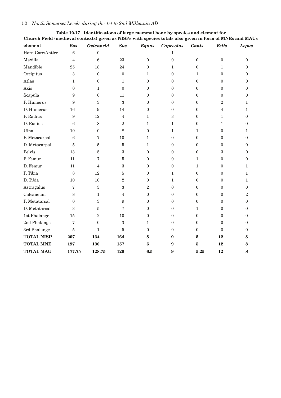| element           | <b>Bos</b>        | <b>Ovicaprid</b> | <b>Sus</b>               | <b>Equus</b>   | <b>Capreolus</b> | Canis            | <b>Felis</b>     | <b>Lepus</b>   |
|-------------------|-------------------|------------------|--------------------------|----------------|------------------|------------------|------------------|----------------|
| Horn Core/Antler  | $\overline{6}$    | $\boldsymbol{0}$ | $\overline{\phantom{0}}$ |                | $\mathbf{1}$     |                  |                  |                |
| Maxilla           | $\overline{4}$    | 6                | 23                       | $\theta$       | $\boldsymbol{0}$ | $\boldsymbol{0}$ | $\overline{0}$   | $\overline{0}$ |
| Mandible          | 25                | 18               | 24                       | $\overline{0}$ | $\mathbf{1}$     | $\mathbf{0}$     | $\mathbf{1}$     | $\overline{0}$ |
| Occipitus         | 3                 | $\boldsymbol{0}$ | $\boldsymbol{0}$         | $\mathbf{1}$   | $\Omega$         | $\mathbf{1}$     | $\overline{0}$   | $\overline{0}$ |
| Atlas             | 1                 | $\boldsymbol{0}$ | $\mathbf{1}$             | $\theta$       | $\mathbf{0}$     | $\mathbf{0}$     | $\overline{0}$   | $\Omega$       |
| Axis              | $\boldsymbol{0}$  | $\mathbf{1}$     | $\theta$                 | $\theta$       | $\Omega$         | $\Omega$         | $\boldsymbol{0}$ | $\Omega$       |
| Scapula           | 9                 | $\,6\,$          | 11                       | $\theta$       | $\mathbf{0}$     | $\mathbf{0}$     | $\mathbf{0}$     | $\theta$       |
| P. Humerus        | 9                 | $\boldsymbol{3}$ | 3                        | $\overline{0}$ | $\boldsymbol{0}$ | $\boldsymbol{0}$ | $\sqrt{2}$       | $\mathbf{1}$   |
| D. Humerus        | 16                | 9                | 14                       | $\theta$       | $\mathbf{0}$     | $\Omega$         | 4                | $\mathbf{1}$   |
| P. Radius         | 9                 | 12               | $\bf 4$                  | $\mathbf{1}$   | $\sqrt{3}$       | $\boldsymbol{0}$ | $\mathbf{1}$     | $\overline{0}$ |
| D. Radius         | 6                 | 8                | $\overline{2}$           | $\mathbf{1}$   | $\mathbf{1}$     | $\Omega$         | $\mathbf{1}$     | $\theta$       |
| Ulna              | 10                | $\mathbf{0}$     | 8                        | $\overline{0}$ | $\mathbf{1}$     | $\mathbf{1}$     | $\overline{0}$   | $\mathbf{1}$   |
| P. Metacarpal     | 6                 | 7                | 10                       | $\mathbf{1}$   | $\Omega$         | $\Omega$         | $\overline{0}$   | $\theta$       |
| D. Metacarpal     | $\overline{5}$    | 5                | 5                        | $\mathbf{1}$   | $\mathbf{0}$     | $\mathbf{0}$     | $\overline{0}$   | $\Omega$       |
| Pelvis            | 13                | $\bf 5$          | 3                        | $\overline{0}$ | $\boldsymbol{0}$ | $\boldsymbol{0}$ | 3                | $\overline{0}$ |
| P. Femur          | 11                | 7                | $\bf 5$                  | $\theta$       | $\mathbf{0}$     | $\mathbf{1}$     | $\overline{0}$   | $\Omega$       |
| D. Femur          | 11                | $\overline{4}$   | 3                        | $\overline{0}$ | $\boldsymbol{0}$ | $\mathbf{1}$     | $\boldsymbol{0}$ | $\mathbf{1}$   |
| P. Tibia          | 8                 | 12               | $\bf 5$                  | $\theta$       | $\mathbf{1}$     | $\theta$         | $\overline{0}$   | $\mathbf{1}$   |
| D. Tibia          | 10                | 16               | $\overline{2}$           | $\overline{0}$ | $\mathbf{1}$     | $\mathbf{0}$     | $\mathbf{0}$     | $\mathbf{1}$   |
| Astragalus        | 7                 | $\mathbf{3}$     | 3                        | $\overline{2}$ | $\Omega$         | $\theta$         | $\mathbf{0}$     | $\theta$       |
| Calcaneum         | 8                 | $\mathbf{1}$     | 4                        | $\overline{0}$ | $\mathbf{0}$     | $\mathbf{0}$     | $\overline{0}$   | $\overline{2}$ |
| P. Metatarsal     | $\mathbf{0}$      | 3                | $\boldsymbol{9}$         | $\theta$       | $\Omega$         | $\Omega$         | $\overline{0}$   | $\Omega$       |
| D. Metatarsal     | 3                 | 5                | 7                        | $\theta$       | $\mathbf{0}$     | $\mathbf{1}$     | $\mathbf{0}$     | $\Omega$       |
| 1st Phalange      | 15                | $\sqrt{2}$       | 10                       | $\overline{0}$ | $\overline{0}$   | $\overline{0}$   | $\mathbf{0}$     | $\theta$       |
| 2nd Phalange      | $\scriptstyle{7}$ | $\boldsymbol{0}$ | 3                        | $\mathbf{1}$   | $\Omega$         | $\theta$         | $\mathbf{0}$     | $\theta$       |
| 3rd Phalange      | $\overline{5}$    | $\mathbf{1}$     | 5                        | $\overline{0}$ | $\overline{0}$   | $\boldsymbol{0}$ | $\mathbf{0}$     | $\mathbf{0}$   |
| <b>TOTAL NISP</b> | 207               | 134              | 164                      | 8              | $\boldsymbol{9}$ | $\bf{5}$         | 12               | 8              |
| <b>TOTAL MNE</b>  | 197               | 130              | 157                      | 6              | 9                | 5                | 12               | 8              |
| <b>TOTAL MAU</b>  | 177.75            | 128.75           | 129                      | 6.5            | 9                | 5.25             | 12               | 8              |

| Table 10.17 Identifications of large mammal bone by species and element for                             |
|---------------------------------------------------------------------------------------------------------|
| Church Field (medieval contexts) given as NISPs with species totals also given in form of MNEs and MAUs |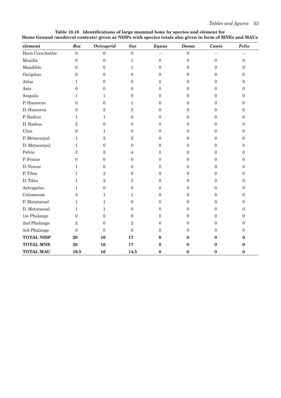| element           | <b>Bos</b>       | <b>Ovicaprid</b> | <b>Sus</b>       | <b>Equus</b>   | Dama             | Canis            | <b>Felis</b>     |
|-------------------|------------------|------------------|------------------|----------------|------------------|------------------|------------------|
| Horn Core/Antler  | $\mathbf{0}$     | $\mathbf{0}$     | $\boldsymbol{0}$ |                | $\boldsymbol{0}$ |                  |                  |
| Maxilla           | $\boldsymbol{0}$ | $\boldsymbol{0}$ | $\mathbf{1}$     | $\mathbf{0}$   | $\boldsymbol{0}$ | $\mathbf{0}$     | $\boldsymbol{0}$ |
| Mandible          | $\Omega$         | $\mathbf{0}$     | $\mathbf{1}$     | $\Omega$       | $\mathbf{0}$     | $\overline{0}$   | $\boldsymbol{0}$ |
| Occipitus         | $\theta$         | $\overline{0}$   | $\theta$         | $\Omega$       | $\mathbf{0}$     | $\Omega$         | $\boldsymbol{0}$ |
| Atlas             | $\mathbf{1}$     | $\mathbf{0}$     | $\mathbf{0}$     | $\Omega$       | $\mathbf{0}$     | $\Omega$         | $\mathbf{0}$     |
| Axis              | $\mathbf{0}$     | $\boldsymbol{0}$ | $\mathbf{0}$     | $\mathbf{0}$   | $\mathbf{0}$     | $\overline{0}$   | $\boldsymbol{0}$ |
| Scapula           | $\mathbf{1}$     | $\mathbf 1$      | $\mathbf{0}$     | $\mathbf{0}$   | $\mathbf{0}$     | $\mathbf{0}$     | $\boldsymbol{0}$ |
| P. Humerus        | $\Omega$         | $\mathbf{0}$     | $\mathbf 1$      | $\mathbf{0}$   | $\mathbf{0}$     | $\overline{0}$   | $\mathbf{0}$     |
| D. Humerus        | $\mathbf{0}$     | $\boldsymbol{2}$ | $\overline{2}$   | $\mathbf{0}$   | $\mathbf{0}$     | $\mathbf{0}$     | $\mathbf{0}$     |
| P. Radius         | $\mathbf{1}$     | $\mathbf{1}$     | $\overline{0}$   | $\theta$       | $\mathbf{0}$     | $\mathbf{0}$     | $\mathbf{0}$     |
| D. Radius         | $\overline{2}$   | $\boldsymbol{0}$ | $\overline{0}$   | $\theta$       | $\mathbf{0}$     | $\theta$         | $\mathbf{0}$     |
| Ulna              | $\mathbf{0}$     | 1                | $\mathbf{0}$     | $\mathbf{0}$   | $\mathbf{0}$     | $\overline{0}$   | $\boldsymbol{0}$ |
| P. Metacarpal     | $\mathbf{1}$     | $\boldsymbol{2}$ | $\overline{2}$   | $\mathbf{0}$   | $\overline{0}$   | $\overline{0}$   | $\overline{0}$   |
| D. Metacarpal     | $\mathbf{1}$     | $\boldsymbol{0}$ | $\overline{0}$   | $\Omega$       | $\overline{0}$   | $\overline{0}$   | $\overline{0}$   |
| Pelvis            | $\overline{2}$   | $\overline{2}$   | 4                | $\overline{0}$ | $\overline{0}$   | $\Omega$         | $\mathbf{0}$     |
| P. Femur          | $\theta$         | $\boldsymbol{0}$ | $\Omega$         | $\Omega$       | $\Omega$         | $\Omega$         | $\mathbf{0}$     |
| D. Femur          | $\mathbf{1}$     | $\boldsymbol{0}$ | $\mathbf{0}$     | $\theta$       | $\mathbf{0}$     | $\theta$         | $\mathbf{0}$     |
| P. Tibia          | $\mathbf{1}$     | $\boldsymbol{2}$ | $\mathbf{0}$     | $\mathbf{0}$   | $\mathbf{0}$     | $\overline{0}$   | $\overline{0}$   |
| D. Tibia          | $\mathbf{1}$     | $\sqrt{2}$       | 3                | $\mathbf{0}$   | $\mathbf{0}$     | $\overline{0}$   | $\boldsymbol{0}$ |
| Astragalus        | $\mathbf{1}$     | $\boldsymbol{0}$ | $\mathbf{0}$     | $\mathbf{0}$   | $\mathbf{0}$     | $\overline{0}$   | $\mathbf{0}$     |
| Calcaneum         | $\boldsymbol{3}$ | $\mathbf{1}$     | 1                | $\mathbf{0}$   | $\mathbf{0}$     | $\boldsymbol{0}$ | $\mathbf{0}$     |
| P. Metatarsal     | $\mathbf{1}$     | $\mathbf{1}$     | $\Omega$         | $\Omega$       | $\mathbf{0}$     | $\mathbf{0}$     | $\mathbf{0}$     |
| D. Metatarsal     | $\mathbf{1}$     | $\mathbf{1}$     | $\mathbf{0}$     | $\overline{0}$ | $\mathbf{0}$     | $\Omega$         | $\boldsymbol{0}$ |
| 1st Phalange      | $\mathbf{0}$     | $\mathbf{0}$     | $\mathbf{0}$     | $\Omega$       | $\mathbf{0}$     | $\overline{0}$   | $\mathbf{0}$     |
| 2nd Phalange      | $\boldsymbol{2}$ | $\mathbf{0}$     | $\overline{2}$   | $\theta$       | $\mathbf{0}$     | $\overline{0}$   | $\mathbf{0}$     |
| 3rd Phalange      | $\mathbf{0}$     | $\theta$         | $\Omega$         | $\Omega$       | $\Omega$         | $\Omega$         | $\mathbf{0}$     |
| <b>TOTAL NISP</b> | 20               | 16               | 17               | $\bf{0}$       | $\bf{0}$         | $\bf{0}$         | $\bf{0}$         |
| <b>TOTAL MNE</b>  | 20               | 16               | 17               | $\bf{0}$       | 0                | $\bf{0}$         | $\bf{0}$         |
| <b>TOTAL MAU</b>  | 19.5             | 16               | 14.5             | $\mathbf{0}$   | $\bf{0}$         | $\bf{0}$         | $\mathbf{0}$     |

**Table 10.18 Identifications of large mammal bone by species and element for Home Ground (medieval contexts) given as NISPs with species totals also given in form of MNEs and MAUs**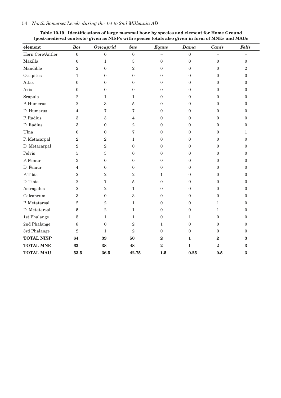| Table 10.19 Identifications of large mammal bone by species and element for Home Ground         |
|-------------------------------------------------------------------------------------------------|
| (post-medieval contexts) given as NISPs with species totals also given in form of MNEs and MAUs |

| element           | <b>Bos</b>       | <b>Ovicaprid</b> | <b>Sus</b>       | <b>Equus</b>     | Dama             | Canis            | <b>Felis</b>     |
|-------------------|------------------|------------------|------------------|------------------|------------------|------------------|------------------|
| Horn Core/Antler  | $\mathbf{0}$     | $\overline{0}$   | $\boldsymbol{0}$ |                  | $\boldsymbol{0}$ |                  |                  |
| Maxilla           | $\boldsymbol{0}$ | $\mathbf{1}$     | $\boldsymbol{3}$ | $\boldsymbol{0}$ | $\boldsymbol{0}$ | $\boldsymbol{0}$ | $\boldsymbol{0}$ |
| Mandible          | $\sqrt{2}$       | $\overline{0}$   | $\overline{2}$   | $\mathbf{0}$     | $\mathbf{0}$     | $\overline{0}$   | $\overline{2}$   |
| Occipitus         | $\mathbf{1}$     | $\overline{0}$   | $\theta$         | $\Omega$         | $\Omega$         | $\theta$         | $\overline{0}$   |
| Atlas             | $\mathbf{0}$     | 0                | $\overline{0}$   | $\overline{0}$   | $\mathbf{0}$     | $\overline{0}$   | 0                |
| Axis              | $\theta$         | $\overline{0}$   | $\theta$         | $\Omega$         | $\mathbf{0}$     | $\Omega$         | $\Omega$         |
| Scapula           | $\sqrt{2}$       | 1                | 1                | $\overline{0}$   | $\boldsymbol{0}$ | $\mathbf{0}$     | $\overline{0}$   |
| P. Humerus        | $\sqrt{2}$       | 3                | 5                | $\Omega$         | $\mathbf{0}$     | $\Omega$         | 0                |
| D. Humerus        | $\overline{4}$   | 7                | 7                | $\theta$         | $\boldsymbol{0}$ | $\mathbf{0}$     | $\overline{0}$   |
| P. Radius         | 3                | 3                | $\overline{4}$   | $\Omega$         | $\overline{0}$   | $\overline{0}$   | 0                |
| D. Radius         | 3                | $\overline{0}$   | $\overline{2}$   | $\Omega$         | $\overline{0}$   | $\mathbf{0}$     | $\overline{0}$   |
| Ulna              | $\mathbf{0}$     | $\boldsymbol{0}$ | 7                | $\Omega$         | $\overline{0}$   | $\Omega$         | $\mathbf{1}$     |
| P. Metacarpal     | $\sqrt{2}$       | $\overline{2}$   | $\mathbf{1}$     | $\Omega$         | $\mathbf{0}$     | $\Omega$         | $\overline{0}$   |
| D. Metacarpal     | $\sqrt{2}$       | $\overline{2}$   | $\theta$         | $\Omega$         | $\Omega$         | $\Omega$         | $\theta$         |
| Pelvis            | $5\,$            | 3                | $\overline{0}$   | $\mathbf{0}$     | $\mathbf{0}$     | $\overline{0}$   | 0                |
| P. Femur          | $\boldsymbol{3}$ | $\overline{0}$   | $\overline{0}$   | $\Omega$         | $\mathbf{0}$     | $\overline{0}$   | 0                |
| D. Femur          | 4                | $\boldsymbol{0}$ | $\boldsymbol{0}$ | $\overline{0}$   | $\overline{0}$   | $\mathbf{0}$     | $\overline{0}$   |
| P. Tibia          | $\mathbf{2}$     | $\overline{2}$   | $\overline{2}$   | $\mathbf{1}$     | $\mathbf{0}$     | $\overline{0}$   | 0                |
| D. Tibia          | $\sqrt{2}$       | 7                | 5                | $\theta$         | $\mathbf{0}$     | $\Omega$         | $\theta$         |
| Astragalus        | 2                | 2                | $\mathbf{1}$     | $\mathbf{0}$     | $\mathbf{0}$     | $\overline{0}$   | 0                |
| Calcaneum         | 3                | $\overline{0}$   | 3                | $\Omega$         | $\mathbf{0}$     | $\theta$         | $\theta$         |
| P. Metatarsal     | $\sqrt{2}$       | $\overline{2}$   | 1                | $\overline{0}$   | $\boldsymbol{0}$ | $\mathbf{1}$     | $\overline{0}$   |
| D. Metatarsal     | 5                | $\overline{2}$   | $\mathbf{1}$     | $\Omega$         | $\mathbf{0}$     | $\mathbf{1}$     | $\Omega$         |
| 1st Phalange      | $\overline{5}$   | 1                | 1                | $\mathbf{0}$     | $\mathbf{1}$     | $\theta$         | $\theta$         |
| 2nd Phalange      | 8                | 0                | $\overline{2}$   | $\mathbf{1}$     | $\mathbf{0}$     | $\overline{0}$   | 0                |
| 3rd Phalange      | $\sqrt{2}$       | $\mathbf{1}$     | $\overline{2}$   | $\mathbf{0}$     | $\boldsymbol{0}$ | $\overline{0}$   | $\overline{0}$   |
| <b>TOTAL NISP</b> | 64               | 39               | 50               | $\bf{2}$         | 1                | $\boldsymbol{2}$ | 3                |
| <b>TOTAL MNE</b>  | 63               | 38               | 48               | $\bf{2}$         | $\mathbf{1}$     | $\bf{2}$         | 3                |
| <b>TOTAL MAU</b>  | 53.5             | 36.5             | 42.75            | 1.5              | 0.25             | 0.5              | 3                |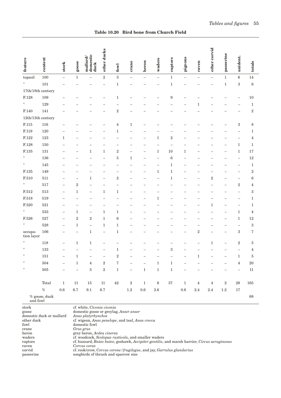| feature                         | context          | stork                    | goose                    | domestic<br>mallard<br>duck | other ducks              | fowl              | crane             | heron                    | waders                   | raptors          | pigeons                  | raven                    | other corvid             | passerine   | unident.                 | totals                  |
|---------------------------------|------------------|--------------------------|--------------------------|-----------------------------|--------------------------|-------------------|-------------------|--------------------------|--------------------------|------------------|--------------------------|--------------------------|--------------------------|-------------|--------------------------|-------------------------|
| topsoil                         | 100              | $\overline{\phantom{0}}$ | $\,1\,$                  | $\overline{\phantom{0}}$    | $\,2$                    | $\sqrt{3}$        | $\qquad \qquad -$ | $\overline{\phantom{0}}$ | $\overline{\phantom{0}}$ | $\,1\,$          | $\overline{\phantom{0}}$ | $\overline{\phantom{0}}$ | ÷,                       | $\mathbf 1$ | $\,6$                    | 14                      |
| Н                               | 101              |                          |                          |                             |                          | $\,1$             |                   |                          |                          | $\,1$            |                          |                          |                          | $\,1$       | $\boldsymbol{3}$         | $\,$ 6 $\,$             |
| $17th/18th$ century             |                  |                          |                          |                             |                          |                   |                   |                          |                          |                  |                          |                          |                          |             |                          |                         |
| $\operatorname{F.128}$          | 109              |                          |                          |                             |                          | $\mathbf{1}$      |                   |                          |                          | $\boldsymbol{9}$ |                          |                          |                          |             |                          | $10\,$                  |
| Ħ.                              | 129              |                          |                          |                             |                          |                   |                   |                          |                          |                  |                          | 1                        |                          |             |                          | $\,1$                   |
| F.140                           | 141              |                          |                          |                             |                          | $\overline{2}$    |                   |                          |                          |                  |                          |                          |                          |             |                          | $\,2$                   |
| $12{\rm th}/13{\rm th}$ century |                  |                          |                          |                             |                          |                   |                   |                          |                          |                  |                          |                          |                          |             |                          |                         |
| $\operatorname{F.115}$          | $116\,$          |                          |                          |                             |                          | 4                 | $1\,$             |                          |                          |                  |                          |                          |                          |             | 3                        | 8                       |
| F.119                           | 120              |                          |                          |                             |                          | 1                 |                   |                          |                          |                  |                          |                          |                          |             |                          | $\mathbf{1}$            |
| $\operatorname{F.122}$          | $123\,$          | 1                        |                          |                             |                          |                   |                   |                          | 1                        | $\boldsymbol{2}$ |                          |                          |                          |             |                          | $\overline{\mathbf{4}}$ |
| F.128                           | $150\,$          |                          |                          |                             |                          |                   |                   |                          |                          |                  |                          |                          |                          |             | $\mathbf{1}$             | $\,1\,$                 |
| $\operatorname{F.135}$          | $131\,$          |                          |                          | 1                           | 1                        | $\,2$             |                   |                          | $\mathbf{1}$             | 10               | $\mathbf{1}$             |                          |                          |             | $\mathbf{1}$             | $17\,$                  |
| Ħ                               | 136              |                          |                          |                             |                          | $\overline{5}$    | $\mathbf{1}$      |                          |                          | $\;6\;$          |                          |                          |                          |             |                          | $12\,$                  |
| H.                              | 145              |                          |                          |                             |                          |                   |                   |                          |                          | $\mathbf 1$      |                          |                          |                          |             |                          | $\,1$                   |
| F.135                           | 149              |                          |                          |                             |                          |                   |                   |                          | 1                        | 1                |                          |                          |                          |             | -                        | $\,2$                   |
| $\rm F.510$                     | 511              |                          | $\overline{\phantom{0}}$ | $\mathbf{1}$                | $\overline{\phantom{0}}$ | $\boldsymbol{2}$  |                   |                          |                          | $\mathbf{1}$     |                          |                          | $\,2$                    |             | $\overline{\phantom{0}}$ | $\boldsymbol{6}$        |
| Ħ.                              | $517\,$          |                          | $\,2$                    |                             |                          |                   |                   |                          |                          |                  |                          |                          |                          |             | $\boldsymbol{2}$         | $\overline{\mathbf{4}}$ |
| $\rm F.512$                     | $513\,$          |                          | $1\,$                    | L,                          | 1                        | $\mathbf 1$       |                   |                          |                          |                  |                          |                          |                          |             |                          | $\,3$                   |
| F.518                           | 519              |                          |                          |                             |                          |                   |                   |                          | 1                        |                  |                          |                          |                          |             |                          | $\,1$                   |
| $\operatorname{F.520}$          | 521              |                          |                          |                             |                          |                   |                   |                          |                          |                  |                          |                          | 1                        |             | -                        | $\mathbf{1}$            |
| H.                              | $533\,$          | -                        | $1\,$                    | $\overline{\phantom{0}}$    | 1                        | $\mathbf 1$       |                   |                          |                          |                  |                          |                          |                          |             | 1                        | $\overline{\mathbf{4}}$ |
| $\rm F.526$                     | 527              |                          | $\,2$                    | $\,2$                       | 1                        | $\;6\;$           |                   |                          |                          |                  |                          |                          |                          |             | $\mathbf{1}$             | $12\,$                  |
| Ħ                               | 528              |                          | $\mathbf{1}$             | $\overline{\phantom{0}}$    | 1                        | $\mathbf{1}$      |                   |                          |                          |                  |                          |                          |                          |             |                          | $\,3$                   |
| occupa-<br>tion layer           | 106              |                          |                          | $\,1$                       | -                        | 1                 |                   |                          |                          |                  |                          | $\overline{2}$           |                          |             | 3                        | $\sqrt{ }$              |
| Н                               | $118\,$          |                          | $\mathbf{1}$             | 1                           |                          |                   |                   |                          |                          |                  |                          |                          | 1                        |             | $\,2$                    | $\overline{5}$          |
| Н                               | $133\,$          |                          |                          |                             |                          | $\mathbf 1$       |                   |                          |                          | $\,3$            |                          |                          |                          |             |                          | $\overline{\mathbf{4}}$ |
| Н                               | $151\,$          |                          | $\mathbf{1}$             | $\overline{\phantom{0}}$    | $\overline{\phantom{0}}$ | $\overline{2}$    |                   |                          |                          |                  |                          | $\mathbf{1}$             | $\overline{\phantom{0}}$ |             | $\mathbf{1}$             | $\overline{5}$          |
| H.                              | $504\,$          |                          | $\,1\,$                  | $\bf 4$                     | $\,2$                    | $\scriptstyle{7}$ |                   |                          | $\,1$                    | $\,1$            |                          |                          |                          |             | $\overline{4}$           | $20\,$                  |
| Ħ                               | $505\,$          |                          | $\qquad \qquad -$        | $\bf 5$                     | $\,2$                    | $\,1\,$           | $\qquad \qquad -$ | $\,1\,$                  | $\mathbf 1$              | $\mathbf 1$      |                          |                          |                          |             | $\overline{\phantom{0}}$ | $11\,$                  |
|                                 | $\mbox{Total}$   | $\,1$                    | $11\,$                   | $15\,$                      | $11\,$                   | $42\,$            | $\,2$             | $\,1\,$                  | $\,6\,$                  | $37\,$           | $1\,$                    | $\bf 4$                  | $\bf 4$                  | $\,2$       | $\bf 28$                 | $165\,$                 |
|                                 | $\%$             | $0.6\,$                  | $6.7\,$                  | $9.1\,$                     | $6.7\,$                  |                   | $1.2\,$           | $0.6\,$                  | $3.6\,$                  |                  | $0.6\,$                  | $2.4\,$                  | $2.4\,$                  | $1.2\,$     | $17\,$                   |                         |
|                                 | $\%$ goose, duck |                          |                          |                             |                          |                   |                   |                          |                          |                  |                          |                          |                          |             |                          | $68\,$                  |

| Table 10.20 Bird bone from Church Field |  |  |  |  |
|-----------------------------------------|--|--|--|--|
|-----------------------------------------|--|--|--|--|

and fowl

stork cf. white, *Ciconia ciconia* goose domestic goose or greylag, *Anser anser* domestic duck or mallard<br>other duck other duck cf. wigeon, *Anas penelope*, and teal, *Anas crecca* fowl domestic fowl crane *Grus grus*<br>heron *grey* heron heron grey heron, *Ardea cinerea*<br>waders ef. woodcock, *Scolopax rus* waders cf. woodcock, *Scolopax rusticola*, and smaller waders raptors cf. buzzard, *Buteo buteo*, goshawk, *Accipiter gentilis*, and marsh harrier, *Circus aeruginosus*  raven *Corvus corax* corvid cf. rook/crow, *Corvus corone/frugilegus*, and jay, *Garrulus glandarius* songbirds of thrush and sparrow size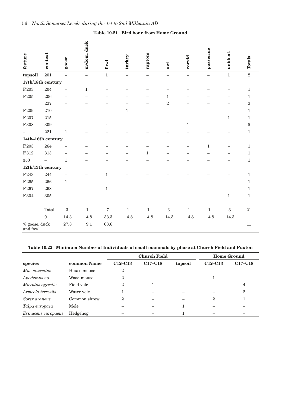| feature                     | context                  | goose                    | m/dom. duck              | fowl              | turkey                   | raptors                  | ow1                      | corvid                   | passerine                | unident.                 | Totals       |
|-----------------------------|--------------------------|--------------------------|--------------------------|-------------------|--------------------------|--------------------------|--------------------------|--------------------------|--------------------------|--------------------------|--------------|
| topsoil                     | $\,201$                  | $\overline{\phantom{0}}$ | $\qquad \qquad -$        | $\mathbf 1$       | $\overline{\phantom{0}}$ | $\overline{\phantom{0}}$ | $\overline{\phantom{0}}$ | $\overline{\phantom{0}}$ | $\overline{\phantom{0}}$ | $\mathbf 1$              | $\sqrt{2}$   |
| 17th/18th century           |                          |                          |                          |                   |                          |                          |                          |                          |                          |                          |              |
| F.203                       | 204                      |                          | $\mathbf 1$              |                   |                          |                          |                          |                          |                          | $\overline{\phantom{0}}$ | $\mathbf{1}$ |
| F.205                       | 206                      |                          | $\overline{\phantom{0}}$ |                   |                          |                          | $\mathbf{1}$             |                          |                          |                          | $\mathbf{1}$ |
|                             | 227                      |                          | -                        |                   |                          | $\overline{\phantom{0}}$ | $\sqrt{2}$               |                          |                          | $\overline{\phantom{0}}$ | $\,2$        |
| F.209                       | 210                      |                          |                          |                   | $\mathbf{1}$             |                          |                          |                          |                          |                          | 1            |
| F.207                       | $215\,$                  |                          |                          |                   |                          |                          |                          |                          |                          | $\mathbf{1}$             | $\mathbf{1}$ |
| F.308                       | 309                      |                          |                          | 4                 |                          |                          |                          | $\mathbf{1}$             |                          |                          | $\bf 5$      |
|                             | $221\,$                  | $\mathbf{1}$             |                          |                   |                          |                          |                          |                          |                          |                          | $\mathbf{1}$ |
| $14th\text{--}16th$ century |                          |                          |                          |                   |                          |                          |                          |                          |                          |                          |              |
| F.203                       | 264                      |                          |                          |                   |                          |                          |                          |                          | $\mathbf{1}$             | —                        | 1            |
| F.312                       | 313                      |                          |                          |                   |                          | $\mathbf{1}$             |                          |                          |                          |                          | $\mathbf{1}$ |
| 353                         | $\overline{\phantom{0}}$ | $\mathbf{1}$             |                          |                   |                          |                          | -                        |                          |                          |                          | $\mathbf{1}$ |
| 12th/13th century           |                          |                          |                          |                   |                          |                          |                          |                          |                          |                          |              |
| F.243                       | 244                      |                          |                          | $\mathbf{1}$      |                          |                          |                          |                          |                          |                          | $\mathbf{1}$ |
| F.265                       | 266                      | $\mathbf{1}$             |                          |                   |                          |                          |                          |                          |                          |                          | 1            |
| F.267                       | 268                      |                          | ÷                        | $\mathbf 1$       |                          |                          |                          |                          |                          | -                        | $\mathbf{1}$ |
| F.304                       | 305                      | $\overline{\phantom{0}}$ | —                        |                   |                          |                          |                          | $\overline{\phantom{0}}$ |                          | $\mathbf 1$              | $\mathbf{1}$ |
|                             |                          |                          |                          |                   |                          |                          |                          |                          |                          |                          |              |
|                             | Total                    | $\boldsymbol{3}$         | $\mathbf{1}$             | $\scriptstyle{7}$ | $\mathbf 1$              | $\mathbf{1}$             | $\boldsymbol{3}$         | $\mathbf{1}$             | $\mathbf{1}$             | $\boldsymbol{3}$         | $21\,$       |
|                             | $\%$                     | 14.3                     | 4.8                      | 33.3              | 4.8                      | 4.8                      | 14.3                     | 4.8                      | 4.8                      | 14.3                     |              |
| % goose, duck<br>and fowl   |                          | 27.3                     | 9.1                      | 63.6              |                          |                          |                          |                          |                          |                          | 11           |

**Table 10.21 Bird bone from Home Ground**

### **Table 10.22 Minimum Number of Individuals of small mammals by phase at Church Field and Puxton**

|                     |              |              | <b>Church Field</b> | <b>Home Ground</b> |                |                                  |
|---------------------|--------------|--------------|---------------------|--------------------|----------------|----------------------------------|
| species             | common Name  | $C12-C13$    | $C17-C18$           | topsoil            | $C12-C13$      | C <sub>17</sub> -C <sub>18</sub> |
| Mus musculus        | House mouse  | 2            |                     |                    |                |                                  |
| Apodemus sp.        | Wood mouse   | $\mathbf{2}$ |                     |                    |                |                                  |
| Microtus agrestis   | Field vole   | 2            |                     |                    |                | 4                                |
| Arvicola terrestis  | Water vole   |              |                     |                    |                | $\overline{2}$                   |
| Sorex araneus       | Common shrew | 2            |                     |                    | $\overline{2}$ |                                  |
| Talpa europaea      | Mole         |              |                     |                    |                |                                  |
| Erinaceus europaeus | Hedgehog     |              |                     |                    |                |                                  |